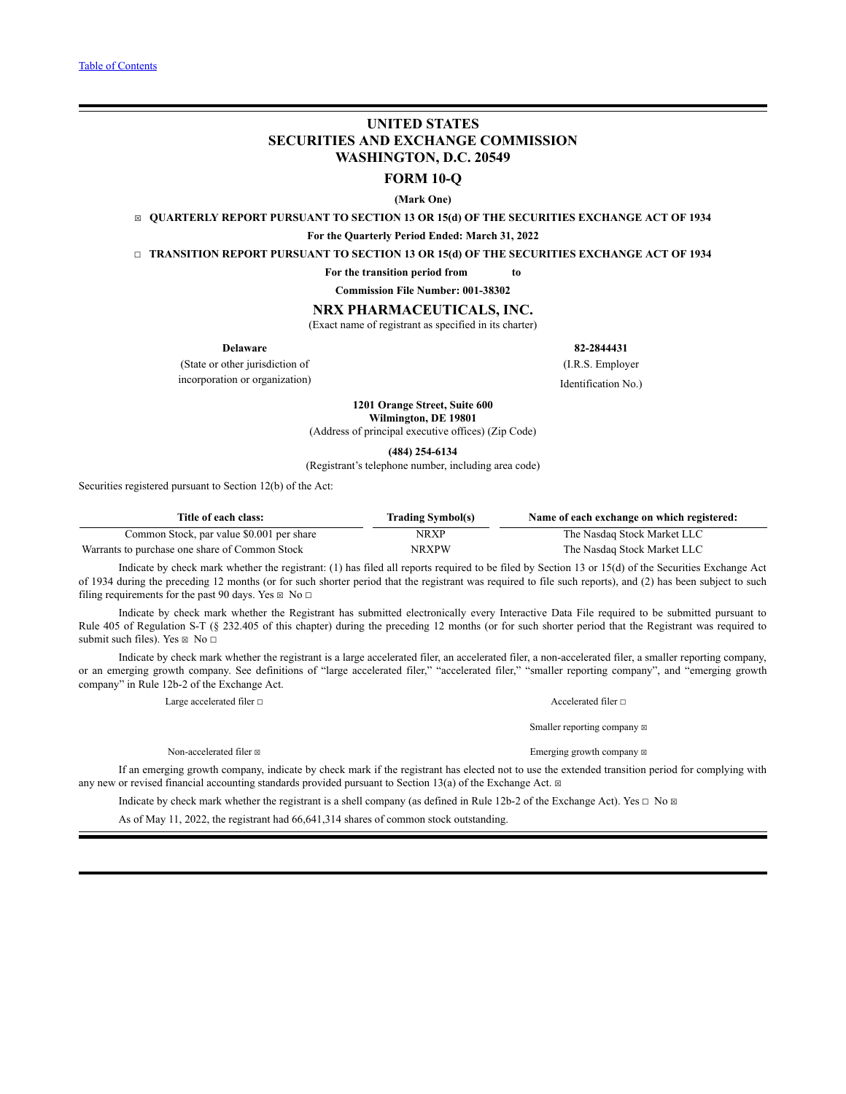# **UNITED STATES SECURITIES AND EXCHANGE COMMISSION WASHINGTON, D.C. 20549**

# **FORM 10-Q**

**(Mark One)**

☒ **QUARTERLY REPORT PURSUANT TO SECTION 13 OR 15(d) OF THE SECURITIES EXCHANGE ACT OF 1934**

**For the Quarterly Period Ended: March 31, 2022**

☐ **TRANSITION REPORT PURSUANT TO SECTION 13 OR 15(d) OF THE SECURITIES EXCHANGE ACT OF 1934**

**For the transition period from to**

**Commission File Number: 001-38302**

# **NRX PHARMACEUTICALS, INC.**

(Exact name of registrant as specified in its charter)

(State or other jurisdiction of (I.R.S. Employer incorporation or organization)

**Delaware 82-2844431**

Identification No.)

**1201 Orange Street, Suite 600**

**Wilmington, DE 19801** (Address of principal executive offices) (Zip Code)

**(484) 254-6134**

(Registrant's telephone number, including area code)

Securities registered pursuant to Section 12(b) of the Act:

| Title of each class:                           | <b>Trading Symbol(s)</b> | Name of each exchange on which registered: |
|------------------------------------------------|--------------------------|--------------------------------------------|
| Common Stock, par value \$0.001 per share      | NRXP                     | The Nasdaq Stock Market LLC                |
| Warrants to purchase one share of Common Stock | <b>NRXPW</b>             | The Nasdaq Stock Market LLC                |

Indicate by check mark whether the registrant: (1) has filed all reports required to be filed by Section 13 or 15(d) of the Securities Exchange Act of 1934 during the preceding 12 months (or for such shorter period that the registrant was required to file such reports), and (2) has been subject to such filing requirements for the past 90 days. Yes  $\boxtimes$  No  $\Box$ 

Indicate by check mark whether the Registrant has submitted electronically every Interactive Data File required to be submitted pursuant to Rule 405 of Regulation S-T (§ 232.405 of this chapter) during the preceding 12 months (or for such shorter period that the Registrant was required to submit such files). Yes  $\boxtimes$  No  $\Box$ 

Indicate by check mark whether the registrant is a large accelerated filer, an accelerated filer, a non-accelerated filer, a smaller reporting company, or an emerging growth company. See definitions of "large accelerated filer," "accelerated filer," "smaller reporting company", and "emerging growth company" in Rule 12b-2 of the Exchange Act.

Large accelerated filer □ and notice in the set of the set of the set of the set of the set of the set of the set of the set of the set of the set of the set of the set of the set of the set of the set of the set of the s

Non-accelerated filer  $\boxtimes$ 

Smaller reporting company  $\boxtimes$ Emerging growth company  $\boxtimes$ 

If an emerging growth company, indicate by check mark if the registrant has elected not to use the extended transition period for complying with any new or revised financial accounting standards provided pursuant to Section 13(a) of the Exchange Act.  $\boxtimes$ 

Indicate by check mark whether the registrant is a shell company (as defined in Rule 12b-2 of the Exchange Act). Yes  $\Box$  No  $\Box$ 

As of May 11, 2022, the registrant had 66,641,314 shares of common stock outstanding.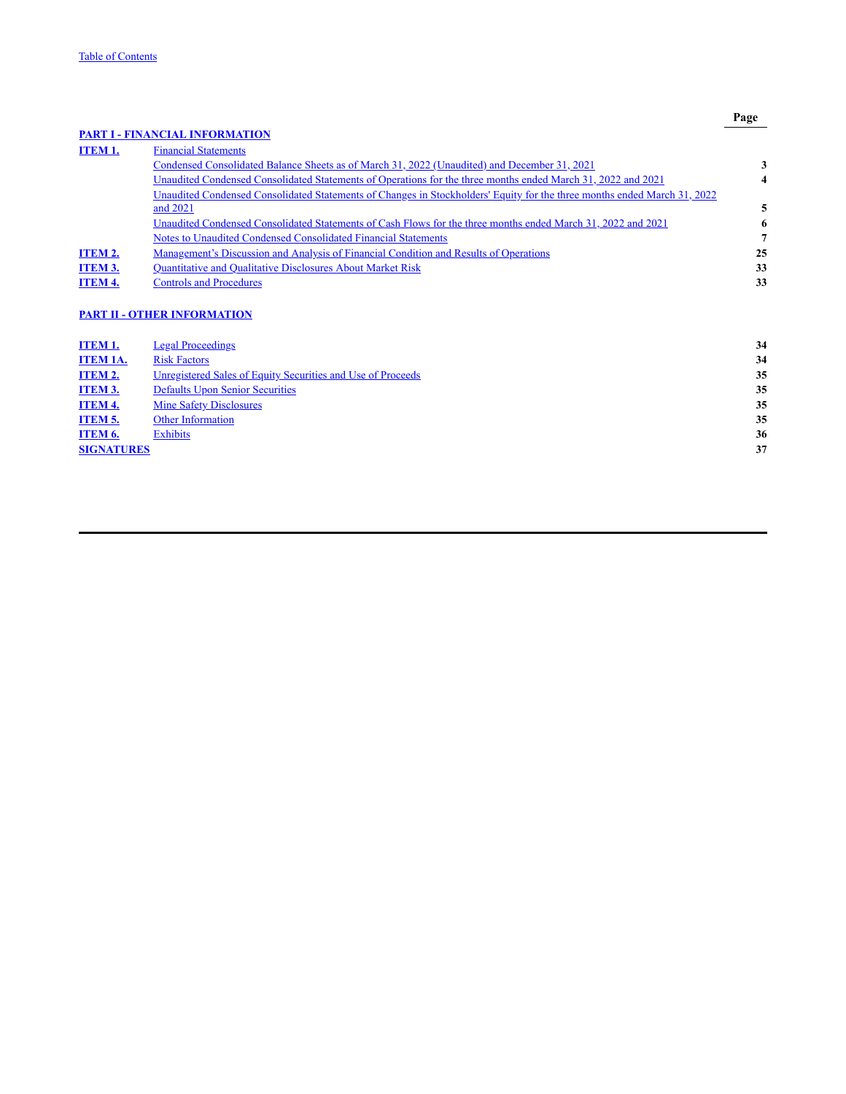**Page**

<span id="page-1-0"></span>

|                 | <b>PART I - FINANCIAL INFORMATION</b>                                                                                    |    |
|-----------------|--------------------------------------------------------------------------------------------------------------------------|----|
| <b>ITEM 1.</b>  | <b>Financial Statements</b>                                                                                              |    |
|                 | Condensed Consolidated Balance Sheets as of March 31, 2022 (Unaudited) and December 31, 2021                             | 3  |
|                 | Unaudited Condensed Consolidated Statements of Operations for the three months ended March 31, 2022 and 2021             | 4  |
|                 | Unaudited Condensed Consolidated Statements of Changes in Stockholders' Equity for the three months ended March 31, 2022 |    |
|                 | and 2021                                                                                                                 | 5  |
|                 | Unaudited Condensed Consolidated Statements of Cash Flows for the three months ended March 31, 2022 and 2021             | 6  |
|                 | Notes to Unaudited Condensed Consolidated Financial Statements                                                           | 7  |
| ITEM 2.         | <u>Management's Discussion and Analysis of Financial Condition and Results of Operations</u>                             | 25 |
| ITEM 3.         | Quantitative and Qualitative Disclosures About Market Risk                                                               | 33 |
| <b>ITEM 4.</b>  | <b>Controls and Procedures</b>                                                                                           | 33 |
|                 | <b>PART II - OTHER INFORMATION</b>                                                                                       |    |
| ITEM 1.         | <b>Legal Proceedings</b>                                                                                                 | 34 |
| <b>ITEM 1A.</b> | <b>Risk Factors</b>                                                                                                      | 34 |
| ITEM 2.         | Unregistered Sales of Equity Securities and Use of Proceeds                                                              | 35 |
| <b>ITEM 3.</b>  | <b>Defaults Upon Senior Securities</b>                                                                                   | 35 |

| <u>ITEM 3.</u>    | Defaults Upon Senior Securities | 35 |
|-------------------|---------------------------------|----|
| <b>ITEM 4.</b>    | <b>Mine Safety Disclosures</b>  | 35 |
| <b>ITEM 5.</b>    | <b>Other Information</b>        | 35 |
| ITEM 6.           | Exhibits                        | 36 |
| <b>SIGNATURES</b> |                                 | 37 |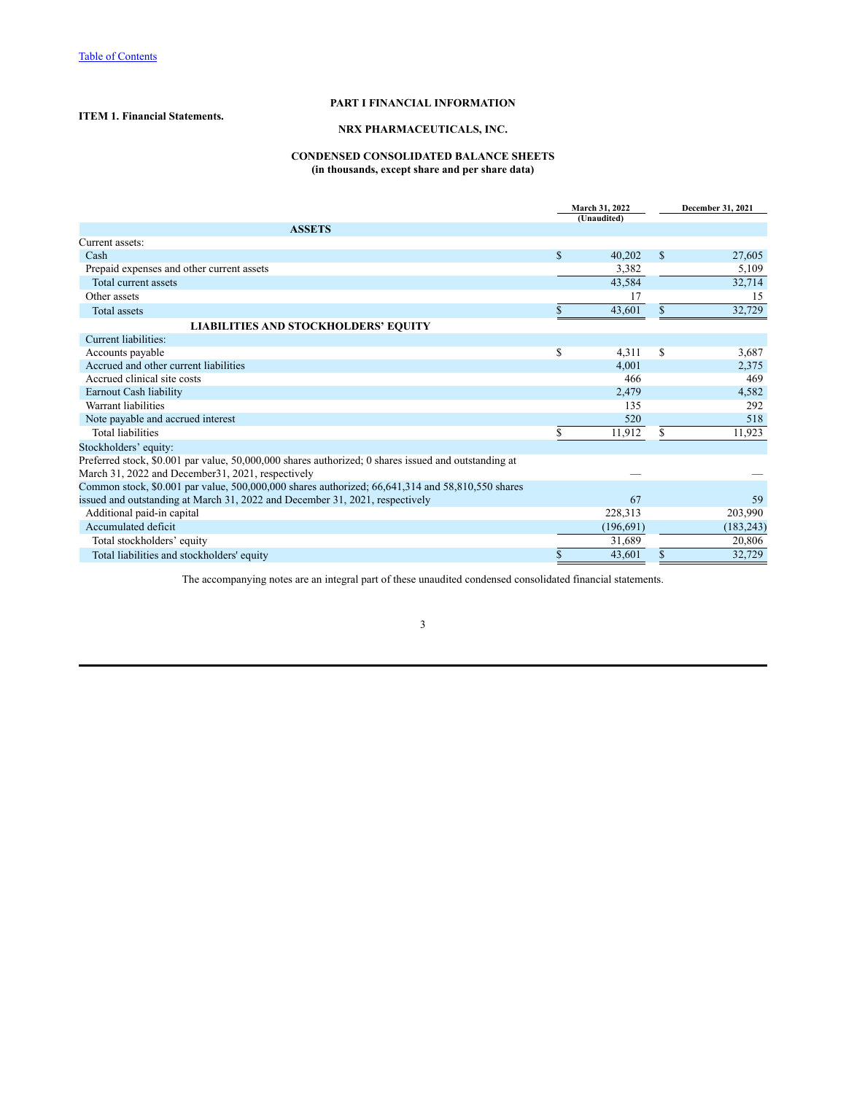# **PART I FINANCIAL INFORMATION**

# <span id="page-2-2"></span><span id="page-2-1"></span><span id="page-2-0"></span>**ITEM 1. Financial Statements.**

# **NRX PHARMACEUTICALS, INC.**

# **CONDENSED CONSOLIDATED BALANCE SHEETS (in thousands, except share and per share data)**

|                                                                                                      | March 31, 2022<br>(Unaudited) |            |              |            |
|------------------------------------------------------------------------------------------------------|-------------------------------|------------|--------------|------------|
| <b>ASSETS</b>                                                                                        |                               |            |              |            |
| Current assets:                                                                                      |                               |            |              |            |
| Cash                                                                                                 | \$                            | 40,202     | $\mathbb{S}$ | 27,605     |
| Prepaid expenses and other current assets                                                            |                               | 3,382      |              | 5,109      |
| Total current assets                                                                                 |                               | 43,584     |              | 32,714     |
| Other assets                                                                                         |                               | 17         |              | 15         |
| <b>Total assets</b>                                                                                  | S.                            | 43,601     | S            | 32,729     |
| <b>LIABILITIES AND STOCKHOLDERS' EQUITY</b>                                                          |                               |            |              |            |
| Current liabilities:                                                                                 |                               |            |              |            |
| Accounts payable                                                                                     | \$                            | 4,311      | S            | 3,687      |
| Accrued and other current liabilities                                                                |                               | 4,001      |              | 2,375      |
| Accrued clinical site costs                                                                          |                               | 466        |              | 469        |
| Earnout Cash liability                                                                               |                               | 2,479      |              | 4,582      |
| Warrant liabilities                                                                                  |                               | 135        |              | 292        |
| Note payable and accrued interest                                                                    |                               | 520        |              | 518        |
| <b>Total liabilities</b>                                                                             | \$                            | 11,912     | \$           | 11,923     |
| Stockholders' equity:                                                                                |                               |            |              |            |
| Preferred stock, \$0.001 par value, 50,000,000 shares authorized; 0 shares issued and outstanding at |                               |            |              |            |
| March 31, 2022 and December 31, 2021, respectively                                                   |                               |            |              |            |
| Common stock, \$0.001 par value, 500,000,000 shares authorized; 66,641,314 and 58,810,550 shares     |                               |            |              |            |
| issued and outstanding at March 31, 2022 and December 31, 2021, respectively                         |                               | 67         |              | 59         |
| Additional paid-in capital                                                                           |                               | 228,313    |              | 203,990    |
| Accumulated deficit                                                                                  |                               | (196, 691) |              | (183, 243) |
| Total stockholders' equity                                                                           |                               | 31,689     |              | 20,806     |
| Total liabilities and stockholders' equity                                                           | S                             | 43,601     |              | 32,729     |

The accompanying notes are an integral part of these unaudited condensed consolidated financial statements.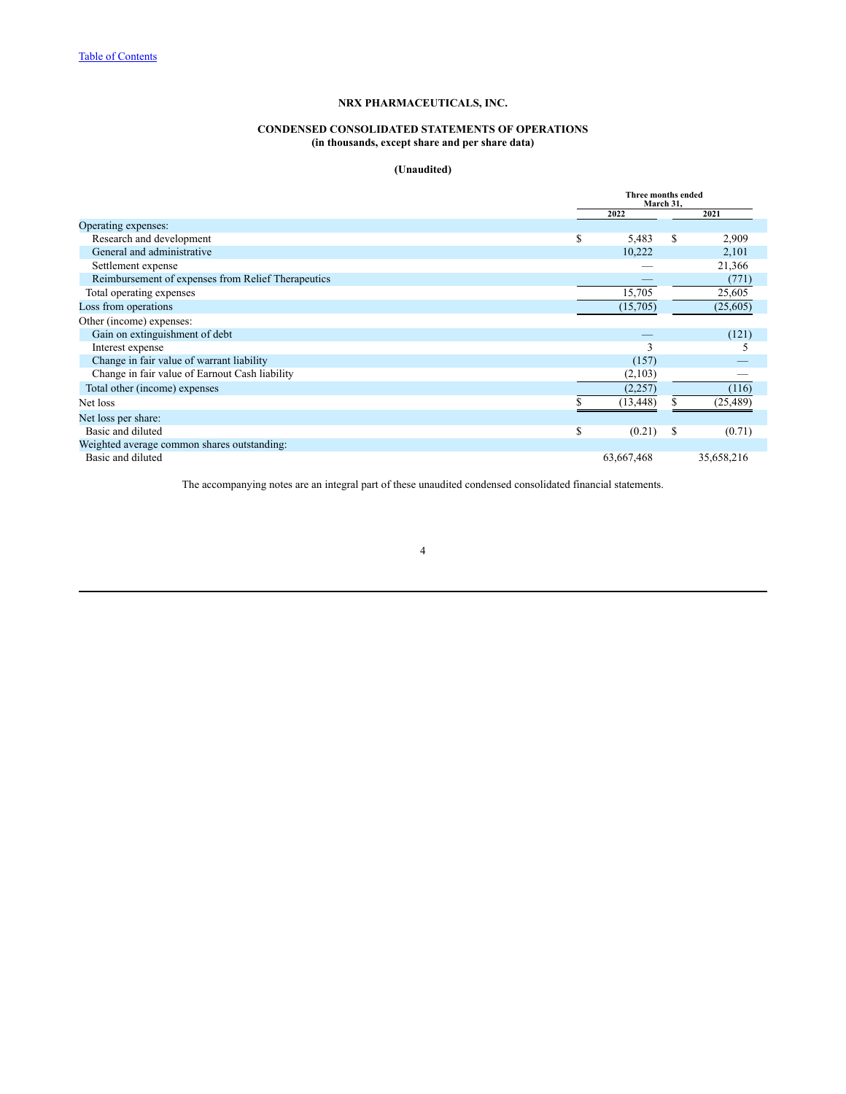# **CONDENSED CONSOLIDATED STATEMENTS OF OPERATIONS (in thousands, except share and per share data)**

# **(Unaudited)**

<span id="page-3-0"></span>

|                                                    |    | Three months ended<br>March 31, |    |            |  |
|----------------------------------------------------|----|---------------------------------|----|------------|--|
|                                                    |    | 2022                            |    | 2021       |  |
| Operating expenses:                                |    |                                 |    |            |  |
| Research and development                           | S  | 5,483                           | S  | 2,909      |  |
| General and administrative                         |    | 10,222                          |    | 2,101      |  |
| Settlement expense                                 |    |                                 |    | 21,366     |  |
| Reimbursement of expenses from Relief Therapeutics |    |                                 |    | (771)      |  |
| Total operating expenses                           |    | 15,705                          |    | 25,605     |  |
| Loss from operations                               |    | (15,705)                        |    | (25,605)   |  |
| Other (income) expenses:                           |    |                                 |    |            |  |
| Gain on extinguishment of debt                     |    |                                 |    | (121)      |  |
| Interest expense                                   |    | 3                               |    | 5          |  |
| Change in fair value of warrant liability          |    | (157)                           |    |            |  |
| Change in fair value of Earnout Cash liability     |    | (2,103)                         |    |            |  |
| Total other (income) expenses                      |    | (2,257)                         |    | (116)      |  |
| Net loss                                           |    | (13, 448)                       |    | (25, 489)  |  |
| Net loss per share:                                |    |                                 |    |            |  |
| Basic and diluted                                  | \$ | (0.21)                          | \$ | (0.71)     |  |
| Weighted average common shares outstanding:        |    |                                 |    |            |  |
| Basic and diluted                                  |    | 63,667,468                      |    | 35,658,216 |  |

The accompanying notes are an integral part of these unaudited condensed consolidated financial statements.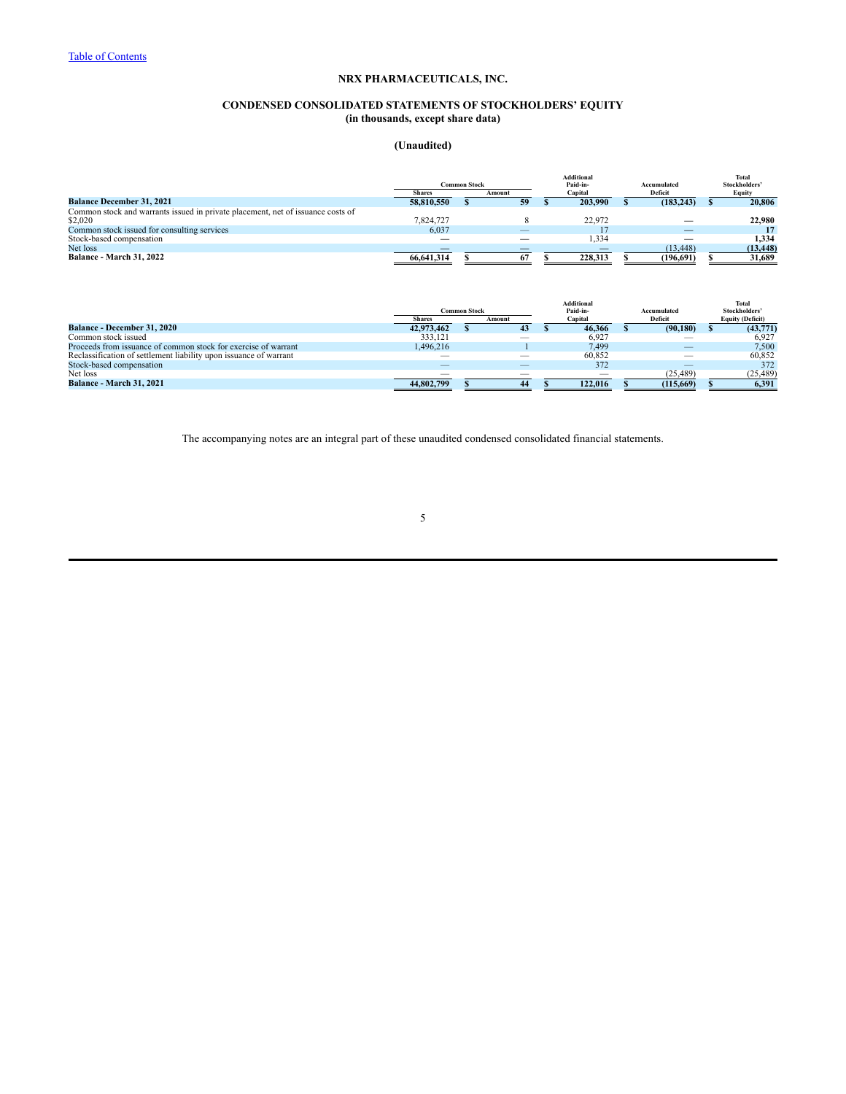# **CONDENSED CONSOLIDATED STATEMENTS OF STOCKHOLDERS' EQUITY (in thousands, except share data)**

# **(Unaudited)**

<span id="page-4-0"></span>

|                                                                                 |               | <b>Common Stock</b> |        |         | Additional<br>Paid-in- | Accumulated | Total<br>Stockholders' |           |  |  |         |        |
|---------------------------------------------------------------------------------|---------------|---------------------|--------|---------|------------------------|-------------|------------------------|-----------|--|--|---------|--------|
|                                                                                 | <b>Shares</b> |                     | Amount | Capital |                        |             |                        |           |  |  | Deficit | Equity |
| <b>Balance December 31, 2021</b>                                                | 58.810.550    |                     | 59     |         | 203,990                |             | (183, 243)             | 20.806    |  |  |         |        |
| Common stock and warrants issued in private placement, net of issuance costs of |               |                     |        |         |                        |             |                        |           |  |  |         |        |
| \$2,020                                                                         | 7.824.727     |                     |        |         | 22.972                 |             | _                      | 22,980    |  |  |         |        |
| Common stock issued for consulting services                                     | 6,037         |                     |        |         |                        |             |                        |           |  |  |         |        |
| Stock-based compensation                                                        |               |                     |        |         | .334                   |             |                        | 1.334     |  |  |         |        |
| Net loss                                                                        |               |                     |        |         |                        |             | (13, 448)              | (13, 448) |  |  |         |        |
| <b>Balance - March 31, 2022</b>                                                 | 66,641,314    |                     | 67     |         | 228,313                |             | (196.691)              | 31.689    |  |  |         |        |

|                                                                   |               |                     |        |         | <b>Additional</b>        |             | Total         |  |  |  |  |  |  |  |  |  |  |  |  |  |  |  |  |  |  |  |  |  |  |  |  |  |  |  |  |  |  |  |  |  |  |  |  |  |  |  |  |  |  |  |  |  |  |  |  |  |  |  |  |  |  |  |  |  |  |  |  |  |  |  |  |  |  |  |  |  |  |  |  |  |  |  |  |  |  |  |  |         |                         |
|-------------------------------------------------------------------|---------------|---------------------|--------|---------|--------------------------|-------------|---------------|--|--|--|--|--|--|--|--|--|--|--|--|--|--|--|--|--|--|--|--|--|--|--|--|--|--|--|--|--|--|--|--|--|--|--|--|--|--|--|--|--|--|--|--|--|--|--|--|--|--|--|--|--|--|--|--|--|--|--|--|--|--|--|--|--|--|--|--|--|--|--|--|--|--|--|--|--|--|--|--|---------|-------------------------|
|                                                                   |               | <b>Common Stock</b> |        |         | Paid-in-                 | Accumulated | Stockholders' |  |  |  |  |  |  |  |  |  |  |  |  |  |  |  |  |  |  |  |  |  |  |  |  |  |  |  |  |  |  |  |  |  |  |  |  |  |  |  |  |  |  |  |  |  |  |  |  |  |  |  |  |  |  |  |  |  |  |  |  |  |  |  |  |  |  |  |  |  |  |  |  |  |  |  |  |  |  |  |  |         |                         |
|                                                                   | <b>Shares</b> |                     | Amount | Capital |                          |             |               |  |  |  |  |  |  |  |  |  |  |  |  |  |  |  |  |  |  |  |  |  |  |  |  |  |  |  |  |  |  |  |  |  |  |  |  |  |  |  |  |  |  |  |  |  |  |  |  |  |  |  |  |  |  |  |  |  |  |  |  |  |  |  |  |  |  |  |  |  |  |  |  |  |  |  |  |  |  |  |  | Deficit | <b>Equity (Deficit)</b> |
| <b>Balance - December 31, 2020</b>                                | 42.973.462    |                     | 43     |         | 46.366                   | (90, 180)   | (43,771)      |  |  |  |  |  |  |  |  |  |  |  |  |  |  |  |  |  |  |  |  |  |  |  |  |  |  |  |  |  |  |  |  |  |  |  |  |  |  |  |  |  |  |  |  |  |  |  |  |  |  |  |  |  |  |  |  |  |  |  |  |  |  |  |  |  |  |  |  |  |  |  |  |  |  |  |  |  |  |  |  |         |                         |
| Common stock issued                                               | 333.121       |                     |        |         | 6,927                    |             | 6.927         |  |  |  |  |  |  |  |  |  |  |  |  |  |  |  |  |  |  |  |  |  |  |  |  |  |  |  |  |  |  |  |  |  |  |  |  |  |  |  |  |  |  |  |  |  |  |  |  |  |  |  |  |  |  |  |  |  |  |  |  |  |  |  |  |  |  |  |  |  |  |  |  |  |  |  |  |  |  |  |  |         |                         |
| Proceeds from issuance of common stock for exercise of warrant    | 1.496.216     |                     |        |         | 7.499                    |             | 7.500         |  |  |  |  |  |  |  |  |  |  |  |  |  |  |  |  |  |  |  |  |  |  |  |  |  |  |  |  |  |  |  |  |  |  |  |  |  |  |  |  |  |  |  |  |  |  |  |  |  |  |  |  |  |  |  |  |  |  |  |  |  |  |  |  |  |  |  |  |  |  |  |  |  |  |  |  |  |  |  |  |         |                         |
| Reclassification of settlement liability upon issuance of warrant |               |                     |        |         | 60.852                   |             | 60.852        |  |  |  |  |  |  |  |  |  |  |  |  |  |  |  |  |  |  |  |  |  |  |  |  |  |  |  |  |  |  |  |  |  |  |  |  |  |  |  |  |  |  |  |  |  |  |  |  |  |  |  |  |  |  |  |  |  |  |  |  |  |  |  |  |  |  |  |  |  |  |  |  |  |  |  |  |  |  |  |  |         |                         |
| Stock-based compensation                                          |               |                     | _      |         | 372                      |             | 372           |  |  |  |  |  |  |  |  |  |  |  |  |  |  |  |  |  |  |  |  |  |  |  |  |  |  |  |  |  |  |  |  |  |  |  |  |  |  |  |  |  |  |  |  |  |  |  |  |  |  |  |  |  |  |  |  |  |  |  |  |  |  |  |  |  |  |  |  |  |  |  |  |  |  |  |  |  |  |  |  |         |                         |
| Net loss                                                          |               |                     | _      |         | $\overline{\phantom{a}}$ | (25, 489)   | (25, 489)     |  |  |  |  |  |  |  |  |  |  |  |  |  |  |  |  |  |  |  |  |  |  |  |  |  |  |  |  |  |  |  |  |  |  |  |  |  |  |  |  |  |  |  |  |  |  |  |  |  |  |  |  |  |  |  |  |  |  |  |  |  |  |  |  |  |  |  |  |  |  |  |  |  |  |  |  |  |  |  |  |         |                         |
| <b>Balance - March 31, 2021</b>                                   | 44,802,799    |                     | 44     |         | 122,016                  | (115, 669)  | 6,391         |  |  |  |  |  |  |  |  |  |  |  |  |  |  |  |  |  |  |  |  |  |  |  |  |  |  |  |  |  |  |  |  |  |  |  |  |  |  |  |  |  |  |  |  |  |  |  |  |  |  |  |  |  |  |  |  |  |  |  |  |  |  |  |  |  |  |  |  |  |  |  |  |  |  |  |  |  |  |  |  |         |                         |

The accompanying notes are an integral part of these unaudited condensed consolidated financial statements.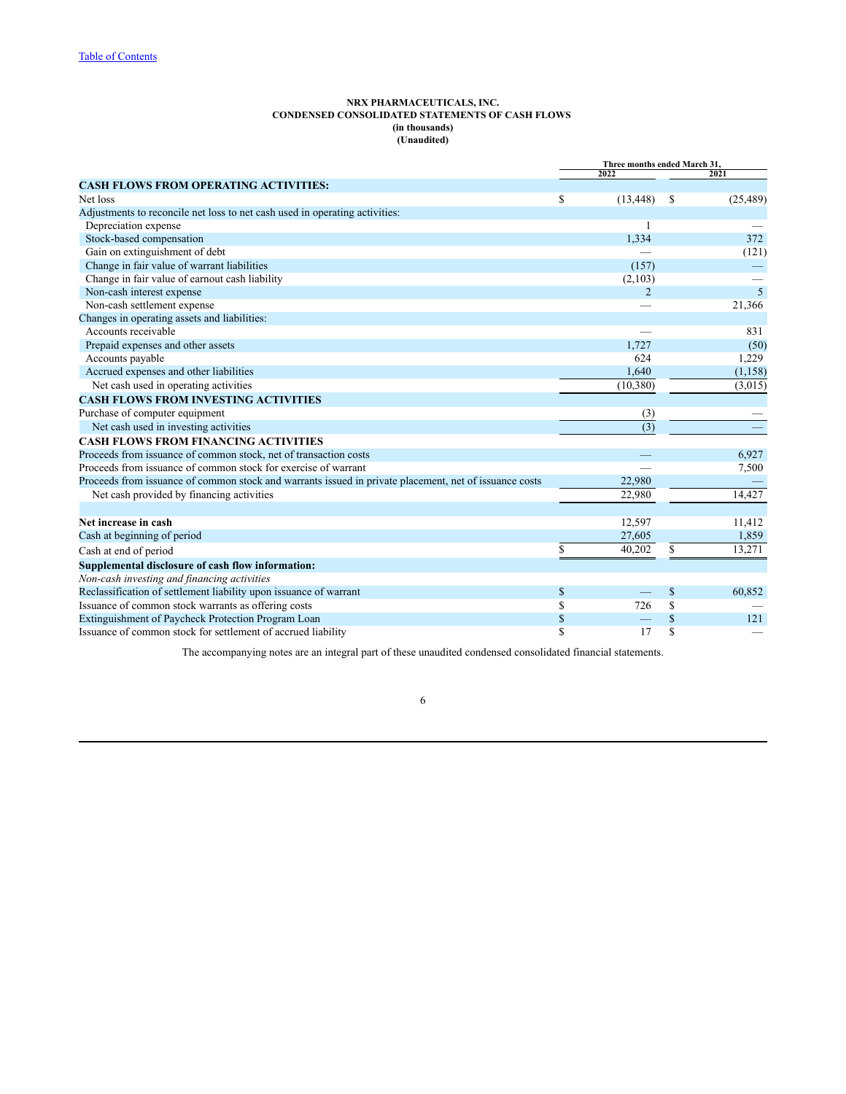#### **NRX PHARMACEUTICALS, INC. CONDENSED CONSOLIDATED STATEMENTS OF CASH FLOWS (in thousands) (Unaudited)**

<span id="page-5-0"></span>

|                                                                                                        | Three months ended March 31, |           |    |           |
|--------------------------------------------------------------------------------------------------------|------------------------------|-----------|----|-----------|
|                                                                                                        |                              | 2022      |    | 2021      |
| <b>CASH FLOWS FROM OPERATING ACTIVITIES:</b>                                                           |                              |           |    |           |
| Net loss                                                                                               | \$                           | (13, 448) | \$ | (25, 489) |
| Adjustments to reconcile net loss to net cash used in operating activities:                            |                              |           |    |           |
| Depreciation expense                                                                                   |                              |           |    |           |
| Stock-based compensation                                                                               |                              | 1,334     |    | 372       |
| Gain on extinguishment of debt                                                                         |                              |           |    | (121)     |
| Change in fair value of warrant liabilities                                                            |                              | (157)     |    |           |
| Change in fair value of earnout cash liability                                                         |                              | (2,103)   |    |           |
| Non-cash interest expense                                                                              |                              | 2         |    | 5         |
| Non-cash settlement expense                                                                            |                              |           |    | 21,366    |
| Changes in operating assets and liabilities:                                                           |                              |           |    |           |
| Accounts receivable                                                                                    |                              |           |    | 831       |
| Prepaid expenses and other assets                                                                      |                              | 1,727     |    | (50)      |
| Accounts payable                                                                                       |                              | 624       |    | 1,229     |
| Accrued expenses and other liabilities                                                                 |                              | 1,640     |    | (1, 158)  |
| Net cash used in operating activities                                                                  |                              | (10, 380) |    | (3,015)   |
| <b>CASH FLOWS FROM INVESTING ACTIVITIES</b>                                                            |                              |           |    |           |
| Purchase of computer equipment                                                                         |                              | (3)       |    |           |
| Net cash used in investing activities                                                                  |                              | (3)       |    |           |
| <b>CASH FLOWS FROM FINANCING ACTIVITIES</b>                                                            |                              |           |    |           |
| Proceeds from issuance of common stock, net of transaction costs                                       |                              |           |    | 6,927     |
| Proceeds from issuance of common stock for exercise of warrant                                         |                              |           |    | 7,500     |
| Proceeds from issuance of common stock and warrants issued in private placement, net of issuance costs |                              | 22,980    |    |           |
| Net cash provided by financing activities                                                              |                              | 22,980    |    | 14,427    |
|                                                                                                        |                              |           |    |           |
| Net increase in cash                                                                                   |                              | 12,597    |    | 11,412    |
| Cash at beginning of period                                                                            |                              | 27,605    |    | 1,859     |
| Cash at end of period                                                                                  | \$                           | 40,202    | \$ | 13,271    |
| Supplemental disclosure of cash flow information:                                                      |                              |           |    |           |
| Non-cash investing and financing activities                                                            |                              |           |    |           |
| Reclassification of settlement liability upon issuance of warrant                                      | \$                           |           | \$ | 60,852    |
| Issuance of common stock warrants as offering costs                                                    | \$                           | 726       | \$ |           |
| Extinguishment of Paycheck Protection Program Loan                                                     | \$                           |           | \$ | 121       |
| Issuance of common stock for settlement of accrued liability                                           | $\mathbb{S}$                 | 17        | \$ |           |
|                                                                                                        |                              |           |    |           |

The accompanying notes are an integral part of these unaudited condensed consolidated financial statements.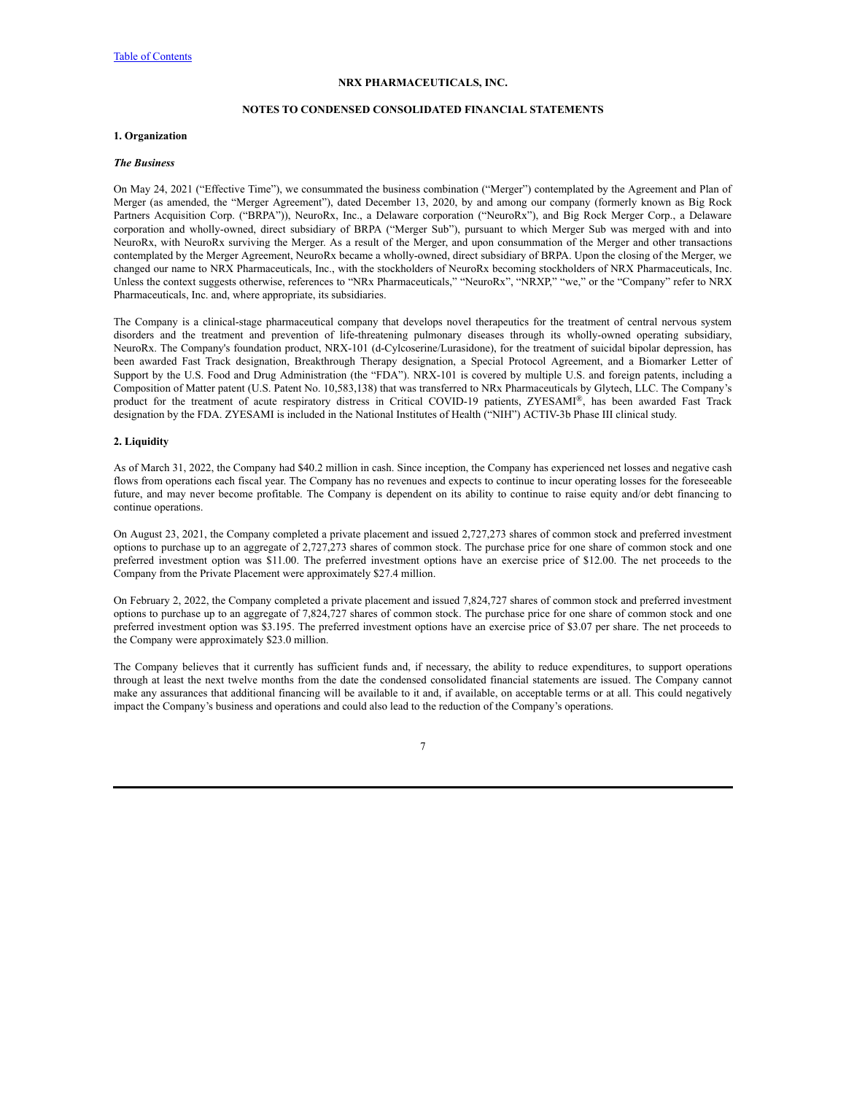# **NOTES TO CONDENSED CONSOLIDATED FINANCIAL STATEMENTS**

# <span id="page-6-0"></span>**1. Organization**

#### *The Business*

On May 24, 2021 ("Effective Time"), we consummated the business combination ("Merger") contemplated by the Agreement and Plan of Merger (as amended, the "Merger Agreement"), dated December 13, 2020, by and among our company (formerly known as Big Rock Partners Acquisition Corp. ("BRPA")), NeuroRx, Inc., a Delaware corporation ("NeuroRx"), and Big Rock Merger Corp., a Delaware corporation and wholly-owned, direct subsidiary of BRPA ("Merger Sub"), pursuant to which Merger Sub was merged with and into NeuroRx, with NeuroRx surviving the Merger. As a result of the Merger, and upon consummation of the Merger and other transactions contemplated by the Merger Agreement, NeuroRx became a wholly-owned, direct subsidiary of BRPA. Upon the closing of the Merger, we changed our name to NRX Pharmaceuticals, Inc., with the stockholders of NeuroRx becoming stockholders of NRX Pharmaceuticals, Inc. Unless the context suggests otherwise, references to "NRx Pharmaceuticals," "NeuroRx", "NRXP," "we," or the "Company" refer to NRX Pharmaceuticals, Inc. and, where appropriate, its subsidiaries.

The Company is a clinical-stage pharmaceutical company that develops novel therapeutics for the treatment of central nervous system disorders and the treatment and prevention of life-threatening pulmonary diseases through its wholly-owned operating subsidiary, NeuroRx. The Company's foundation product, NRX-101 (d-Cylcoserine/Lurasidone), for the treatment of suicidal bipolar depression, has been awarded Fast Track designation, Breakthrough Therapy designation, a Special Protocol Agreement, and a Biomarker Letter of Support by the U.S. Food and Drug Administration (the "FDA"). NRX-101 is covered by multiple U.S. and foreign patents, including a Composition of Matter patent (U.S. Patent No. 10,583,138) that was transferred to NRx Pharmaceuticals by Glytech, LLC. The Company's product for the treatment of acute respiratory distress in Critical COVID-19 patients, ZYESAMI®, has been awarded Fast Track designation by the FDA. ZYESAMI is included in the National Institutes of Health ("NIH") ACTIV-3b Phase III clinical study.

# **2. Liquidity**

As of March 31, 2022, the Company had \$40.2 million in cash. Since inception, the Company has experienced net losses and negative cash flows from operations each fiscal year. The Company has no revenues and expects to continue to incur operating losses for the foreseeable future, and may never become profitable. The Company is dependent on its ability to continue to raise equity and/or debt financing to continue operations.

On August 23, 2021, the Company completed a private placement and issued 2,727,273 shares of common stock and preferred investment options to purchase up to an aggregate of 2,727,273 shares of common stock. The purchase price for one share of common stock and one preferred investment option was \$11.00. The preferred investment options have an exercise price of \$12.00. The net proceeds to the Company from the Private Placement were approximately \$27.4 million.

On February 2, 2022, the Company completed a private placement and issued 7,824,727 shares of common stock and preferred investment options to purchase up to an aggregate of 7,824,727 shares of common stock. The purchase price for one share of common stock and one preferred investment option was \$3.195. The preferred investment options have an exercise price of \$3.07 per share. The net proceeds to the Company were approximately \$23.0 million.

The Company believes that it currently has sufficient funds and, if necessary, the ability to reduce expenditures, to support operations through at least the next twelve months from the date the condensed consolidated financial statements are issued. The Company cannot make any assurances that additional financing will be available to it and, if available, on acceptable terms or at all. This could negatively impact the Company's business and operations and could also lead to the reduction of the Company's operations.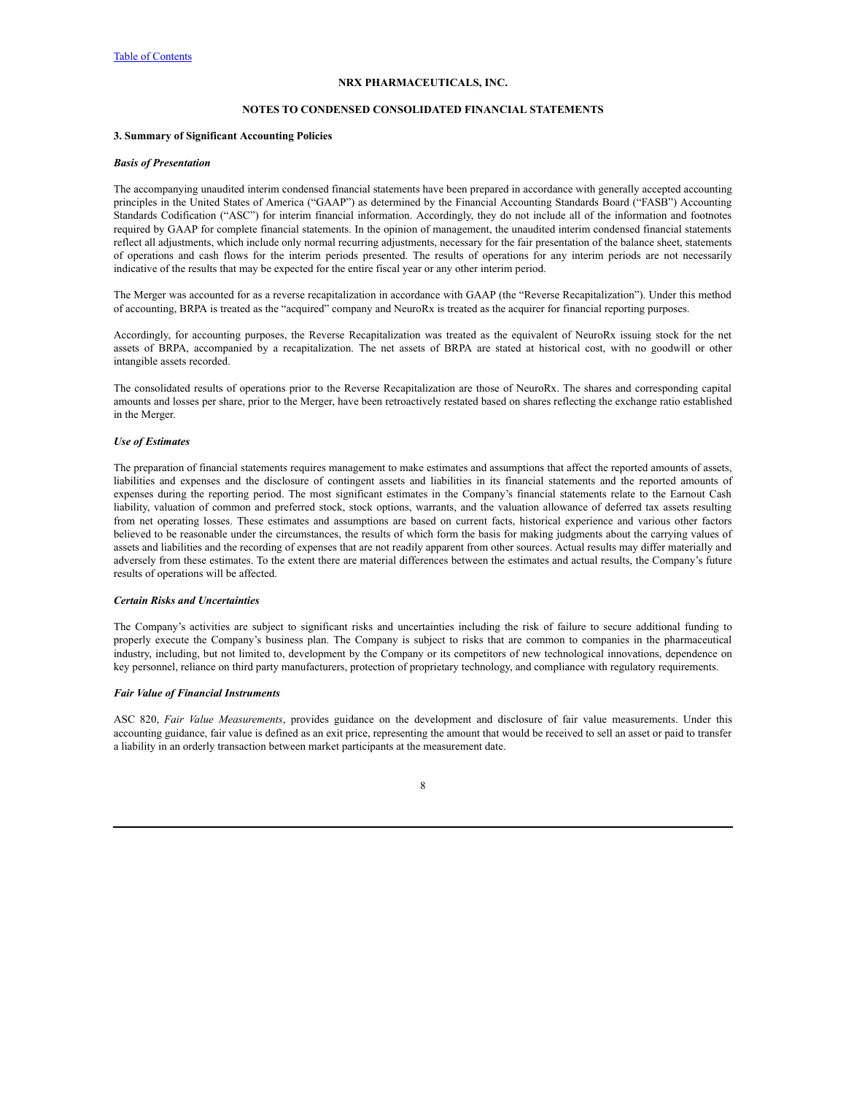# **NOTES TO CONDENSED CONSOLIDATED FINANCIAL STATEMENTS**

# **3. Summary of Significant Accounting Policies**

#### *Basis of Presentation*

The accompanying unaudited interim condensed financial statements have been prepared in accordance with generally accepted accounting principles in the United States of America ("GAAP") as determined by the Financial Accounting Standards Board ("FASB") Accounting Standards Codification ("ASC") for interim financial information. Accordingly, they do not include all of the information and footnotes required by GAAP for complete financial statements. In the opinion of management, the unaudited interim condensed financial statements reflect all adjustments, which include only normal recurring adjustments, necessary for the fair presentation of the balance sheet, statements of operations and cash flows for the interim periods presented. The results of operations for any interim periods are not necessarily indicative of the results that may be expected for the entire fiscal year or any other interim period.

The Merger was accounted for as a reverse recapitalization in accordance with GAAP (the "Reverse Recapitalization"). Under this method of accounting, BRPA is treated as the "acquired" company and NeuroRx is treated as the acquirer for financial reporting purposes.

Accordingly, for accounting purposes, the Reverse Recapitalization was treated as the equivalent of NeuroRx issuing stock for the net assets of BRPA, accompanied by a recapitalization. The net assets of BRPA are stated at historical cost, with no goodwill or other intangible assets recorded.

The consolidated results of operations prior to the Reverse Recapitalization are those of NeuroRx. The shares and corresponding capital amounts and losses per share, prior to the Merger, have been retroactively restated based on shares reflecting the exchange ratio established in the Merger.

# *Use of Estimates*

The preparation of financial statements requires management to make estimates and assumptions that affect the reported amounts of assets, liabilities and expenses and the disclosure of contingent assets and liabilities in its financial statements and the reported amounts of expenses during the reporting period. The most significant estimates in the Company's financial statements relate to the Earnout Cash liability, valuation of common and preferred stock, stock options, warrants, and the valuation allowance of deferred tax assets resulting from net operating losses. These estimates and assumptions are based on current facts, historical experience and various other factors believed to be reasonable under the circumstances, the results of which form the basis for making judgments about the carrying values of assets and liabilities and the recording of expenses that are not readily apparent from other sources. Actual results may differ materially and adversely from these estimates. To the extent there are material differences between the estimates and actual results, the Company's future results of operations will be affected.

#### *Certain Risks and Uncertainties*

The Company's activities are subject to significant risks and uncertainties including the risk of failure to secure additional funding to properly execute the Company's business plan. The Company is subject to risks that are common to companies in the pharmaceutical industry, including, but not limited to, development by the Company or its competitors of new technological innovations, dependence on key personnel, reliance on third party manufacturers, protection of proprietary technology, and compliance with regulatory requirements.

# *Fair Value of Financial Instruments*

ASC 820, *Fair Value Measurements*, provides guidance on the development and disclosure of fair value measurements. Under this accounting guidance, fair value is defined as an exit price, representing the amount that would be received to sell an asset or paid to transfer a liability in an orderly transaction between market participants at the measurement date.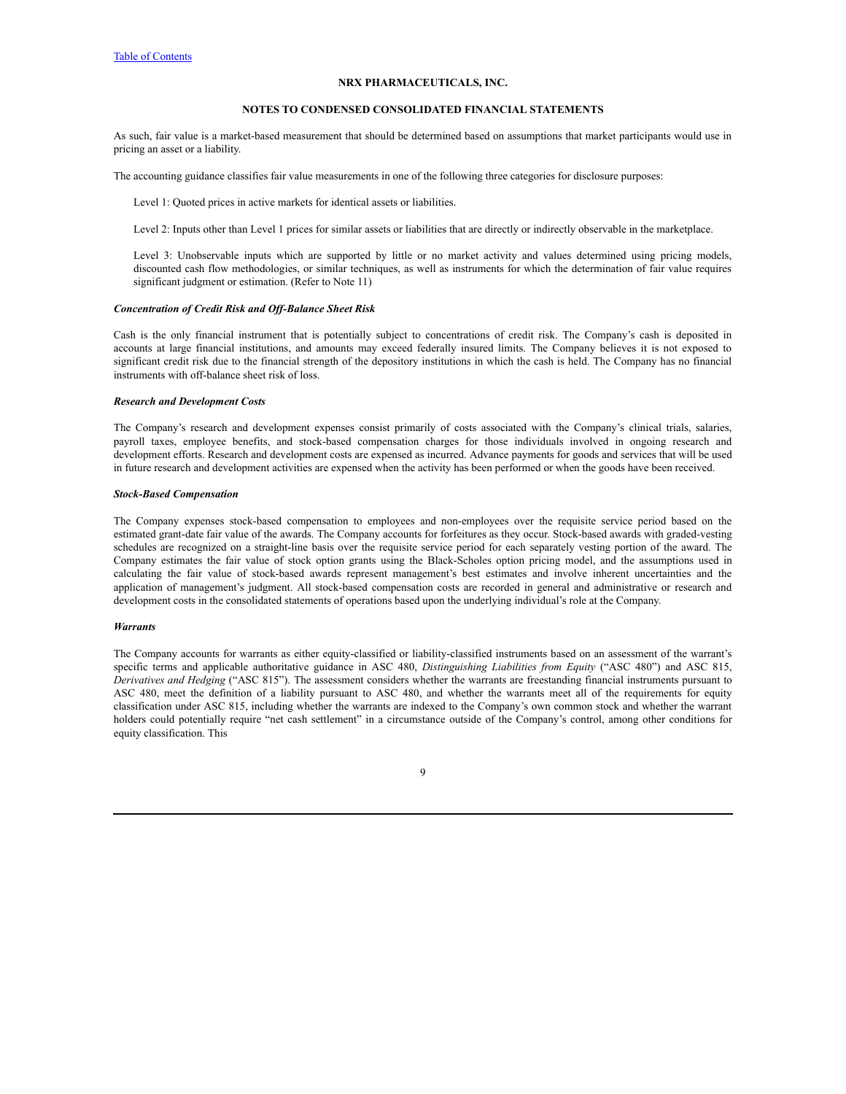#### **NOTES TO CONDENSED CONSOLIDATED FINANCIAL STATEMENTS**

As such, fair value is a market-based measurement that should be determined based on assumptions that market participants would use in pricing an asset or a liability.

The accounting guidance classifies fair value measurements in one of the following three categories for disclosure purposes:

Level 1: Quoted prices in active markets for identical assets or liabilities.

Level 2: Inputs other than Level 1 prices for similar assets or liabilities that are directly or indirectly observable in the marketplace.

Level 3: Unobservable inputs which are supported by little or no market activity and values determined using pricing models, discounted cash flow methodologies, or similar techniques, as well as instruments for which the determination of fair value requires significant judgment or estimation. (Refer to Note 11)

#### *Concentration of Credit Risk and Of -Balance Sheet Risk*

Cash is the only financial instrument that is potentially subject to concentrations of credit risk. The Company's cash is deposited in accounts at large financial institutions, and amounts may exceed federally insured limits. The Company believes it is not exposed to significant credit risk due to the financial strength of the depository institutions in which the cash is held. The Company has no financial instruments with off-balance sheet risk of loss.

# *Research and Development Costs*

The Company's research and development expenses consist primarily of costs associated with the Company's clinical trials, salaries, payroll taxes, employee benefits, and stock-based compensation charges for those individuals involved in ongoing research and development efforts. Research and development costs are expensed as incurred. Advance payments for goods and services that will be used in future research and development activities are expensed when the activity has been performed or when the goods have been received.

#### *Stock-Based Compensation*

The Company expenses stock-based compensation to employees and non-employees over the requisite service period based on the estimated grant-date fair value of the awards. The Company accounts for forfeitures as they occur. Stock-based awards with graded-vesting schedules are recognized on a straight-line basis over the requisite service period for each separately vesting portion of the award. The Company estimates the fair value of stock option grants using the Black-Scholes option pricing model, and the assumptions used in calculating the fair value of stock-based awards represent management's best estimates and involve inherent uncertainties and the application of management's judgment. All stock-based compensation costs are recorded in general and administrative or research and development costs in the consolidated statements of operations based upon the underlying individual's role at the Company.

#### *Warrants*

The Company accounts for warrants as either equity-classified or liability-classified instruments based on an assessment of the warrant's specific terms and applicable authoritative guidance in ASC 480, *Distinguishing Liabilities from Equity* ("ASC 480") and ASC 815, *Derivatives and Hedging* ("ASC 815"). The assessment considers whether the warrants are freestanding financial instruments pursuant to ASC 480, meet the definition of a liability pursuant to ASC 480, and whether the warrants meet all of the requirements for equity classification under ASC 815, including whether the warrants are indexed to the Company's own common stock and whether the warrant holders could potentially require "net cash settlement" in a circumstance outside of the Company's control, among other conditions for equity classification. This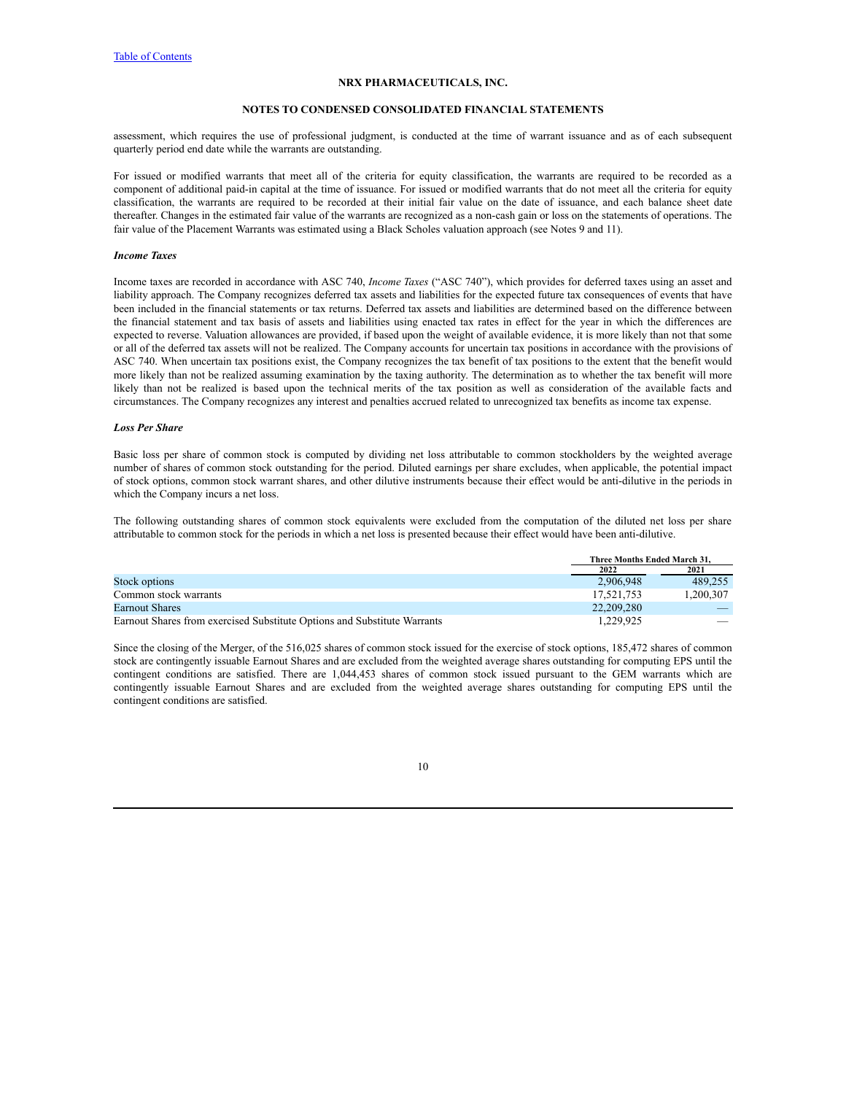### **NOTES TO CONDENSED CONSOLIDATED FINANCIAL STATEMENTS**

assessment, which requires the use of professional judgment, is conducted at the time of warrant issuance and as of each subsequent quarterly period end date while the warrants are outstanding.

For issued or modified warrants that meet all of the criteria for equity classification, the warrants are required to be recorded as a component of additional paid-in capital at the time of issuance. For issued or modified warrants that do not meet all the criteria for equity classification, the warrants are required to be recorded at their initial fair value on the date of issuance, and each balance sheet date thereafter. Changes in the estimated fair value of the warrants are recognized as a non-cash gain or loss on the statements of operations. The fair value of the Placement Warrants was estimated using a Black Scholes valuation approach (see Notes 9 and 11).

#### *Income Taxes*

Income taxes are recorded in accordance with ASC 740, *Income Taxes* ("ASC 740"), which provides for deferred taxes using an asset and liability approach. The Company recognizes deferred tax assets and liabilities for the expected future tax consequences of events that have been included in the financial statements or tax returns. Deferred tax assets and liabilities are determined based on the difference between the financial statement and tax basis of assets and liabilities using enacted tax rates in effect for the year in which the differences are expected to reverse. Valuation allowances are provided, if based upon the weight of available evidence, it is more likely than not that some or all of the deferred tax assets will not be realized. The Company accounts for uncertain tax positions in accordance with the provisions of ASC 740. When uncertain tax positions exist, the Company recognizes the tax benefit of tax positions to the extent that the benefit would more likely than not be realized assuming examination by the taxing authority. The determination as to whether the tax benefit will more likely than not be realized is based upon the technical merits of the tax position as well as consideration of the available facts and circumstances. The Company recognizes any interest and penalties accrued related to unrecognized tax benefits as income tax expense.

#### *Loss Per Share*

Basic loss per share of common stock is computed by dividing net loss attributable to common stockholders by the weighted average number of shares of common stock outstanding for the period. Diluted earnings per share excludes, when applicable, the potential impact of stock options, common stock warrant shares, and other dilutive instruments because their effect would be anti-dilutive in the periods in which the Company incurs a net loss.

The following outstanding shares of common stock equivalents were excluded from the computation of the diluted net loss per share attributable to common stock for the periods in which a net loss is presented because their effect would have been anti-dilutive.

|                                                                          | <b>Three Months Ended March 31.</b> |           |
|--------------------------------------------------------------------------|-------------------------------------|-----------|
|                                                                          | 2022                                | 2021      |
| Stock options                                                            | 2,906,948                           | 489.255   |
| Common stock warrants                                                    | 17.521.753                          | 1.200.307 |
| <b>Earnout Shares</b>                                                    | 22.209.280                          |           |
| Earnout Shares from exercised Substitute Options and Substitute Warrants | 1.229.925                           |           |

Since the closing of the Merger, of the 516,025 shares of common stock issued for the exercise of stock options, 185,472 shares of common stock are contingently issuable Earnout Shares and are excluded from the weighted average shares outstanding for computing EPS until the contingent conditions are satisfied. There are 1,044,453 shares of common stock issued pursuant to the GEM warrants which are contingently issuable Earnout Shares and are excluded from the weighted average shares outstanding for computing EPS until the contingent conditions are satisfied.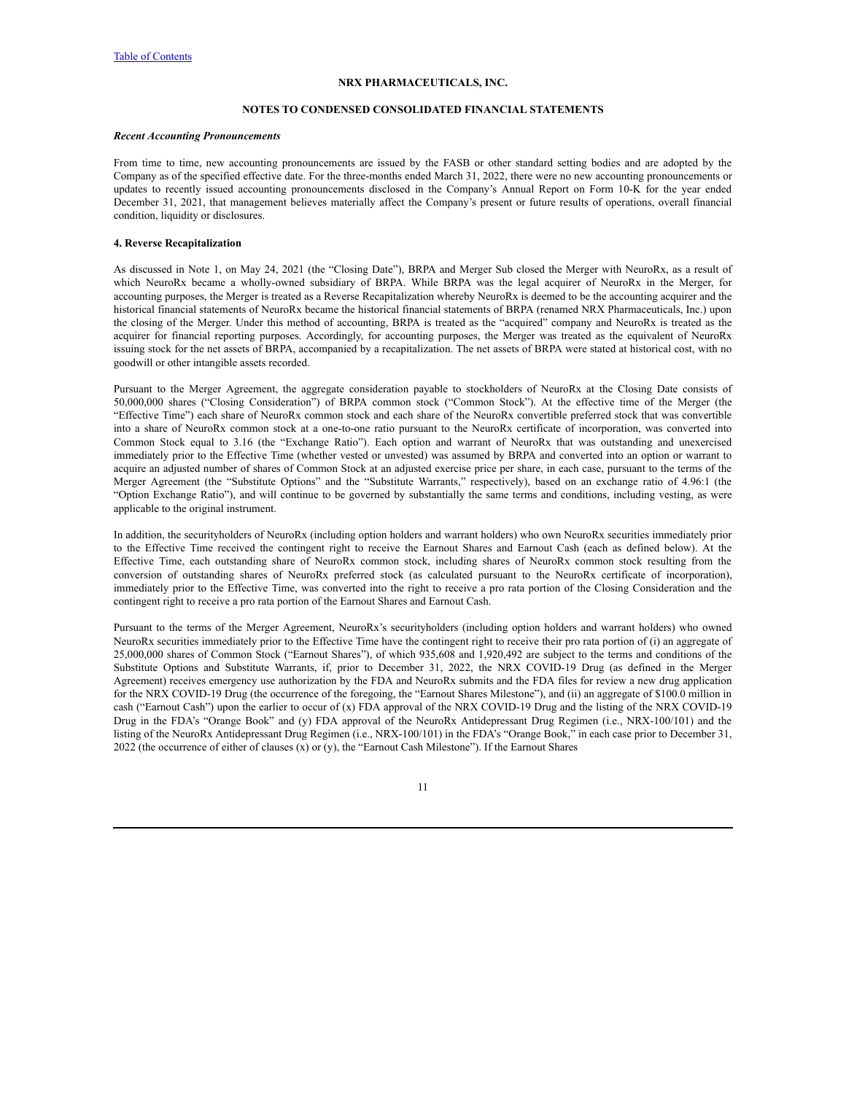### **NOTES TO CONDENSED CONSOLIDATED FINANCIAL STATEMENTS**

#### *Recent Accounting Pronouncements*

From time to time, new accounting pronouncements are issued by the FASB or other standard setting bodies and are adopted by the Company as of the specified effective date. For the three-months ended March 31, 2022, there were no new accounting pronouncements or updates to recently issued accounting pronouncements disclosed in the Company's Annual Report on Form 10-K for the year ended December 31, 2021, that management believes materially affect the Company's present or future results of operations, overall financial condition, liquidity or disclosures.

#### **4. Reverse Recapitalization**

As discussed in Note 1, on May 24, 2021 (the "Closing Date"), BRPA and Merger Sub closed the Merger with NeuroRx, as a result of which NeuroRx became a wholly-owned subsidiary of BRPA. While BRPA was the legal acquirer of NeuroRx in the Merger, for accounting purposes, the Merger is treated as a Reverse Recapitalization whereby NeuroRx is deemed to be the accounting acquirer and the historical financial statements of NeuroRx became the historical financial statements of BRPA (renamed NRX Pharmaceuticals, Inc.) upon the closing of the Merger. Under this method of accounting, BRPA is treated as the "acquired" company and NeuroRx is treated as the acquirer for financial reporting purposes. Accordingly, for accounting purposes, the Merger was treated as the equivalent of NeuroRx issuing stock for the net assets of BRPA, accompanied by a recapitalization. The net assets of BRPA were stated at historical cost, with no goodwill or other intangible assets recorded.

Pursuant to the Merger Agreement, the aggregate consideration payable to stockholders of NeuroRx at the Closing Date consists of 50,000,000 shares ("Closing Consideration") of BRPA common stock ("Common Stock"). At the effective time of the Merger (the "Effective Time") each share of NeuroRx common stock and each share of the NeuroRx convertible preferred stock that was convertible into a share of NeuroRx common stock at a one-to-one ratio pursuant to the NeuroRx certificate of incorporation, was converted into Common Stock equal to 3.16 (the "Exchange Ratio"). Each option and warrant of NeuroRx that was outstanding and unexercised immediately prior to the Effective Time (whether vested or unvested) was assumed by BRPA and converted into an option or warrant to acquire an adjusted number of shares of Common Stock at an adjusted exercise price per share, in each case, pursuant to the terms of the Merger Agreement (the "Substitute Options" and the "Substitute Warrants," respectively), based on an exchange ratio of 4.96:1 (the "Option Exchange Ratio"), and will continue to be governed by substantially the same terms and conditions, including vesting, as were applicable to the original instrument.

In addition, the securityholders of NeuroRx (including option holders and warrant holders) who own NeuroRx securities immediately prior to the Effective Time received the contingent right to receive the Earnout Shares and Earnout Cash (each as defined below). At the Effective Time, each outstanding share of NeuroRx common stock, including shares of NeuroRx common stock resulting from the conversion of outstanding shares of NeuroRx preferred stock (as calculated pursuant to the NeuroRx certificate of incorporation), immediately prior to the Effective Time, was converted into the right to receive a pro rata portion of the Closing Consideration and the contingent right to receive a pro rata portion of the Earnout Shares and Earnout Cash.

Pursuant to the terms of the Merger Agreement, NeuroRx's securityholders (including option holders and warrant holders) who owned NeuroRx securities immediately prior to the Effective Time have the contingent right to receive their pro rata portion of (i) an aggregate of 25,000,000 shares of Common Stock ("Earnout Shares"), of which 935,608 and 1,920,492 are subject to the terms and conditions of the Substitute Options and Substitute Warrants, if, prior to December 31, 2022, the NRX COVID-19 Drug (as defined in the Merger Agreement) receives emergency use authorization by the FDA and NeuroRx submits and the FDA files for review a new drug application for the NRX COVID-19 Drug (the occurrence of the foregoing, the "Earnout Shares Milestone"), and (ii) an aggregate of \$100.0 million in cash ("Earnout Cash") upon the earlier to occur of (x) FDA approval of the NRX COVID-19 Drug and the listing of the NRX COVID-19 Drug in the FDA's "Orange Book" and (y) FDA approval of the NeuroRx Antidepressant Drug Regimen (i.e., NRX-100/101) and the listing of the NeuroRx Antidepressant Drug Regimen (i.e., NRX-100/101) in the FDA's "Orange Book," in each case prior to December 31, 2022 (the occurrence of either of clauses  $(x)$  or  $(y)$ , the "Earnout Cash Milestone"). If the Earnout Shares

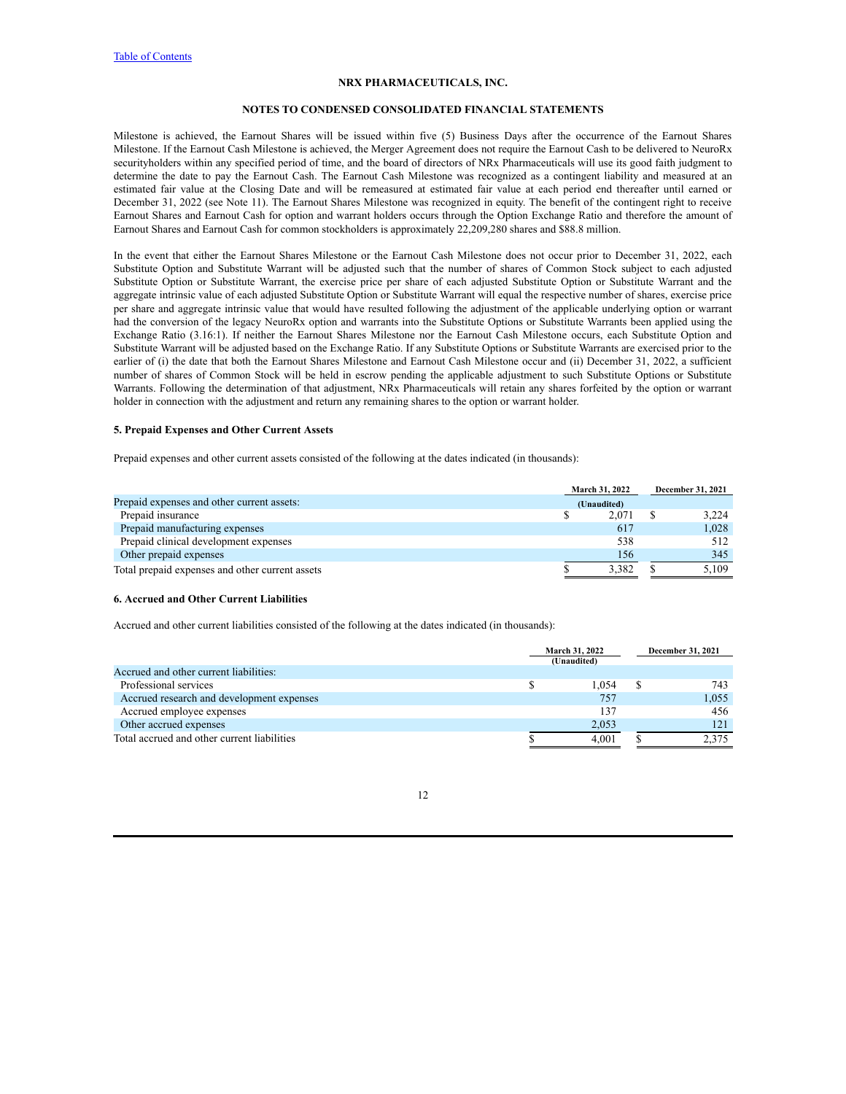#### **NOTES TO CONDENSED CONSOLIDATED FINANCIAL STATEMENTS**

Milestone is achieved, the Earnout Shares will be issued within five (5) Business Days after the occurrence of the Earnout Shares Milestone. If the Earnout Cash Milestone is achieved, the Merger Agreement does not require the Earnout Cash to be delivered to NeuroRx securityholders within any specified period of time, and the board of directors of NRx Pharmaceuticals will use its good faith judgment to determine the date to pay the Earnout Cash. The Earnout Cash Milestone was recognized as a contingent liability and measured at an estimated fair value at the Closing Date and will be remeasured at estimated fair value at each period end thereafter until earned or December 31, 2022 (see Note 11). The Earnout Shares Milestone was recognized in equity. The benefit of the contingent right to receive Earnout Shares and Earnout Cash for option and warrant holders occurs through the Option Exchange Ratio and therefore the amount of Earnout Shares and Earnout Cash for common stockholders is approximately 22,209,280 shares and \$88.8 million.

In the event that either the Earnout Shares Milestone or the Earnout Cash Milestone does not occur prior to December 31, 2022, each Substitute Option and Substitute Warrant will be adjusted such that the number of shares of Common Stock subject to each adjusted Substitute Option or Substitute Warrant, the exercise price per share of each adjusted Substitute Option or Substitute Warrant and the aggregate intrinsic value of each adjusted Substitute Option or Substitute Warrant will equal the respective number of shares, exercise price per share and aggregate intrinsic value that would have resulted following the adjustment of the applicable underlying option or warrant had the conversion of the legacy NeuroRx option and warrants into the Substitute Options or Substitute Warrants been applied using the Exchange Ratio (3.16:1). If neither the Earnout Shares Milestone nor the Earnout Cash Milestone occurs, each Substitute Option and Substitute Warrant will be adjusted based on the Exchange Ratio. If any Substitute Options or Substitute Warrants are exercised prior to the earlier of (i) the date that both the Earnout Shares Milestone and Earnout Cash Milestone occur and (ii) December 31, 2022, a sufficient number of shares of Common Stock will be held in escrow pending the applicable adjustment to such Substitute Options or Substitute Warrants. Following the determination of that adjustment, NRx Pharmaceuticals will retain any shares forfeited by the option or warrant holder in connection with the adjustment and return any remaining shares to the option or warrant holder.

#### **5. Prepaid Expenses and Other Current Assets**

Prepaid expenses and other current assets consisted of the following at the dates indicated (in thousands):

|                                                 | <b>March 31, 2022</b> |       | December 31, 2021 |  |  |
|-------------------------------------------------|-----------------------|-------|-------------------|--|--|
| Prepaid expenses and other current assets:      | (Unaudited)           |       |                   |  |  |
| Prepaid insurance                               |                       | 2.071 | 3.224             |  |  |
| Prepaid manufacturing expenses                  |                       | 617   | 1.028             |  |  |
| Prepaid clinical development expenses           |                       | 538   | 512               |  |  |
| Other prepaid expenses                          |                       | 156   | 345               |  |  |
| Total prepaid expenses and other current assets |                       | 3.382 | 5.109             |  |  |

# **6. Accrued and Other Current Liabilities**

Accrued and other current liabilities consisted of the following at the dates indicated (in thousands):

|                                             | March 31, 2022 |       |  | <b>December 31, 2021</b> |
|---------------------------------------------|----------------|-------|--|--------------------------|
|                                             | (Unaudited)    |       |  |                          |
| Accrued and other current liabilities:      |                |       |  |                          |
| Professional services                       |                | 1.054 |  | 743                      |
| Accrued research and development expenses   |                | 757   |  | 1.055                    |
| Accrued employee expenses                   |                | 137   |  | 456                      |
| Other accrued expenses                      |                | 2.053 |  | 121                      |
| Total accrued and other current liabilities |                | 4.001 |  | 2.375                    |

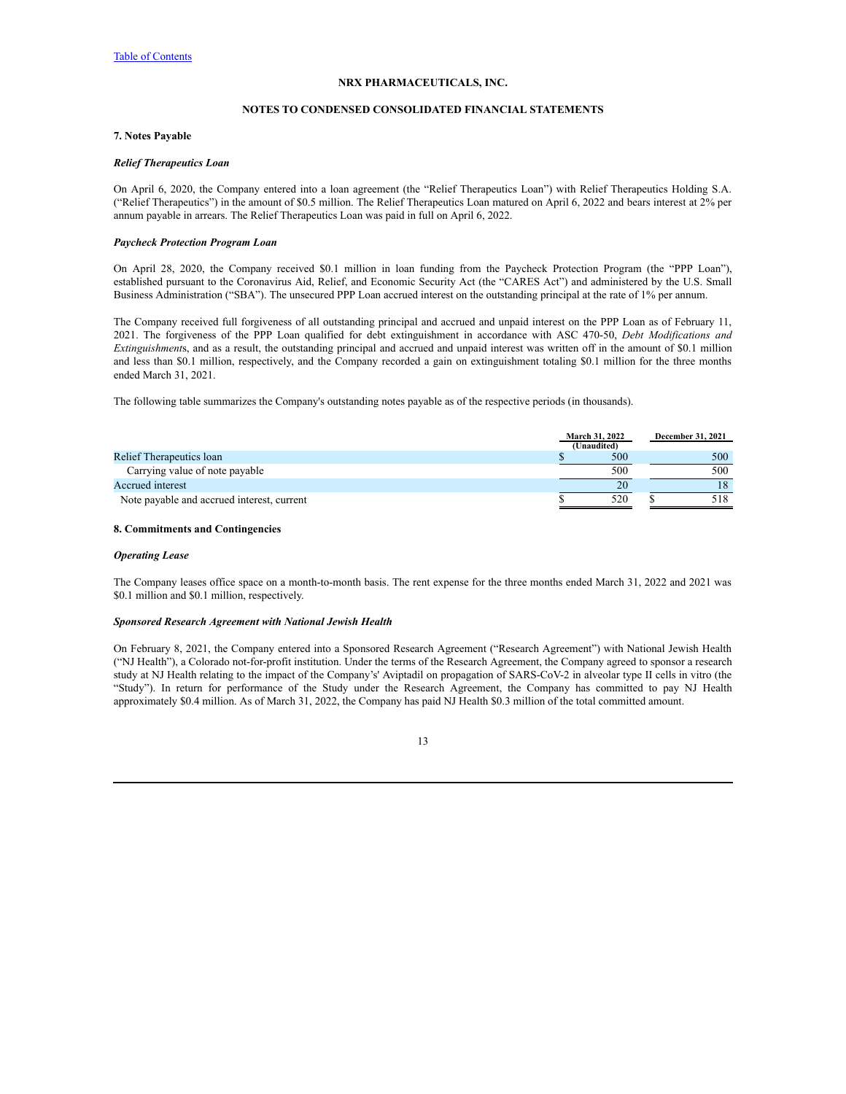### **NOTES TO CONDENSED CONSOLIDATED FINANCIAL STATEMENTS**

# **7. Notes Payable**

#### *Relief Therapeutics Loan*

On April 6, 2020, the Company entered into a loan agreement (the "Relief Therapeutics Loan") with Relief Therapeutics Holding S.A. ("Relief Therapeutics") in the amount of \$0.5 million. The Relief Therapeutics Loan matured on April 6, 2022 and bears interest at 2% per annum payable in arrears. The Relief Therapeutics Loan was paid in full on April 6, 2022.

# *Paycheck Protection Program Loan*

On April 28, 2020, the Company received \$0.1 million in loan funding from the Paycheck Protection Program (the "PPP Loan"), established pursuant to the Coronavirus Aid, Relief, and Economic Security Act (the "CARES Act") and administered by the U.S. Small Business Administration ("SBA"). The unsecured PPP Loan accrued interest on the outstanding principal at the rate of 1% per annum.

The Company received full forgiveness of all outstanding principal and accrued and unpaid interest on the PPP Loan as of February 11, 2021. The forgiveness of the PPP Loan qualified for debt extinguishment in accordance with ASC 470-50, *Debt Modifications and Extinguishment*s, and as a result, the outstanding principal and accrued and unpaid interest was written off in the amount of \$0.1 million and less than \$0.1 million, respectively, and the Company recorded a gain on extinguishment totaling \$0.1 million for the three months ended March 31, 2021.

The following table summarizes the Company's outstanding notes payable as of the respective periods (in thousands).

|                                            | March 31, 2022 | <b>December 31, 2021</b> |
|--------------------------------------------|----------------|--------------------------|
|                                            | (Unaudited)    |                          |
| Relief Therapeutics loan                   | 500            | 500                      |
| Carrying value of note payable             | 500            | 500                      |
| Accrued interest                           | 20             | 18                       |
| Note payable and accrued interest, current | 520            | 518                      |

# **8. Commitments and Contingencies**

# *Operating Lease*

The Company leases office space on a month-to-month basis. The rent expense for the three months ended March 31, 2022 and 2021 was \$0.1 million and \$0.1 million, respectively.

# *Sponsored Research Agreement with National Jewish Health*

On February 8, 2021, the Company entered into a Sponsored Research Agreement ("Research Agreement") with National Jewish Health ("NJ Health"), a Colorado not-for-profit institution. Under the terms of the Research Agreement, the Company agreed to sponsor a research study at NJ Health relating to the impact of the Company's' Aviptadil on propagation of SARS-CoV-2 in alveolar type II cells in vitro (the "Study"). In return for performance of the Study under the Research Agreement, the Company has committed to pay NJ Health approximately \$0.4 million. As of March 31, 2022, the Company has paid NJ Health \$0.3 million of the total committed amount.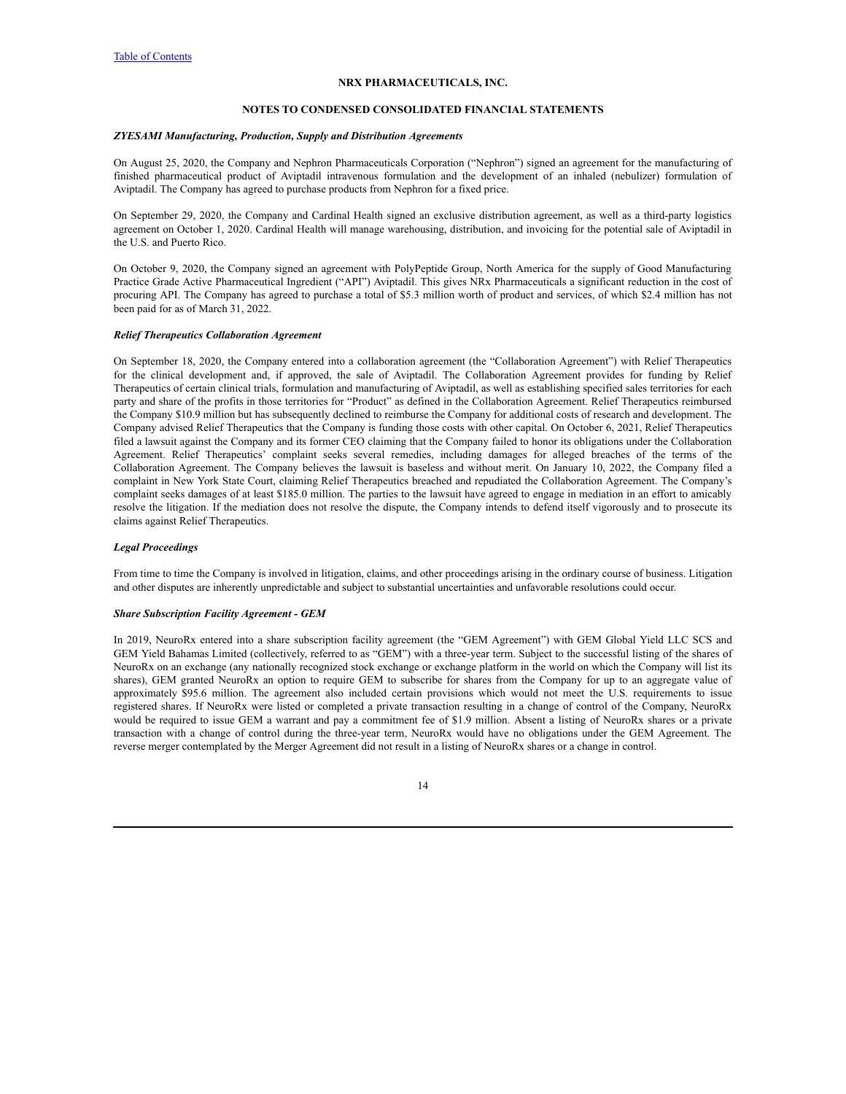#### **NOTES TO CONDENSED CONSOLIDATED FINANCIAL STATEMENTS**

# *ZYESAMI Manufacturing, Production, Supply and Distribution Agreements*

On August 25, 2020, the Company and Nephron Pharmaceuticals Corporation ("Nephron") signed an agreement for the manufacturing of finished pharmaceutical product of Aviptadil intravenous formulation and the development of an inhaled (nebulizer) formulation of Aviptadil. The Company has agreed to purchase products from Nephron for a fixed price.

On September 29, 2020, the Company and Cardinal Health signed an exclusive distribution agreement, as well as a third-party logistics agreement on October 1, 2020. Cardinal Health will manage warehousing, distribution, and invoicing for the potential sale of Aviptadil in the U.S. and Puerto Rico.

On October 9, 2020, the Company signed an agreement with PolyPeptide Group, North America for the supply of Good Manufacturing Practice Grade Active Pharmaceutical Ingredient ("API") Aviptadil. This gives NRx Pharmaceuticals a significant reduction in the cost of procuring API. The Company has agreed to purchase a total of \$5.3 million worth of product and services, of which \$2.4 million has not been paid for as of March 31, 2022.

### *Relief Therapeutics Collaboration Agreement*

On September 18, 2020, the Company entered into a collaboration agreement (the "Collaboration Agreement") with Relief Therapeutics for the clinical development and, if approved, the sale of Aviptadil. The Collaboration Agreement provides for funding by Relief Therapeutics of certain clinical trials, formulation and manufacturing of Aviptadil, as well as establishing specified sales territories for each party and share of the profits in those territories for "Product" as defined in the Collaboration Agreement. Relief Therapeutics reimbursed the Company \$10.9 million but has subsequently declined to reimburse the Company for additional costs of research and development. The Company advised Relief Therapeutics that the Company is funding those costs with other capital. On October 6, 2021, Relief Therapeutics filed a lawsuit against the Company and its former CEO claiming that the Company failed to honor its obligations under the Collaboration Agreement. Relief Therapeutics' complaint seeks several remedies, including damages for alleged breaches of the terms of the Collaboration Agreement. The Company believes the lawsuit is baseless and without merit. On January 10, 2022, the Company filed a complaint in New York State Court, claiming Relief Therapeutics breached and repudiated the Collaboration Agreement. The Company's complaint seeks damages of at least \$185.0 million. The parties to the lawsuit have agreed to engage in mediation in an effort to amicably resolve the litigation. If the mediation does not resolve the dispute, the Company intends to defend itself vigorously and to prosecute its claims against Relief Therapeutics.

# *Legal Proceedings*

From time to time the Company is involved in litigation, claims, and other proceedings arising in the ordinary course of business. Litigation and other disputes are inherently unpredictable and subject to substantial uncertainties and unfavorable resolutions could occur.

# *Share Subscription Facility Agreement - GEM*

In 2019, NeuroRx entered into a share subscription facility agreement (the "GEM Agreement") with GEM Global Yield LLC SCS and GEM Yield Bahamas Limited (collectively, referred to as "GEM") with a three-year term. Subject to the successful listing of the shares of NeuroRx on an exchange (any nationally recognized stock exchange or exchange platform in the world on which the Company will list its shares), GEM granted NeuroRx an option to require GEM to subscribe for shares from the Company for up to an aggregate value of approximately \$95.6 million. The agreement also included certain provisions which would not meet the U.S. requirements to issue registered shares. If NeuroRx were listed or completed a private transaction resulting in a change of control of the Company, NeuroRx would be required to issue GEM a warrant and pay a commitment fee of \$1.9 million. Absent a listing of NeuroRx shares or a private transaction with a change of control during the three-year term, NeuroRx would have no obligations under the GEM Agreement. The reverse merger contemplated by the Merger Agreement did not result in a listing of NeuroRx shares or a change in control.

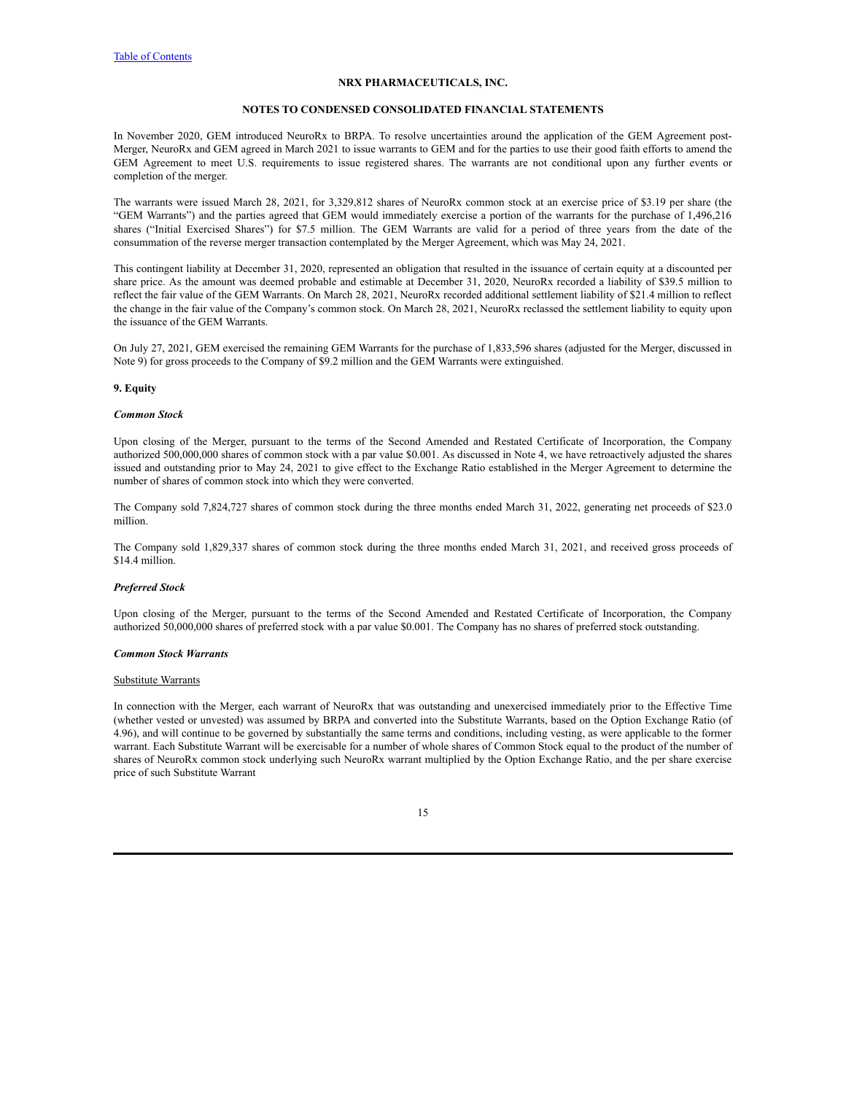#### **NOTES TO CONDENSED CONSOLIDATED FINANCIAL STATEMENTS**

In November 2020, GEM introduced NeuroRx to BRPA. To resolve uncertainties around the application of the GEM Agreement post-Merger, NeuroRx and GEM agreed in March 2021 to issue warrants to GEM and for the parties to use their good faith efforts to amend the GEM Agreement to meet U.S. requirements to issue registered shares. The warrants are not conditional upon any further events or completion of the merger.

The warrants were issued March 28, 2021, for 3,329,812 shares of NeuroRx common stock at an exercise price of \$3.19 per share (the "GEM Warrants") and the parties agreed that GEM would immediately exercise a portion of the warrants for the purchase of 1,496,216 shares ("Initial Exercised Shares") for \$7.5 million. The GEM Warrants are valid for a period of three years from the date of the consummation of the reverse merger transaction contemplated by the Merger Agreement, which was May 24, 2021.

This contingent liability at December 31, 2020, represented an obligation that resulted in the issuance of certain equity at a discounted per share price. As the amount was deemed probable and estimable at December 31, 2020, NeuroRx recorded a liability of \$39.5 million to reflect the fair value of the GEM Warrants. On March 28, 2021, NeuroRx recorded additional settlement liability of \$21.4 million to reflect the change in the fair value of the Company's common stock. On March 28, 2021, NeuroRx reclassed the settlement liability to equity upon the issuance of the GEM Warrants.

On July 27, 2021, GEM exercised the remaining GEM Warrants for the purchase of 1,833,596 shares (adjusted for the Merger, discussed in Note 9) for gross proceeds to the Company of \$9.2 million and the GEM Warrants were extinguished.

# **9. Equity**

#### *Common Stock*

Upon closing of the Merger, pursuant to the terms of the Second Amended and Restated Certificate of Incorporation, the Company authorized 500,000,000 shares of common stock with a par value \$0.001. As discussed in Note 4, we have retroactively adjusted the shares issued and outstanding prior to May 24, 2021 to give effect to the Exchange Ratio established in the Merger Agreement to determine the number of shares of common stock into which they were converted.

The Company sold 7,824,727 shares of common stock during the three months ended March 31, 2022, generating net proceeds of \$23.0 million.

The Company sold 1,829,337 shares of common stock during the three months ended March 31, 2021, and received gross proceeds of \$14.4 million.

#### *Preferred Stock*

Upon closing of the Merger, pursuant to the terms of the Second Amended and Restated Certificate of Incorporation, the Company authorized 50,000,000 shares of preferred stock with a par value \$0.001. The Company has no shares of preferred stock outstanding.

# *Common Stock Warrants*

#### Substitute Warrants

In connection with the Merger, each warrant of NeuroRx that was outstanding and unexercised immediately prior to the Effective Time (whether vested or unvested) was assumed by BRPA and converted into the Substitute Warrants, based on the Option Exchange Ratio (of 4.96), and will continue to be governed by substantially the same terms and conditions, including vesting, as were applicable to the former warrant. Each Substitute Warrant will be exercisable for a number of whole shares of Common Stock equal to the product of the number of shares of NeuroRx common stock underlying such NeuroRx warrant multiplied by the Option Exchange Ratio, and the per share exercise price of such Substitute Warrant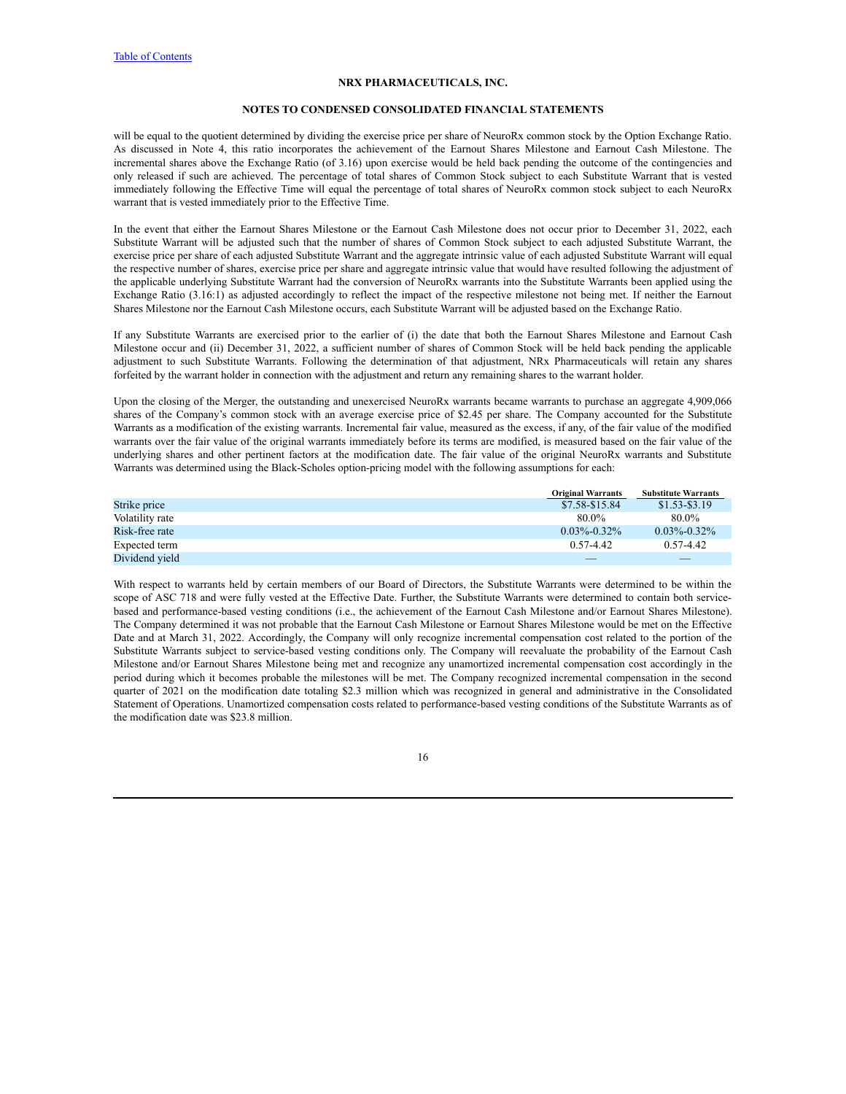#### **NOTES TO CONDENSED CONSOLIDATED FINANCIAL STATEMENTS**

will be equal to the quotient determined by dividing the exercise price per share of NeuroRx common stock by the Option Exchange Ratio. As discussed in Note 4, this ratio incorporates the achievement of the Earnout Shares Milestone and Earnout Cash Milestone. The incremental shares above the Exchange Ratio (of 3.16) upon exercise would be held back pending the outcome of the contingencies and only released if such are achieved. The percentage of total shares of Common Stock subject to each Substitute Warrant that is vested immediately following the Effective Time will equal the percentage of total shares of NeuroRx common stock subject to each NeuroRx warrant that is vested immediately prior to the Effective Time.

In the event that either the Earnout Shares Milestone or the Earnout Cash Milestone does not occur prior to December 31, 2022, each Substitute Warrant will be adjusted such that the number of shares of Common Stock subject to each adjusted Substitute Warrant, the exercise price per share of each adjusted Substitute Warrant and the aggregate intrinsic value of each adjusted Substitute Warrant will equal the respective number of shares, exercise price per share and aggregate intrinsic value that would have resulted following the adjustment of the applicable underlying Substitute Warrant had the conversion of NeuroRx warrants into the Substitute Warrants been applied using the Exchange Ratio (3.16:1) as adjusted accordingly to reflect the impact of the respective milestone not being met. If neither the Earnout Shares Milestone nor the Earnout Cash Milestone occurs, each Substitute Warrant will be adjusted based on the Exchange Ratio.

If any Substitute Warrants are exercised prior to the earlier of (i) the date that both the Earnout Shares Milestone and Earnout Cash Milestone occur and (ii) December 31, 2022, a sufficient number of shares of Common Stock will be held back pending the applicable adjustment to such Substitute Warrants. Following the determination of that adjustment, NRx Pharmaceuticals will retain any shares forfeited by the warrant holder in connection with the adjustment and return any remaining shares to the warrant holder.

Upon the closing of the Merger, the outstanding and unexercised NeuroRx warrants became warrants to purchase an aggregate 4,909,066 shares of the Company's common stock with an average exercise price of \$2.45 per share. The Company accounted for the Substitute Warrants as a modification of the existing warrants. Incremental fair value, measured as the excess, if any, of the fair value of the modified warrants over the fair value of the original warrants immediately before its terms are modified, is measured based on the fair value of the underlying shares and other pertinent factors at the modification date. The fair value of the original NeuroRx warrants and Substitute Warrants was determined using the Black-Scholes option-pricing model with the following assumptions for each:

|                 | <b>Original Warrants</b> | <b>Substitute Warrants</b> |
|-----------------|--------------------------|----------------------------|
| Strike price    | \$7.58-\$15.84           | $$1.53 - $3.19$            |
| Volatility rate | 80.0%                    | 80.0%                      |
| Risk-free rate  | $0.03\% - 0.32\%$        | $0.03\% - 0.32\%$          |
| Expected term   | $0.57 - 4.42$            | $0.57 - 4.42$              |
| Dividend vield  |                          |                            |

With respect to warrants held by certain members of our Board of Directors, the Substitute Warrants were determined to be within the scope of ASC 718 and were fully vested at the Effective Date. Further, the Substitute Warrants were determined to contain both servicebased and performance-based vesting conditions (i.e., the achievement of the Earnout Cash Milestone and/or Earnout Shares Milestone). The Company determined it was not probable that the Earnout Cash Milestone or Earnout Shares Milestone would be met on the Effective Date and at March 31, 2022. Accordingly, the Company will only recognize incremental compensation cost related to the portion of the Substitute Warrants subject to service-based vesting conditions only. The Company will reevaluate the probability of the Earnout Cash Milestone and/or Earnout Shares Milestone being met and recognize any unamortized incremental compensation cost accordingly in the period during which it becomes probable the milestones will be met. The Company recognized incremental compensation in the second quarter of 2021 on the modification date totaling \$2.3 million which was recognized in general and administrative in the Consolidated Statement of Operations. Unamortized compensation costs related to performance-based vesting conditions of the Substitute Warrants as of the modification date was \$23.8 million.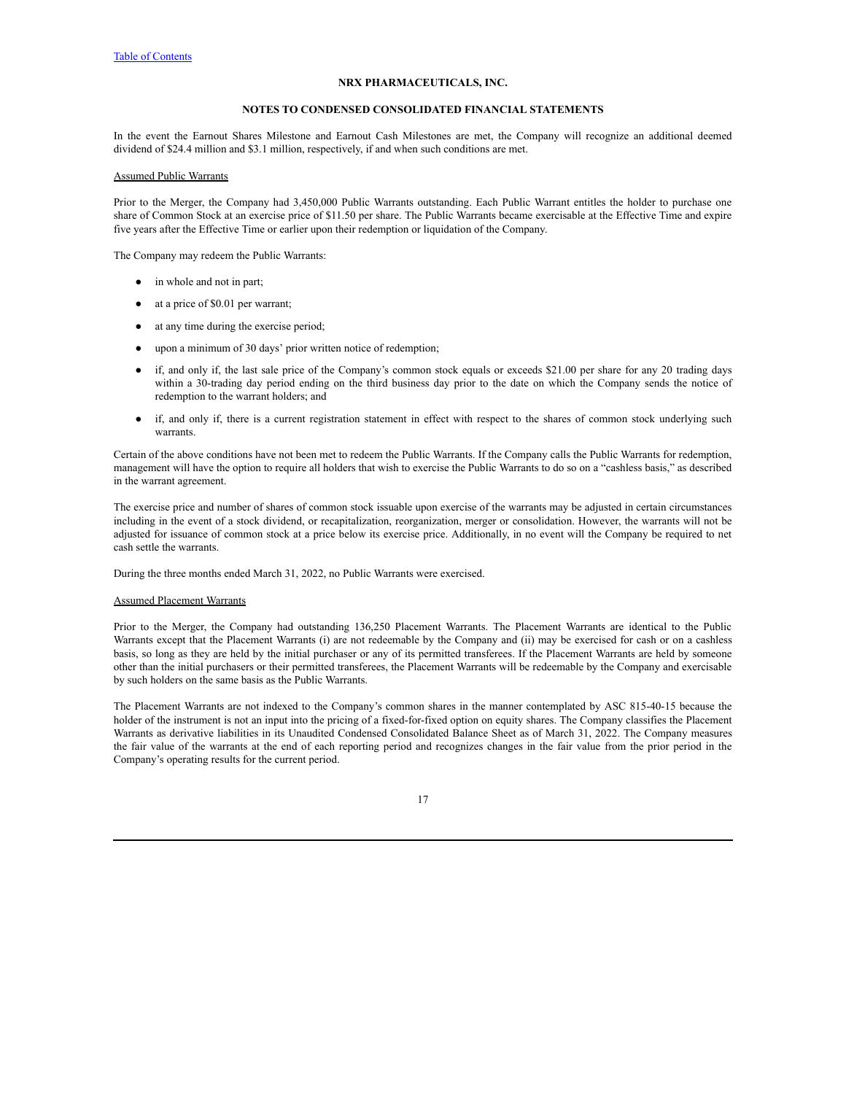# **NOTES TO CONDENSED CONSOLIDATED FINANCIAL STATEMENTS**

In the event the Earnout Shares Milestone and Earnout Cash Milestones are met, the Company will recognize an additional deemed dividend of \$24.4 million and \$3.1 million, respectively, if and when such conditions are met.

# Assumed Public Warrants

Prior to the Merger, the Company had 3,450,000 Public Warrants outstanding. Each Public Warrant entitles the holder to purchase one share of Common Stock at an exercise price of \$11.50 per share. The Public Warrants became exercisable at the Effective Time and expire five years after the Effective Time or earlier upon their redemption or liquidation of the Company.

The Company may redeem the Public Warrants:

- in whole and not in part;
- at a price of \$0.01 per warrant;
- at any time during the exercise period;
- upon a minimum of 30 days' prior written notice of redemption;
- if, and only if, the last sale price of the Company's common stock equals or exceeds \$21.00 per share for any 20 trading days within a 30-trading day period ending on the third business day prior to the date on which the Company sends the notice of redemption to the warrant holders; and
- if, and only if, there is a current registration statement in effect with respect to the shares of common stock underlying such warrants.

Certain of the above conditions have not been met to redeem the Public Warrants. If the Company calls the Public Warrants for redemption, management will have the option to require all holders that wish to exercise the Public Warrants to do so on a "cashless basis," as described in the warrant agreement.

The exercise price and number of shares of common stock issuable upon exercise of the warrants may be adjusted in certain circumstances including in the event of a stock dividend, or recapitalization, reorganization, merger or consolidation. However, the warrants will not be adjusted for issuance of common stock at a price below its exercise price. Additionally, in no event will the Company be required to net cash settle the warrants.

During the three months ended March 31, 2022, no Public Warrants were exercised.

# Assumed Placement Warrants

Prior to the Merger, the Company had outstanding 136,250 Placement Warrants. The Placement Warrants are identical to the Public Warrants except that the Placement Warrants (i) are not redeemable by the Company and (ii) may be exercised for cash or on a cashless basis, so long as they are held by the initial purchaser or any of its permitted transferees. If the Placement Warrants are held by someone other than the initial purchasers or their permitted transferees, the Placement Warrants will be redeemable by the Company and exercisable by such holders on the same basis as the Public Warrants.

The Placement Warrants are not indexed to the Company's common shares in the manner contemplated by ASC 815-40-15 because the holder of the instrument is not an input into the pricing of a fixed-for-fixed option on equity shares. The Company classifies the Placement Warrants as derivative liabilities in its Unaudited Condensed Consolidated Balance Sheet as of March 31, 2022. The Company measures the fair value of the warrants at the end of each reporting period and recognizes changes in the fair value from the prior period in the Company's operating results for the current period.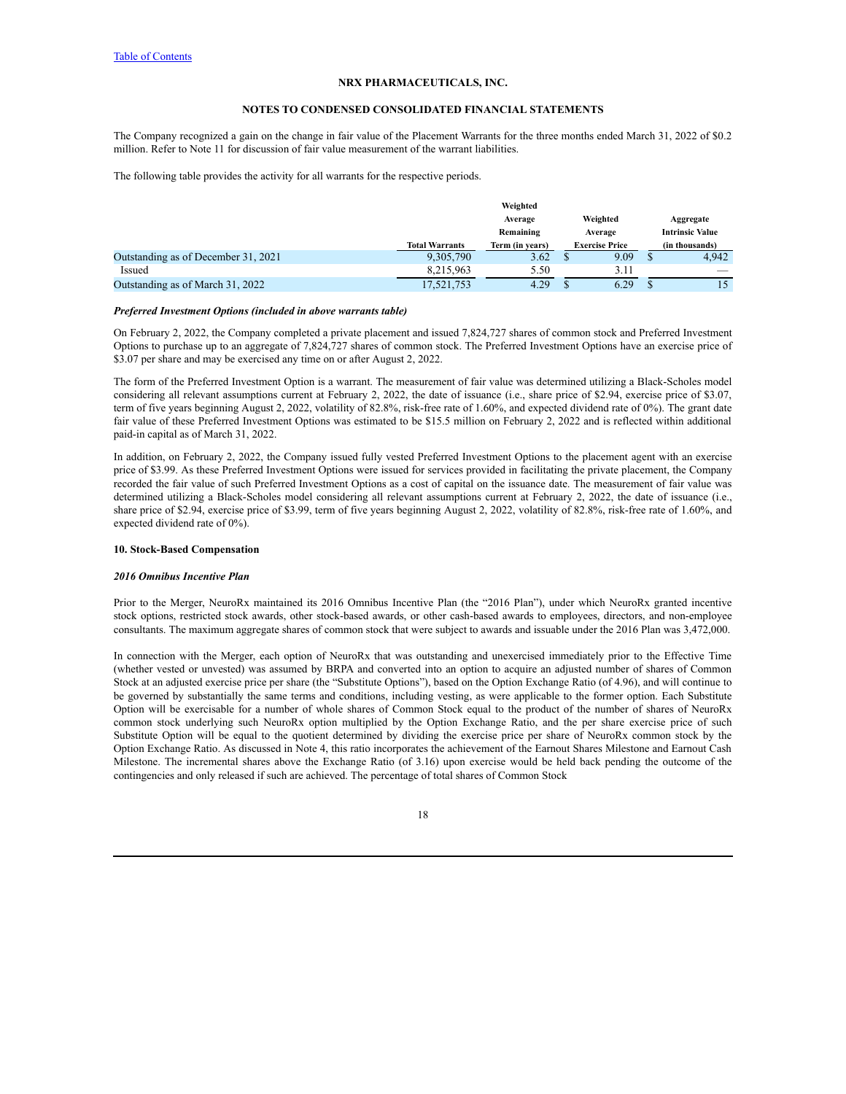### **NOTES TO CONDENSED CONSOLIDATED FINANCIAL STATEMENTS**

The Company recognized a gain on the change in fair value of the Placement Warrants for the three months ended March 31, 2022 of \$0.2 million. Refer to Note 11 for discussion of fair value measurement of the warrant liabilities.

The following table provides the activity for all warrants for the respective periods.

|                                     |                       | Weighted        |                       |                        |
|-------------------------------------|-----------------------|-----------------|-----------------------|------------------------|
|                                     |                       | Average         | Weighted              | Aggregate              |
|                                     |                       | Remaining       | Average               | <b>Intrinsic Value</b> |
|                                     | <b>Total Warrants</b> | Term (in years) | <b>Exercise Price</b> | (in thousands)         |
| Outstanding as of December 31, 2021 | 9,305,790             | 3.62            | 9.09                  | 4.942                  |
| Issued                              | 8.215.963             | 5.50            | 3.11                  |                        |
| Outstanding as of March 31, 2022    | 17,521,753            | 4.29            | 6.29                  |                        |

### *Preferred Investment Options (included in above warrants table)*

On February 2, 2022, the Company completed a private placement and issued 7,824,727 shares of common stock and Preferred Investment Options to purchase up to an aggregate of 7,824,727 shares of common stock. The Preferred Investment Options have an exercise price of \$3.07 per share and may be exercised any time on or after August 2, 2022.

The form of the Preferred Investment Option is a warrant. The measurement of fair value was determined utilizing a Black-Scholes model considering all relevant assumptions current at February 2, 2022, the date of issuance (i.e., share price of \$2.94, exercise price of \$3.07, term of five years beginning August 2, 2022, volatility of 82.8%, risk-free rate of 1.60%, and expected dividend rate of 0%). The grant date fair value of these Preferred Investment Options was estimated to be \$15.5 million on February 2, 2022 and is reflected within additional paid-in capital as of March 31, 2022.

In addition, on February 2, 2022, the Company issued fully vested Preferred Investment Options to the placement agent with an exercise price of \$3.99. As these Preferred Investment Options were issued for services provided in facilitating the private placement, the Company recorded the fair value of such Preferred Investment Options as a cost of capital on the issuance date. The measurement of fair value was determined utilizing a Black-Scholes model considering all relevant assumptions current at February 2, 2022, the date of issuance (i.e., share price of \$2.94, exercise price of \$3.99, term of five years beginning August 2, 2022, volatility of 82.8%, risk-free rate of 1.60%, and expected dividend rate of 0%).

# **10. Stock-Based Compensation**

# *2016 Omnibus Incentive Plan*

Prior to the Merger, NeuroRx maintained its 2016 Omnibus Incentive Plan (the "2016 Plan"), under which NeuroRx granted incentive stock options, restricted stock awards, other stock-based awards, or other cash-based awards to employees, directors, and non-employee consultants. The maximum aggregate shares of common stock that were subject to awards and issuable under the 2016 Plan was 3,472,000.

In connection with the Merger, each option of NeuroRx that was outstanding and unexercised immediately prior to the Effective Time (whether vested or unvested) was assumed by BRPA and converted into an option to acquire an adjusted number of shares of Common Stock at an adjusted exercise price per share (the "Substitute Options"), based on the Option Exchange Ratio (of 4.96), and will continue to be governed by substantially the same terms and conditions, including vesting, as were applicable to the former option. Each Substitute Option will be exercisable for a number of whole shares of Common Stock equal to the product of the number of shares of NeuroRx common stock underlying such NeuroRx option multiplied by the Option Exchange Ratio, and the per share exercise price of such Substitute Option will be equal to the quotient determined by dividing the exercise price per share of NeuroRx common stock by the Option Exchange Ratio. As discussed in Note 4, this ratio incorporates the achievement of the Earnout Shares Milestone and Earnout Cash Milestone. The incremental shares above the Exchange Ratio (of 3.16) upon exercise would be held back pending the outcome of the contingencies and only released if such are achieved. The percentage of total shares of Common Stock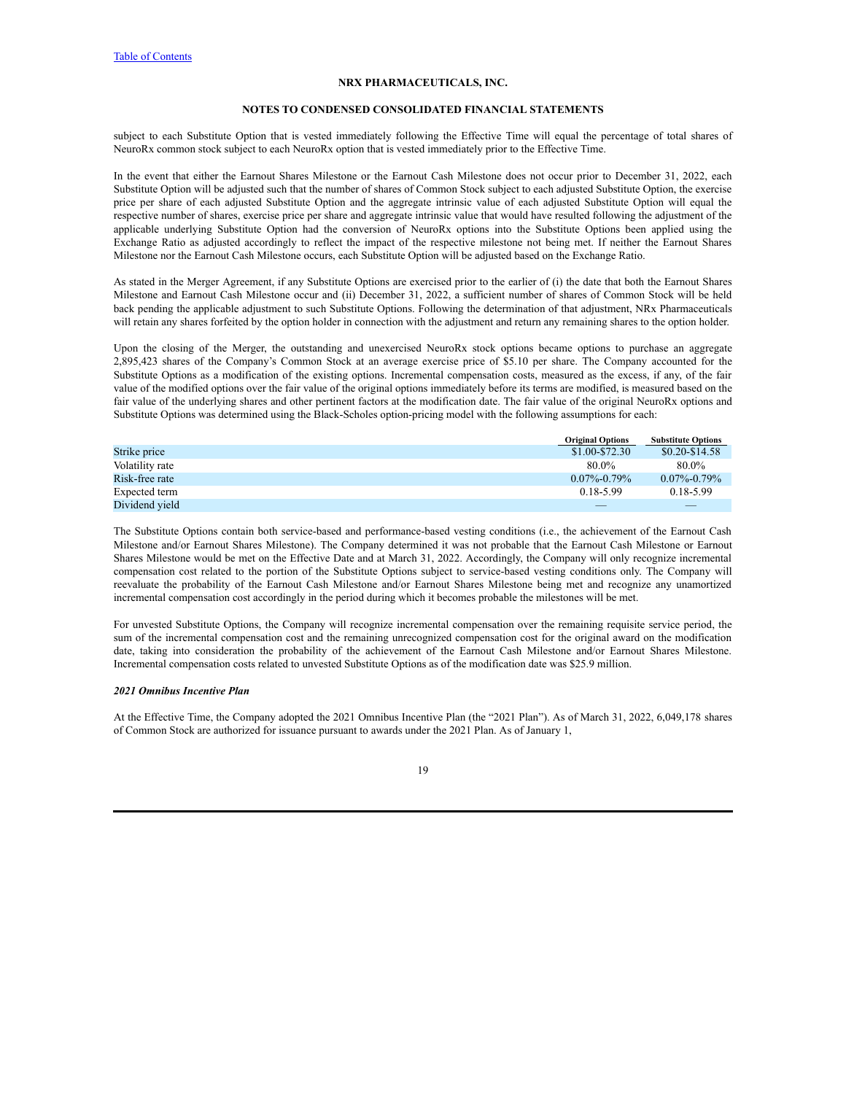#### **NOTES TO CONDENSED CONSOLIDATED FINANCIAL STATEMENTS**

subject to each Substitute Option that is vested immediately following the Effective Time will equal the percentage of total shares of NeuroRx common stock subject to each NeuroRx option that is vested immediately prior to the Effective Time.

In the event that either the Earnout Shares Milestone or the Earnout Cash Milestone does not occur prior to December 31, 2022, each Substitute Option will be adjusted such that the number of shares of Common Stock subject to each adjusted Substitute Option, the exercise price per share of each adjusted Substitute Option and the aggregate intrinsic value of each adjusted Substitute Option will equal the respective number of shares, exercise price per share and aggregate intrinsic value that would have resulted following the adjustment of the applicable underlying Substitute Option had the conversion of NeuroRx options into the Substitute Options been applied using the Exchange Ratio as adjusted accordingly to reflect the impact of the respective milestone not being met. If neither the Earnout Shares Milestone nor the Earnout Cash Milestone occurs, each Substitute Option will be adjusted based on the Exchange Ratio.

As stated in the Merger Agreement, if any Substitute Options are exercised prior to the earlier of (i) the date that both the Earnout Shares Milestone and Earnout Cash Milestone occur and (ii) December 31, 2022, a sufficient number of shares of Common Stock will be held back pending the applicable adjustment to such Substitute Options. Following the determination of that adjustment, NRx Pharmaceuticals will retain any shares forfeited by the option holder in connection with the adjustment and return any remaining shares to the option holder.

Upon the closing of the Merger, the outstanding and unexercised NeuroRx stock options became options to purchase an aggregate 2,895,423 shares of the Company's Common Stock at an average exercise price of \$5.10 per share. The Company accounted for the Substitute Options as a modification of the existing options. Incremental compensation costs, measured as the excess, if any, of the fair value of the modified options over the fair value of the original options immediately before its terms are modified, is measured based on the fair value of the underlying shares and other pertinent factors at the modification date. The fair value of the original NeuroRx options and Substitute Options was determined using the Black-Scholes option-pricing model with the following assumptions for each:

|                 | <b>Original Options</b> | <b>Substitute Options</b> |
|-----------------|-------------------------|---------------------------|
| Strike price    | $$1.00 - $72.30$        | $$0.20-S14.58$            |
| Volatility rate | 80.0%                   | 80.0%                     |
| Risk-free rate  | $0.07\% - 0.79\%$       | $0.07\% - 0.79\%$         |
| Expected term   | $0.18 - 5.99$           | 0.18-5.99                 |
| Dividend vield  |                         |                           |

The Substitute Options contain both service-based and performance-based vesting conditions (i.e., the achievement of the Earnout Cash Milestone and/or Earnout Shares Milestone). The Company determined it was not probable that the Earnout Cash Milestone or Earnout Shares Milestone would be met on the Effective Date and at March 31, 2022. Accordingly, the Company will only recognize incremental compensation cost related to the portion of the Substitute Options subject to service-based vesting conditions only. The Company will reevaluate the probability of the Earnout Cash Milestone and/or Earnout Shares Milestone being met and recognize any unamortized incremental compensation cost accordingly in the period during which it becomes probable the milestones will be met.

For unvested Substitute Options, the Company will recognize incremental compensation over the remaining requisite service period, the sum of the incremental compensation cost and the remaining unrecognized compensation cost for the original award on the modification date, taking into consideration the probability of the achievement of the Earnout Cash Milestone and/or Earnout Shares Milestone. Incremental compensation costs related to unvested Substitute Options as of the modification date was \$25.9 million.

# *2021 Omnibus Incentive Plan*

At the Effective Time, the Company adopted the 2021 Omnibus Incentive Plan (the "2021 Plan"). As of March 31, 2022, 6,049,178 shares of Common Stock are authorized for issuance pursuant to awards under the 2021 Plan. As of January 1,

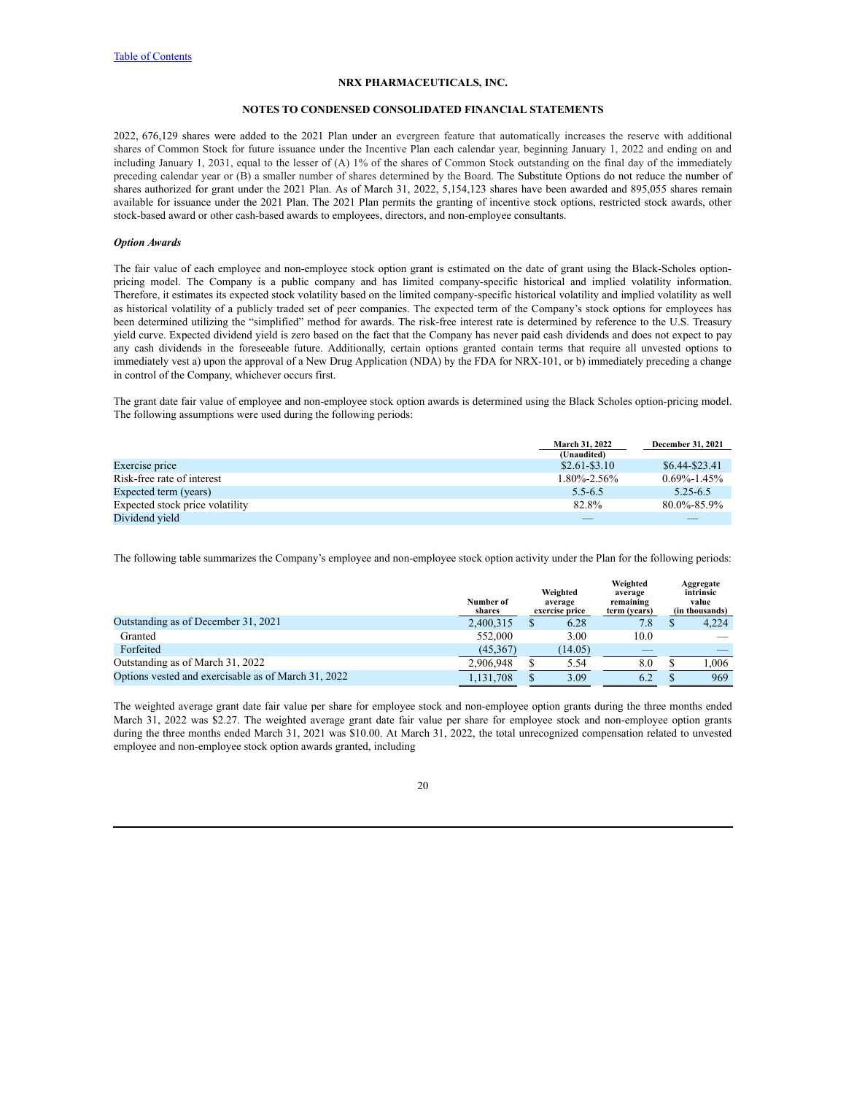#### **NOTES TO CONDENSED CONSOLIDATED FINANCIAL STATEMENTS**

2022, 676,129 shares were added to the 2021 Plan under an evergreen feature that automatically increases the reserve with additional shares of Common Stock for future issuance under the Incentive Plan each calendar year, beginning January 1, 2022 and ending on and including January 1, 2031, equal to the lesser of (A) 1% of the shares of Common Stock outstanding on the final day of the immediately preceding calendar year or (B) a smaller number of shares determined by the Board. The Substitute Options do not reduce the number of shares authorized for grant under the 2021 Plan. As of March 31, 2022, 5,154,123 shares have been awarded and 895,055 shares remain available for issuance under the 2021 Plan. The 2021 Plan permits the granting of incentive stock options, restricted stock awards, other stock-based award or other cash-based awards to employees, directors, and non-employee consultants.

# *Option Awards*

The fair value of each employee and non-employee stock option grant is estimated on the date of grant using the Black-Scholes optionpricing model. The Company is a public company and has limited company-specific historical and implied volatility information. Therefore, it estimates its expected stock volatility based on the limited company-specific historical volatility and implied volatility as well as historical volatility of a publicly traded set of peer companies. The expected term of the Company's stock options for employees has been determined utilizing the "simplified" method for awards. The risk-free interest rate is determined by reference to the U.S. Treasury yield curve. Expected dividend yield is zero based on the fact that the Company has never paid cash dividends and does not expect to pay any cash dividends in the foreseeable future. Additionally, certain options granted contain terms that require all unvested options to immediately vest a) upon the approval of a New Drug Application (NDA) by the FDA for NRX-101, or b) immediately preceding a change in control of the Company, whichever occurs first.

The grant date fair value of employee and non-employee stock option awards is determined using the Black Scholes option-pricing model. The following assumptions were used during the following periods:

|                                 | <b>March 31, 2022</b> | <b>December 31, 2021</b> |
|---------------------------------|-----------------------|--------------------------|
|                                 | (Unaudited)           |                          |
| Exercise price                  | $$2.61 - $3.10$       | \$6.44-\$23.41           |
| Risk-free rate of interest      | $1.80\% - 2.56\%$     | $0.69\% - 1.45\%$        |
| Expected term (years)           | $5.5 - 6.5$           | $5.25 - 6.5$             |
| Expected stock price volatility | 82.8%                 | $80.0\% - 85.9\%$        |
| Dividend vield                  |                       |                          |

The following table summarizes the Company's employee and non-employee stock option activity under the Plan for the following periods:

|                                                     | Number of<br>shares | Weighted<br>average<br>exercise price | Weighted<br>average<br>remaining<br>term (vears) | Aggregate<br>intrinsic<br>value<br>(in thousands) |
|-----------------------------------------------------|---------------------|---------------------------------------|--------------------------------------------------|---------------------------------------------------|
| Outstanding as of December 31, 2021                 | 2,400,315           | 6.28                                  | 7.8                                              | 4,224                                             |
| Granted                                             | 552,000             | 3.00                                  | 10.0                                             |                                                   |
| Forfeited                                           | (45,367)            | (14.05)                               |                                                  |                                                   |
| Outstanding as of March 31, 2022                    | 2.906.948           | 5.54                                  | 8.0                                              | 1.006                                             |
| Options vested and exercisable as of March 31, 2022 | 1,131,708           | 3.09                                  | 6.2                                              | 969                                               |

The weighted average grant date fair value per share for employee stock and non-employee option grants during the three months ended March 31, 2022 was \$2.27. The weighted average grant date fair value per share for employee stock and non-employee option grants during the three months ended March 31, 2021 was \$10.00. At March 31, 2022, the total unrecognized compensation related to unvested employee and non-employee stock option awards granted, including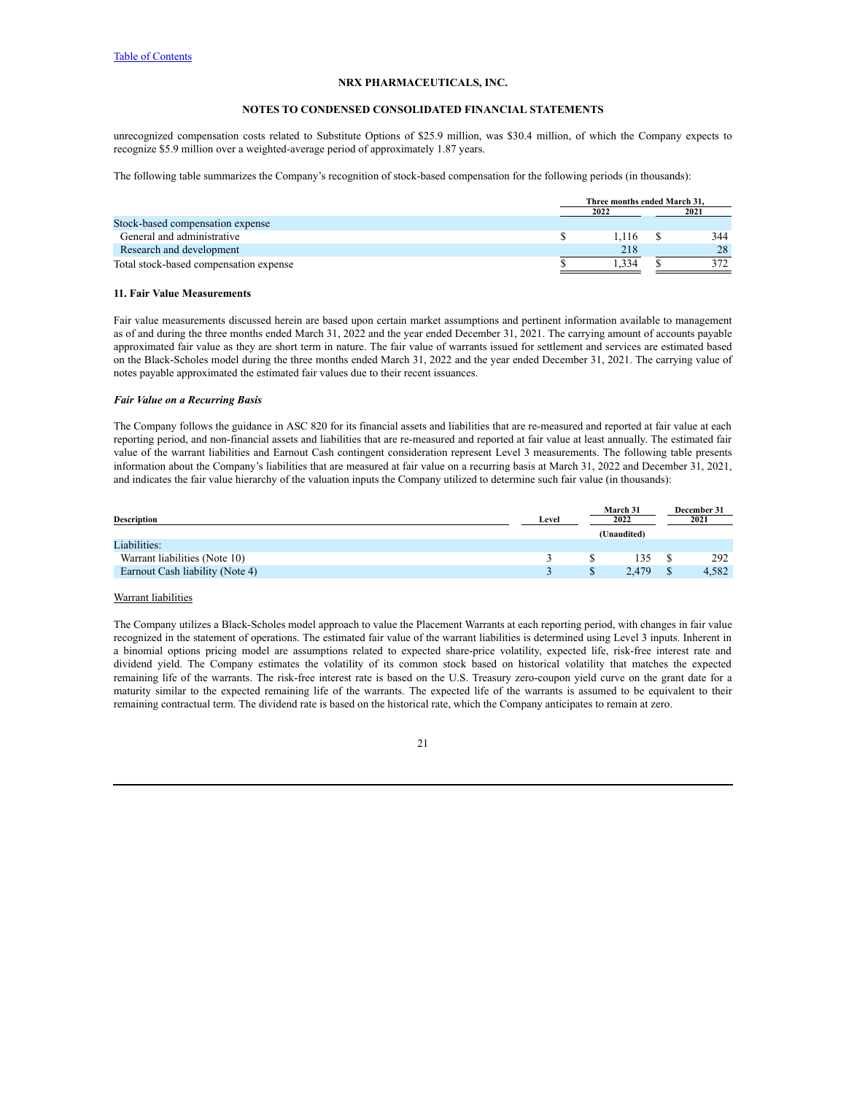### **NOTES TO CONDENSED CONSOLIDATED FINANCIAL STATEMENTS**

unrecognized compensation costs related to Substitute Options of \$25.9 million, was \$30.4 million, of which the Company expects to recognize \$5.9 million over a weighted-average period of approximately 1.87 years.

The following table summarizes the Company's recognition of stock-based compensation for the following periods (in thousands):

|                                        | Three months ended March 31. |       |  |      |  |
|----------------------------------------|------------------------------|-------|--|------|--|
|                                        | 2022                         |       |  | 2021 |  |
| Stock-based compensation expense       |                              |       |  |      |  |
| General and administrative             |                              | 1.116 |  | 344  |  |
| Research and development               |                              | 218   |  | 28   |  |
| Total stock-based compensation expense |                              | 334   |  | 372  |  |

# **11. Fair Value Measurements**

Fair value measurements discussed herein are based upon certain market assumptions and pertinent information available to management as of and during the three months ended March 31, 2022 and the year ended December 31, 2021. The carrying amount of accounts payable approximated fair value as they are short term in nature. The fair value of warrants issued for settlement and services are estimated based on the Black-Scholes model during the three months ended March 31, 2022 and the year ended December 31, 2021. The carrying value of notes payable approximated the estimated fair values due to their recent issuances.

#### *Fair Value on a Recurring Basis*

The Company follows the guidance in ASC 820 for its financial assets and liabilities that are re-measured and reported at fair value at each reporting period, and non-financial assets and liabilities that are re-measured and reported at fair value at least annually. The estimated fair value of the warrant liabilities and Earnout Cash contingent consideration represent Level 3 measurements. The following table presents information about the Company's liabilities that are measured at fair value on a recurring basis at March 31, 2022 and December 31, 2021, and indicates the fair value hierarchy of the valuation inputs the Company utilized to determine such fair value (in thousands):

|                                 |       | March 31    | December 31 |
|---------------------------------|-------|-------------|-------------|
| Description                     | Level | 2022        | 2021        |
|                                 |       | (Unaudited) |             |
| Liabilities:                    |       |             |             |
| Warrant liabilities (Note 10)   |       |             | 292         |
| Earnout Cash liability (Note 4) |       | 2.479       | 4.582       |

# Warrant liabilities

The Company utilizes a Black-Scholes model approach to value the Placement Warrants at each reporting period, with changes in fair value recognized in the statement of operations. The estimated fair value of the warrant liabilities is determined using Level 3 inputs. Inherent in a binomial options pricing model are assumptions related to expected share-price volatility, expected life, risk-free interest rate and dividend yield. The Company estimates the volatility of its common stock based on historical volatility that matches the expected remaining life of the warrants. The risk-free interest rate is based on the U.S. Treasury zero-coupon yield curve on the grant date for a maturity similar to the expected remaining life of the warrants. The expected life of the warrants is assumed to be equivalent to their remaining contractual term. The dividend rate is based on the historical rate, which the Company anticipates to remain at zero.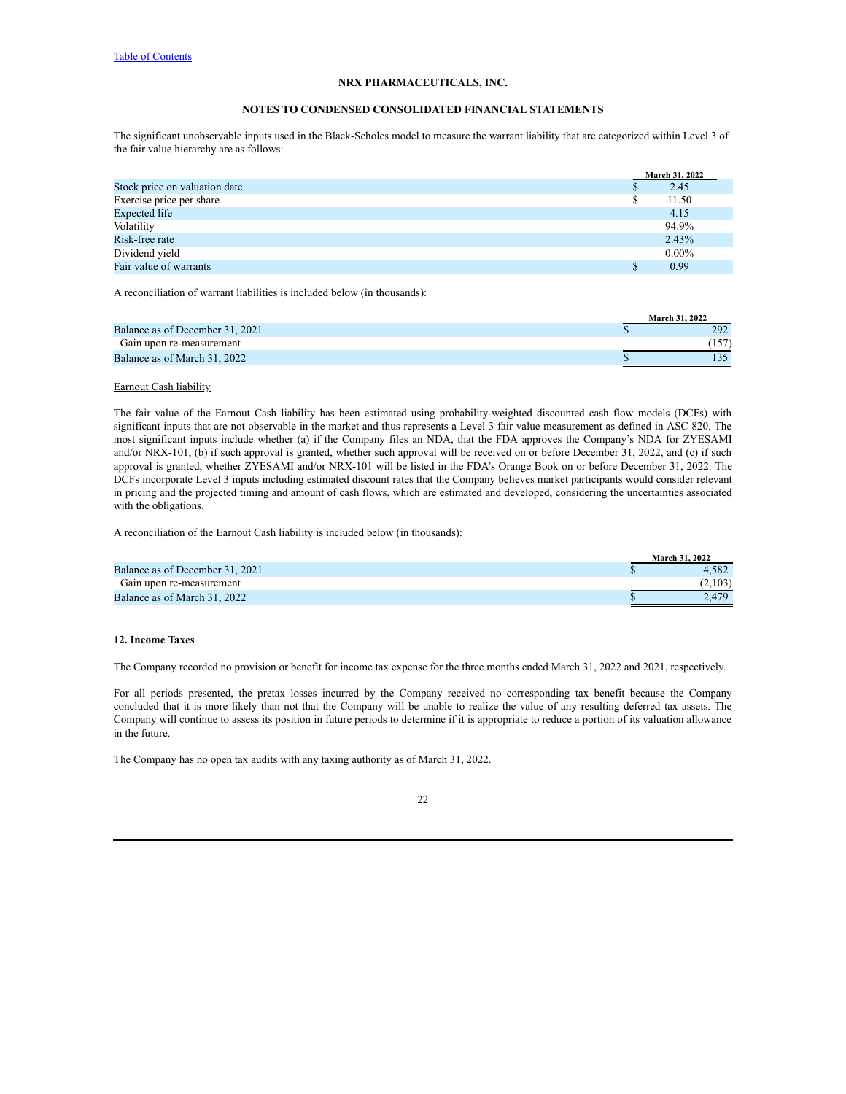# **NOTES TO CONDENSED CONSOLIDATED FINANCIAL STATEMENTS**

The significant unobservable inputs used in the Black-Scholes model to measure the warrant liability that are categorized within Level 3 of the fair value hierarchy are as follows:

|                               |  | <b>March 31, 2022</b> |
|-------------------------------|--|-----------------------|
| Stock price on valuation date |  | 2.45                  |
| Exercise price per share      |  | 11.50                 |
| Expected life                 |  | 4.15                  |
| Volatility                    |  | 94.9%                 |
| Risk-free rate                |  | 2.43%                 |
| Dividend yield                |  | $0.00\%$              |
| Fair value of warrants        |  | 0.99                  |

A reconciliation of warrant liabilities is included below (in thousands):

|                                 | March 31, 2022 |
|---------------------------------|----------------|
| Balance as of December 31, 2021 | 292            |
| Gain upon re-measurement        |                |
| Balance as of March 31, 2022    |                |

# Earnout Cash liability

The fair value of the Earnout Cash liability has been estimated using probability-weighted discounted cash flow models (DCFs) with significant inputs that are not observable in the market and thus represents a Level 3 fair value measurement as defined in ASC 820. The most significant inputs include whether (a) if the Company files an NDA, that the FDA approves the Company's NDA for ZYESAMI and/or NRX-101, (b) if such approval is granted, whether such approval will be received on or before December 31, 2022, and (c) if such approval is granted, whether ZYESAMI and/or NRX-101 will be listed in the FDA's Orange Book on or before December 31, 2022. The DCFs incorporate Level 3 inputs including estimated discount rates that the Company believes market participants would consider relevant in pricing and the projected timing and amount of cash flows, which are estimated and developed, considering the uncertainties associated with the obligations.

A reconciliation of the Earnout Cash liability is included below (in thousands):

|                                 | <b>March 31, 2022</b> |
|---------------------------------|-----------------------|
| Balance as of December 31, 2021 | 4.582                 |
| Gain upon re-measurement        | (2,103)               |
| Balance as of March 31, 2022    | 2.479                 |

#### **12. Income Taxes**

The Company recorded no provision or benefit for income tax expense for the three months ended March 31, 2022 and 2021, respectively.

For all periods presented, the pretax losses incurred by the Company received no corresponding tax benefit because the Company concluded that it is more likely than not that the Company will be unable to realize the value of any resulting deferred tax assets. The Company will continue to assess its position in future periods to determine if it is appropriate to reduce a portion of its valuation allowance in the future.

The Company has no open tax audits with any taxing authority as of March 31, 2022.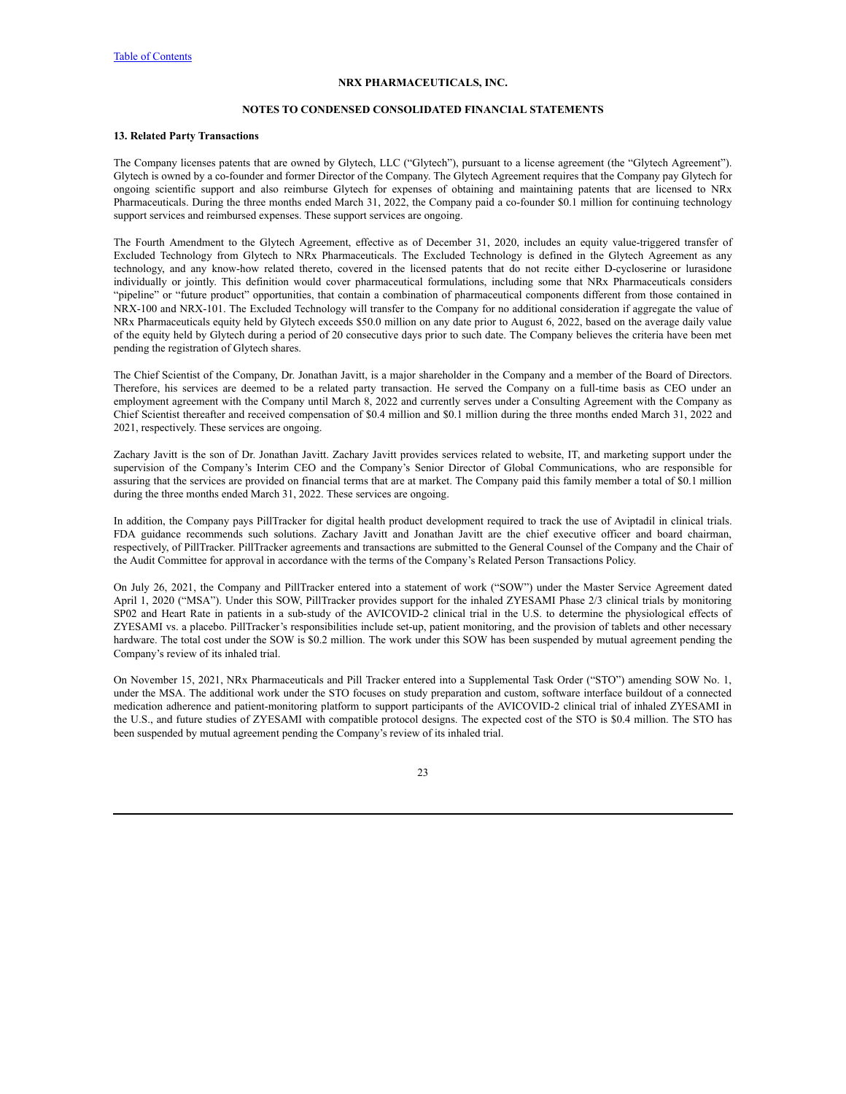# **NOTES TO CONDENSED CONSOLIDATED FINANCIAL STATEMENTS**

# **13. Related Party Transactions**

The Company licenses patents that are owned by Glytech, LLC ("Glytech"), pursuant to a license agreement (the "Glytech Agreement"). Glytech is owned by a co-founder and former Director of the Company. The Glytech Agreement requires that the Company pay Glytech for ongoing scientific support and also reimburse Glytech for expenses of obtaining and maintaining patents that are licensed to NRx Pharmaceuticals. During the three months ended March 31, 2022, the Company paid a co-founder \$0.1 million for continuing technology support services and reimbursed expenses. These support services are ongoing.

The Fourth Amendment to the Glytech Agreement, effective as of December 31, 2020, includes an equity value-triggered transfer of Excluded Technology from Glytech to NRx Pharmaceuticals. The Excluded Technology is defined in the Glytech Agreement as any technology, and any know-how related thereto, covered in the licensed patents that do not recite either D-cycloserine or lurasidone individually or jointly. This definition would cover pharmaceutical formulations, including some that NRx Pharmaceuticals considers "pipeline" or "future product" opportunities, that contain a combination of pharmaceutical components different from those contained in NRX-100 and NRX-101. The Excluded Technology will transfer to the Company for no additional consideration if aggregate the value of NRx Pharmaceuticals equity held by Glytech exceeds \$50.0 million on any date prior to August 6, 2022, based on the average daily value of the equity held by Glytech during a period of 20 consecutive days prior to such date. The Company believes the criteria have been met pending the registration of Glytech shares.

The Chief Scientist of the Company, Dr. Jonathan Javitt, is a major shareholder in the Company and a member of the Board of Directors. Therefore, his services are deemed to be a related party transaction. He served the Company on a full-time basis as CEO under an employment agreement with the Company until March 8, 2022 and currently serves under a Consulting Agreement with the Company as Chief Scientist thereafter and received compensation of \$0.4 million and \$0.1 million during the three months ended March 31, 2022 and 2021, respectively. These services are ongoing.

Zachary Javitt is the son of Dr. Jonathan Javitt. Zachary Javitt provides services related to website, IT, and marketing support under the supervision of the Company's Interim CEO and the Company's Senior Director of Global Communications, who are responsible for assuring that the services are provided on financial terms that are at market. The Company paid this family member a total of \$0.1 million during the three months ended March 31, 2022. These services are ongoing.

In addition, the Company pays PillTracker for digital health product development required to track the use of Aviptadil in clinical trials. FDA guidance recommends such solutions. Zachary Javitt and Jonathan Javitt are the chief executive officer and board chairman, respectively, of PillTracker. PillTracker agreements and transactions are submitted to the General Counsel of the Company and the Chair of the Audit Committee for approval in accordance with the terms of the Company's Related Person Transactions Policy.

On July 26, 2021, the Company and PillTracker entered into a statement of work ("SOW") under the Master Service Agreement dated April 1, 2020 ("MSA"). Under this SOW, PillTracker provides support for the inhaled ZYESAMI Phase 2/3 clinical trials by monitoring SP02 and Heart Rate in patients in a sub-study of the AVICOVID-2 clinical trial in the U.S. to determine the physiological effects of ZYESAMI vs. a placebo. PillTracker's responsibilities include set-up, patient monitoring, and the provision of tablets and other necessary hardware. The total cost under the SOW is \$0.2 million. The work under this SOW has been suspended by mutual agreement pending the Company's review of its inhaled trial.

On November 15, 2021, NRx Pharmaceuticals and Pill Tracker entered into a Supplemental Task Order ("STO") amending SOW No. 1, under the MSA. The additional work under the STO focuses on study preparation and custom, software interface buildout of a connected medication adherence and patient-monitoring platform to support participants of the AVICOVID-2 clinical trial of inhaled ZYESAMI in the U.S., and future studies of ZYESAMI with compatible protocol designs. The expected cost of the STO is \$0.4 million. The STO has been suspended by mutual agreement pending the Company's review of its inhaled trial.

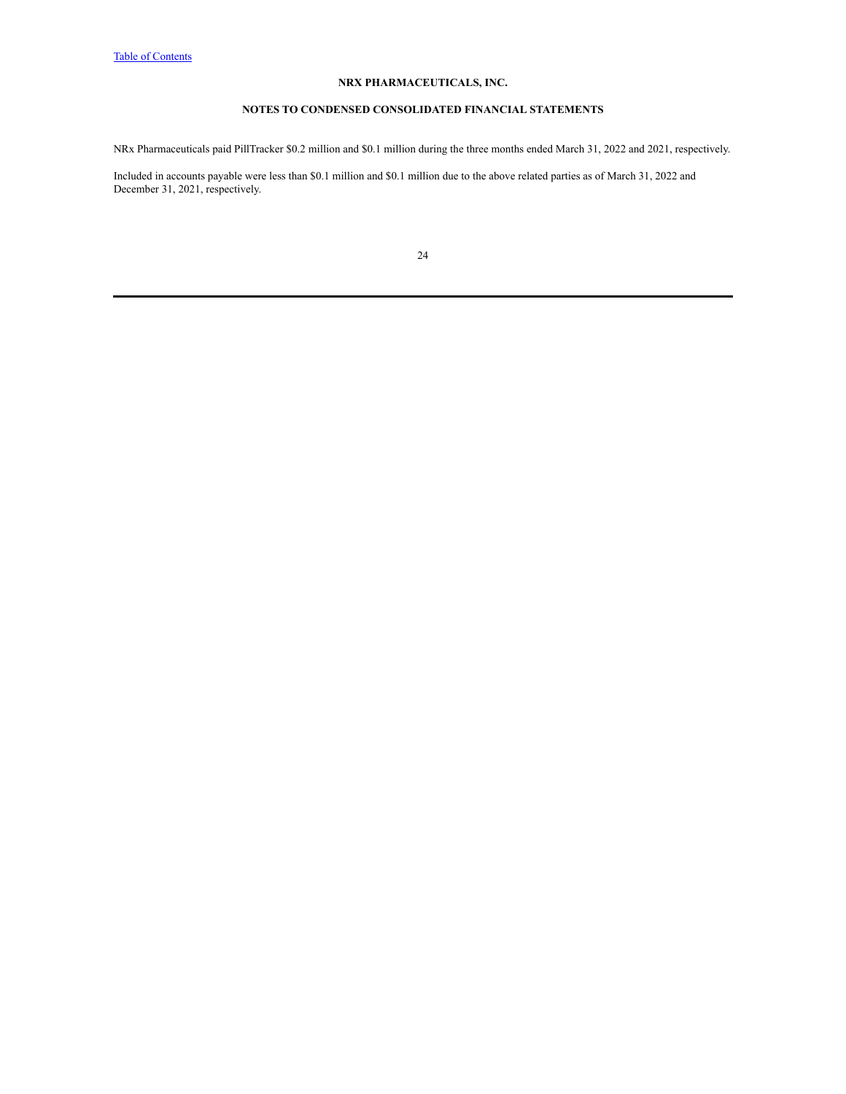# **NOTES TO CONDENSED CONSOLIDATED FINANCIAL STATEMENTS**

NRx Pharmaceuticals paid PillTracker \$0.2 million and \$0.1 million during the three months ended March 31, 2022 and 2021, respectively.

Included in accounts payable were less than \$0.1 million and \$0.1 million due to the above related parties as of March 31, 2022 and December 31, 2021, respectively.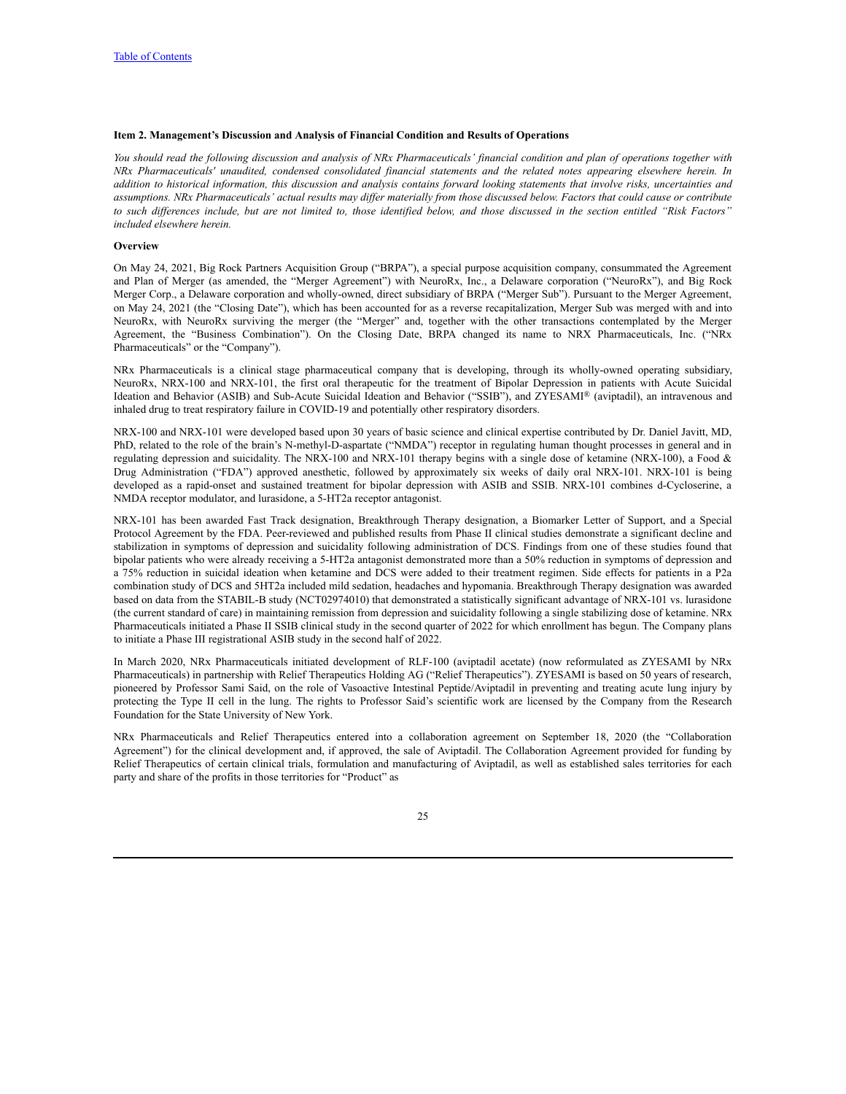# <span id="page-24-0"></span>**Item 2. Management's Discussion and Analysis of Financial Condition and Results of Operations**

You should read the following discussion and analysis of NRx Pharmaceuticals' financial condition and plan of operations together with NRx Pharmaceuticals' unaudited, condensed consolidated financial statements and the related notes appearing elsewhere herein. In addition to historical information, this discussion and analysis contains forward looking statements that involve risks, uncertainties and assumptions. NRx Pharmaceuticals' actual results may differ materially from those discussed below. Factors that could cause or contribute to such differences include, but are not limited to, those identified below, and those discussed in the section entitled "Risk Factors" *included elsewhere herein.*

#### **Overview**

On May 24, 2021, Big Rock Partners Acquisition Group ("BRPA"), a special purpose acquisition company, consummated the Agreement and Plan of Merger (as amended, the "Merger Agreement") with NeuroRx, Inc., a Delaware corporation ("NeuroRx"), and Big Rock Merger Corp., a Delaware corporation and wholly-owned, direct subsidiary of BRPA ("Merger Sub"). Pursuant to the Merger Agreement, on May 24, 2021 (the "Closing Date"), which has been accounted for as a reverse recapitalization, Merger Sub was merged with and into NeuroRx, with NeuroRx surviving the merger (the "Merger" and, together with the other transactions contemplated by the Merger Agreement, the "Business Combination"). On the Closing Date, BRPA changed its name to NRX Pharmaceuticals, Inc. ("NRx Pharmaceuticals" or the "Company").

NRx Pharmaceuticals is a clinical stage pharmaceutical company that is developing, through its wholly-owned operating subsidiary, NeuroRx, NRX-100 and NRX-101, the first oral therapeutic for the treatment of Bipolar Depression in patients with Acute Suicidal Ideation and Behavior (ASIB) and Sub-Acute Suicidal Ideation and Behavior ("SSIB"), and ZYESAMI® (aviptadil), an intravenous and inhaled drug to treat respiratory failure in COVID-19 and potentially other respiratory disorders.

NRX-100 and NRX-101 were developed based upon 30 years of basic science and clinical expertise contributed by Dr. Daniel Javitt, MD, PhD, related to the role of the brain's N-methyl-D-aspartate ("NMDA") receptor in regulating human thought processes in general and in regulating depression and suicidality. The NRX-100 and NRX-101 therapy begins with a single dose of ketamine (NRX-100), a Food & Drug Administration ("FDA") approved anesthetic, followed by approximately six weeks of daily oral NRX-101. NRX-101 is being developed as a rapid-onset and sustained treatment for bipolar depression with ASIB and SSIB. NRX-101 combines d-Cycloserine, a NMDA receptor modulator, and lurasidone, a 5-HT2a receptor antagonist.

NRX-101 has been awarded Fast Track designation, Breakthrough Therapy designation, a Biomarker Letter of Support, and a Special Protocol Agreement by the FDA. Peer-reviewed and published results from Phase II clinical studies demonstrate a significant decline and stabilization in symptoms of depression and suicidality following administration of DCS. Findings from one of these studies found that bipolar patients who were already receiving a 5-HT2a antagonist demonstrated more than a 50% reduction in symptoms of depression and a 75% reduction in suicidal ideation when ketamine and DCS were added to their treatment regimen. Side effects for patients in a P2a combination study of DCS and 5HT2a included mild sedation, headaches and hypomania. Breakthrough Therapy designation was awarded based on data from the STABIL-B study (NCT02974010) that demonstrated a statistically significant advantage of NRX-101 vs. lurasidone (the current standard of care) in maintaining remission from depression and suicidality following a single stabilizing dose of ketamine. NRx Pharmaceuticals initiated a Phase II SSIB clinical study in the second quarter of 2022 for which enrollment has begun. The Company plans to initiate a Phase III registrational ASIB study in the second half of 2022.

In March 2020, NRx Pharmaceuticals initiated development of RLF-100 (aviptadil acetate) (now reformulated as ZYESAMI by NRx Pharmaceuticals) in partnership with Relief Therapeutics Holding AG ("Relief Therapeutics"). ZYESAMI is based on 50 years of research, pioneered by Professor Sami Said, on the role of Vasoactive Intestinal Peptide/Aviptadil in preventing and treating acute lung injury by protecting the Type II cell in the lung. The rights to Professor Said's scientific work are licensed by the Company from the Research Foundation for the State University of New York.

NRx Pharmaceuticals and Relief Therapeutics entered into a collaboration agreement on September 18, 2020 (the "Collaboration Agreement") for the clinical development and, if approved, the sale of Aviptadil. The Collaboration Agreement provided for funding by Relief Therapeutics of certain clinical trials, formulation and manufacturing of Aviptadil, as well as established sales territories for each party and share of the profits in those territories for "Product" as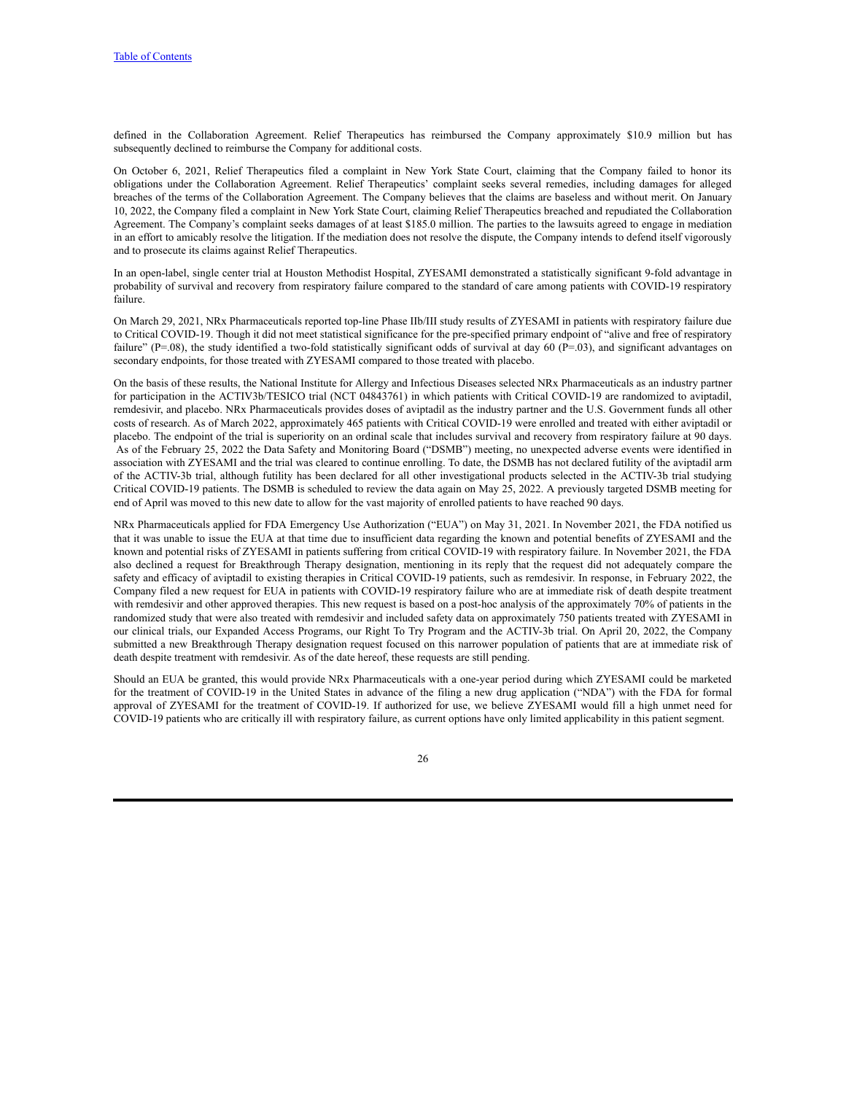defined in the Collaboration Agreement. Relief Therapeutics has reimbursed the Company approximately \$10.9 million but has subsequently declined to reimburse the Company for additional costs.

On October 6, 2021, Relief Therapeutics filed a complaint in New York State Court, claiming that the Company failed to honor its obligations under the Collaboration Agreement. Relief Therapeutics' complaint seeks several remedies, including damages for alleged breaches of the terms of the Collaboration Agreement. The Company believes that the claims are baseless and without merit. On January 10, 2022, the Company filed a complaint in New York State Court, claiming Relief Therapeutics breached and repudiated the Collaboration Agreement. The Company's complaint seeks damages of at least \$185.0 million. The parties to the lawsuits agreed to engage in mediation in an effort to amicably resolve the litigation. If the mediation does not resolve the dispute, the Company intends to defend itself vigorously and to prosecute its claims against Relief Therapeutics.

In an open-label, single center trial at Houston Methodist Hospital, ZYESAMI demonstrated a statistically significant 9-fold advantage in probability of survival and recovery from respiratory failure compared to the standard of care among patients with COVID-19 respiratory failure

On March 29, 2021, NRx Pharmaceuticals reported top-line Phase IIb/III study results of ZYESAMI in patients with respiratory failure due to Critical COVID-19. Though it did not meet statistical significance for the pre-specified primary endpoint of "alive and free of respiratory failure" ( $P=.08$ ), the study identified a two-fold statistically significant odds of survival at day 60 ( $P=.03$ ), and significant advantages on secondary endpoints, for those treated with ZYESAMI compared to those treated with placebo.

On the basis of these results, the National Institute for Allergy and Infectious Diseases selected NRx Pharmaceuticals as an industry partner for participation in the ACTIV3b/TESICO trial (NCT 04843761) in which patients with Critical COVID-19 are randomized to aviptadil, remdesivir, and placebo. NRx Pharmaceuticals provides doses of aviptadil as the industry partner and the U.S. Government funds all other costs of research. As of March 2022, approximately 465 patients with Critical COVID-19 were enrolled and treated with either aviptadil or placebo. The endpoint of the trial is superiority on an ordinal scale that includes survival and recovery from respiratory failure at 90 days. As of the February 25, 2022 the Data Safety and Monitoring Board ("DSMB") meeting, no unexpected adverse events were identified in association with ZYESAMI and the trial was cleared to continue enrolling. To date, the DSMB has not declared futility of the aviptadil arm of the ACTIV-3b trial, although futility has been declared for all other investigational products selected in the ACTIV-3b trial studying Critical COVID-19 patients. The DSMB is scheduled to review the data again on May 25, 2022. A previously targeted DSMB meeting for end of April was moved to this new date to allow for the vast majority of enrolled patients to have reached 90 days.

NRx Pharmaceuticals applied for FDA Emergency Use Authorization ("EUA") on May 31, 2021. In November 2021, the FDA notified us that it was unable to issue the EUA at that time due to insufficient data regarding the known and potential benefits of ZYESAMI and the known and potential risks of ZYESAMI in patients suffering from critical COVID-19 with respiratory failure. In November 2021, the FDA also declined a request for Breakthrough Therapy designation, mentioning in its reply that the request did not adequately compare the safety and efficacy of aviptadil to existing therapies in Critical COVID-19 patients, such as remdesivir. In response, in February 2022, the Company filed a new request for EUA in patients with COVID-19 respiratory failure who are at immediate risk of death despite treatment with remdesivir and other approved therapies. This new request is based on a post-hoc analysis of the approximately 70% of patients in the randomized study that were also treated with remdesivir and included safety data on approximately 750 patients treated with ZYESAMI in our clinical trials, our Expanded Access Programs, our Right To Try Program and the ACTIV-3b trial. On April 20, 2022, the Company submitted a new Breakthrough Therapy designation request focused on this narrower population of patients that are at immediate risk of death despite treatment with remdesivir. As of the date hereof, these requests are still pending.

Should an EUA be granted, this would provide NRx Pharmaceuticals with a one-year period during which ZYESAMI could be marketed for the treatment of COVID-19 in the United States in advance of the filing a new drug application ("NDA") with the FDA for formal approval of ZYESAMI for the treatment of COVID-19. If authorized for use, we believe ZYESAMI would fill a high unmet need for COVID-19 patients who are critically ill with respiratory failure, as current options have only limited applicability in this patient segment.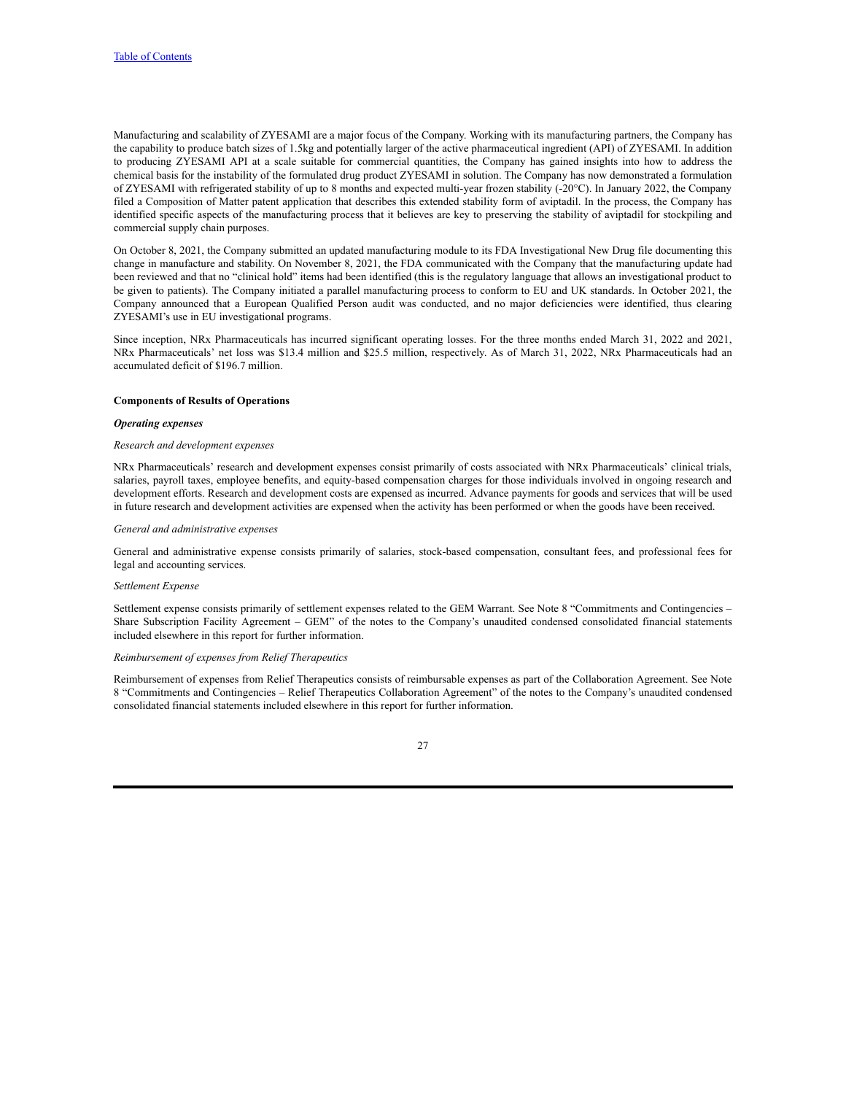Manufacturing and scalability of ZYESAMI are a major focus of the Company. Working with its manufacturing partners, the Company has the capability to produce batch sizes of 1.5kg and potentially larger of the active pharmaceutical ingredient (API) of ZYESAMI. In addition to producing ZYESAMI API at a scale suitable for commercial quantities, the Company has gained insights into how to address the chemical basis for the instability of the formulated drug product ZYESAMI in solution. The Company has now demonstrated a formulation of ZYESAMI with refrigerated stability of up to 8 months and expected multi-year frozen stability (-20°C). In January 2022, the Company filed a Composition of Matter patent application that describes this extended stability form of aviptadil. In the process, the Company has identified specific aspects of the manufacturing process that it believes are key to preserving the stability of aviptadil for stockpiling and commercial supply chain purposes.

On October 8, 2021, the Company submitted an updated manufacturing module to its FDA Investigational New Drug file documenting this change in manufacture and stability. On November 8, 2021, the FDA communicated with the Company that the manufacturing update had been reviewed and that no "clinical hold" items had been identified (this is the regulatory language that allows an investigational product to be given to patients). The Company initiated a parallel manufacturing process to conform to EU and UK standards. In October 2021, the Company announced that a European Qualified Person audit was conducted, and no major deficiencies were identified, thus clearing ZYESAMI's use in EU investigational programs.

Since inception, NRx Pharmaceuticals has incurred significant operating losses. For the three months ended March 31, 2022 and 2021, NRx Pharmaceuticals' net loss was \$13.4 million and \$25.5 million, respectively. As of March 31, 2022, NRx Pharmaceuticals had an accumulated deficit of \$196.7 million.

# **Components of Results of Operations**

# *Operating expenses*

#### *Research and development expenses*

NRx Pharmaceuticals' research and development expenses consist primarily of costs associated with NRx Pharmaceuticals' clinical trials, salaries, payroll taxes, employee benefits, and equity-based compensation charges for those individuals involved in ongoing research and development efforts. Research and development costs are expensed as incurred. Advance payments for goods and services that will be used in future research and development activities are expensed when the activity has been performed or when the goods have been received.

#### *General and administrative expenses*

General and administrative expense consists primarily of salaries, stock-based compensation, consultant fees, and professional fees for legal and accounting services.

# *Settlement Expense*

Settlement expense consists primarily of settlement expenses related to the GEM Warrant. See Note 8 "Commitments and Contingencies – Share Subscription Facility Agreement – GEM" of the notes to the Company's unaudited condensed consolidated financial statements included elsewhere in this report for further information.

# *Reimbursement of expenses from Relief Therapeutics*

Reimbursement of expenses from Relief Therapeutics consists of reimbursable expenses as part of the Collaboration Agreement. See Note 8 "Commitments and Contingencies – Relief Therapeutics Collaboration Agreement" of the notes to the Company's unaudited condensed consolidated financial statements included elsewhere in this report for further information.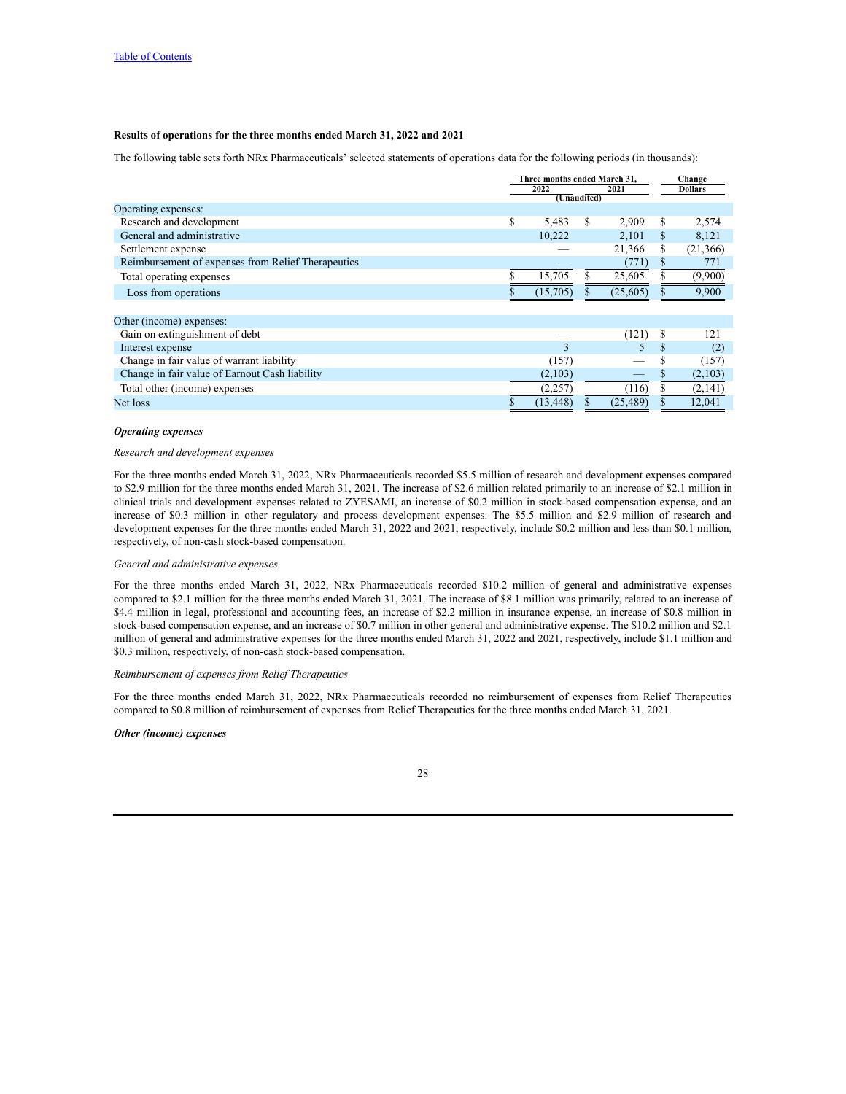# **Results of operations for the three months ended March 31, 2022 and 2021**

The following table sets forth NRx Pharmaceuticals' selected statements of operations data for the following periods (in thousands):

|                                                    | Three months ended March 31. |                     |     |           | Change |                |
|----------------------------------------------------|------------------------------|---------------------|-----|-----------|--------|----------------|
|                                                    |                              | 2022<br>(Unaudited) |     | 2021      |        | <b>Dollars</b> |
| Operating expenses:                                |                              |                     |     |           |        |                |
| Research and development                           | \$                           | 5,483               | \$. | 2,909     | S      | 2,574          |
| General and administrative                         |                              | 10.222              |     | 2,101     | S.     | 8,121          |
| Settlement expense                                 |                              |                     |     | 21,366    | S      | (21,366)       |
| Reimbursement of expenses from Relief Therapeutics |                              |                     |     | (771)     | S      | 771            |
| Total operating expenses                           |                              | 15,705              |     | 25,605    |        | (9,900)        |
| Loss from operations                               |                              | (15,705)            |     | (25,605)  |        | 9,900          |
|                                                    |                              |                     |     |           |        |                |
| Other (income) expenses:                           |                              |                     |     |           |        |                |
| Gain on extinguishment of debt                     |                              |                     |     | (121)     |        | 121            |
| Interest expense                                   |                              | 3                   |     |           |        | (2)            |
| Change in fair value of warrant liability          |                              | (157)               |     |           | S      | (157)          |
| Change in fair value of Earnout Cash liability     |                              | (2,103)             |     |           | S      | (2,103)        |
| Total other (income) expenses                      |                              | (2,257)             |     | (116)     |        | (2,141)        |
| Net loss                                           |                              | (13, 448)           |     | (25, 489) |        | 12,041         |
|                                                    |                              |                     |     |           |        |                |

# *Operating expenses*

# *Research and development expenses*

For the three months ended March 31, 2022, NRx Pharmaceuticals recorded \$5.5 million of research and development expenses compared to \$2.9 million for the three months ended March 31, 2021. The increase of \$2.6 million related primarily to an increase of \$2.1 million in clinical trials and development expenses related to ZYESAMI, an increase of \$0.2 million in stock-based compensation expense, and an increase of \$0.3 million in other regulatory and process development expenses. The \$5.5 million and \$2.9 million of research and development expenses for the three months ended March 31, 2022 and 2021, respectively, include \$0.2 million and less than \$0.1 million, respectively, of non-cash stock-based compensation.

#### *General and administrative expenses*

For the three months ended March 31, 2022, NRx Pharmaceuticals recorded \$10.2 million of general and administrative expenses compared to \$2.1 million for the three months ended March 31, 2021. The increase of \$8.1 million was primarily, related to an increase of \$4.4 million in legal, professional and accounting fees, an increase of \$2.2 million in insurance expense, an increase of \$0.8 million in stock-based compensation expense, and an increase of \$0.7 million in other general and administrative expense. The \$10.2 million and \$2.1 million of general and administrative expenses for the three months ended March 31, 2022 and 2021, respectively, include \$1.1 million and \$0.3 million, respectively, of non-cash stock-based compensation.

# *Reimbursement of expenses from Relief Therapeutics*

For the three months ended March 31, 2022, NRx Pharmaceuticals recorded no reimbursement of expenses from Relief Therapeutics compared to \$0.8 million of reimbursement of expenses from Relief Therapeutics for the three months ended March 31, 2021.

# *Other (income) expenses*

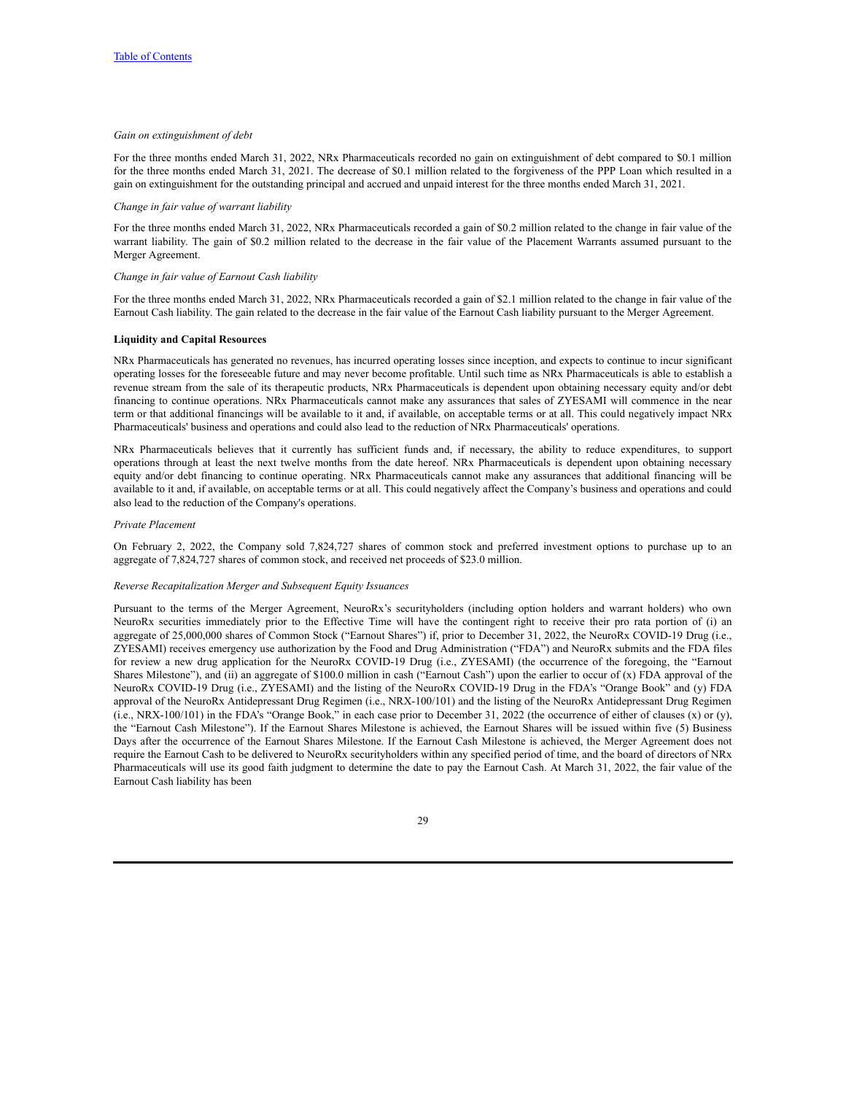# *Gain on extinguishment of debt*

For the three months ended March 31, 2022, NRx Pharmaceuticals recorded no gain on extinguishment of debt compared to \$0.1 million for the three months ended March 31, 2021. The decrease of \$0.1 million related to the forgiveness of the PPP Loan which resulted in a gain on extinguishment for the outstanding principal and accrued and unpaid interest for the three months ended March 31, 2021.

#### *Change in fair value of warrant liability*

For the three months ended March 31, 2022, NRx Pharmaceuticals recorded a gain of \$0.2 million related to the change in fair value of the warrant liability. The gain of \$0.2 million related to the decrease in the fair value of the Placement Warrants assumed pursuant to the Merger Agreement.

#### *Change in fair value of Earnout Cash liability*

For the three months ended March 31, 2022, NRx Pharmaceuticals recorded a gain of \$2.1 million related to the change in fair value of the Earnout Cash liability. The gain related to the decrease in the fair value of the Earnout Cash liability pursuant to the Merger Agreement.

# **Liquidity and Capital Resources**

NRx Pharmaceuticals has generated no revenues, has incurred operating losses since inception, and expects to continue to incur significant operating losses for the foreseeable future and may never become profitable. Until such time as NRx Pharmaceuticals is able to establish a revenue stream from the sale of its therapeutic products, NRx Pharmaceuticals is dependent upon obtaining necessary equity and/or debt financing to continue operations. NRx Pharmaceuticals cannot make any assurances that sales of ZYESAMI will commence in the near term or that additional financings will be available to it and, if available, on acceptable terms or at all. This could negatively impact NRx Pharmaceuticals' business and operations and could also lead to the reduction of NRx Pharmaceuticals' operations.

NRx Pharmaceuticals believes that it currently has sufficient funds and, if necessary, the ability to reduce expenditures, to support operations through at least the next twelve months from the date hereof. NRx Pharmaceuticals is dependent upon obtaining necessary equity and/or debt financing to continue operating. NRx Pharmaceuticals cannot make any assurances that additional financing will be available to it and, if available, on acceptable terms or at all. This could negatively affect the Company's business and operations and could also lead to the reduction of the Company's operations.

#### *Private Placement*

On February 2, 2022, the Company sold 7,824,727 shares of common stock and preferred investment options to purchase up to an aggregate of 7,824,727 shares of common stock, and received net proceeds of \$23.0 million.

# *Reverse Recapitalization Merger and Subsequent Equity Issuances*

Pursuant to the terms of the Merger Agreement, NeuroRx's securityholders (including option holders and warrant holders) who own NeuroRx securities immediately prior to the Effective Time will have the contingent right to receive their pro rata portion of (i) an aggregate of 25,000,000 shares of Common Stock ("Earnout Shares") if, prior to December 31, 2022, the NeuroRx COVID-19 Drug (i.e., ZYESAMI) receives emergency use authorization by the Food and Drug Administration ("FDA") and NeuroRx submits and the FDA files for review a new drug application for the NeuroRx COVID-19 Drug (i.e., ZYESAMI) (the occurrence of the foregoing, the "Earnout Shares Milestone"), and (ii) an aggregate of  $$100.0$  million in cash ("Earnout Cash") upon the earlier to occur of (x) FDA approval of the NeuroRx COVID-19 Drug (i.e., ZYESAMI) and the listing of the NeuroRx COVID-19 Drug in the FDA's "Orange Book" and (y) FDA approval of the NeuroRx Antidepressant Drug Regimen (i.e., NRX-100/101) and the listing of the NeuroRx Antidepressant Drug Regimen (i.e., NRX-100/101) in the FDA's "Orange Book," in each case prior to December 31, 2022 (the occurrence of either of clauses  $(x)$  or  $(y)$ , the "Earnout Cash Milestone"). If the Earnout Shares Milestone is achieved, the Earnout Shares will be issued within five (5) Business Days after the occurrence of the Earnout Shares Milestone. If the Earnout Cash Milestone is achieved, the Merger Agreement does not require the Earnout Cash to be delivered to NeuroRx securityholders within any specified period of time, and the board of directors of NRx Pharmaceuticals will use its good faith judgment to determine the date to pay the Earnout Cash. At March 31, 2022, the fair value of the Earnout Cash liability has been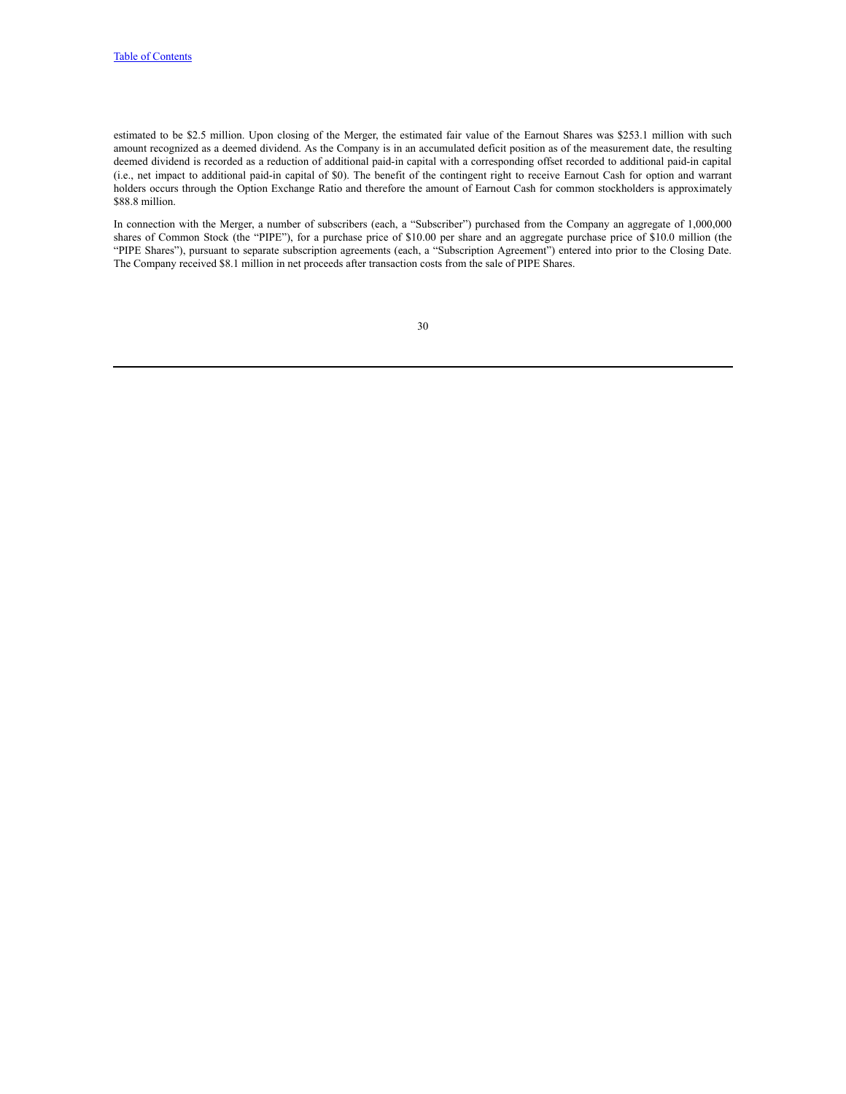estimated to be \$2.5 million. Upon closing of the Merger, the estimated fair value of the Earnout Shares was \$253.1 million with such amount recognized as a deemed dividend. As the Company is in an accumulated deficit position as of the measurement date, the resulting deemed dividend is recorded as a reduction of additional paid-in capital with a corresponding offset recorded to additional paid-in capital (i.e., net impact to additional paid-in capital of \$0). The benefit of the contingent right to receive Earnout Cash for option and warrant holders occurs through the Option Exchange Ratio and therefore the amount of Earnout Cash for common stockholders is approximately \$88.8 million.

In connection with the Merger, a number of subscribers (each, a "Subscriber") purchased from the Company an aggregate of 1,000,000 shares of Common Stock (the "PIPE"), for a purchase price of \$10.00 per share and an aggregate purchase price of \$10.0 million (the "PIPE Shares"), pursuant to separate subscription agreements (each, a "Subscription Agreement") entered into prior to the Closing Date. The Company received \$8.1 million in net proceeds after transaction costs from the sale of PIPE Shares.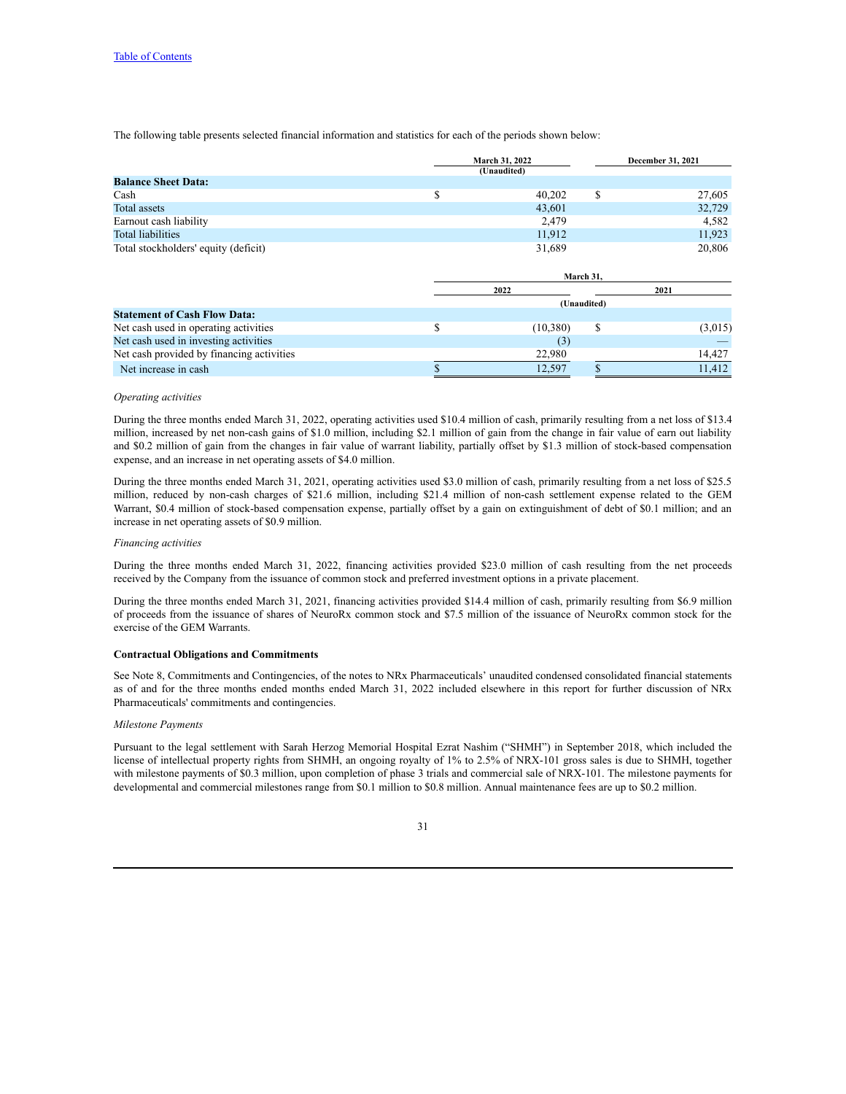The following table presents selected financial information and statistics for each of the periods shown below:

|                                      | <b>March 31, 2022</b> |  | <b>December 31, 2021</b> |
|--------------------------------------|-----------------------|--|--------------------------|
|                                      | (Unaudited)           |  |                          |
| <b>Balance Sheet Data:</b>           |                       |  |                          |
| Cash                                 | 40,202                |  | 27,605                   |
| Total assets                         | 43,601                |  | 32,729                   |
| Earnout cash liability               | 2.479                 |  | 4,582                    |
| Total liabilities                    | 11,912                |  | 11.923                   |
| Total stockholders' equity (deficit) | 31,689                |  | 20.806                   |

|                                           | March 31,   |   |         |  |  |
|-------------------------------------------|-------------|---|---------|--|--|
|                                           | 2022        |   | 2021    |  |  |
|                                           | (Unaudited) |   |         |  |  |
| <b>Statement of Cash Flow Data:</b>       |             |   |         |  |  |
| Net cash used in operating activities     | (10, 380)   | S | (3,015) |  |  |
| Net cash used in investing activities     | (3)         |   |         |  |  |
| Net cash provided by financing activities | 22,980      |   | 14.427  |  |  |
| Net increase in cash                      | 12.597      |   | 11.412  |  |  |

### *Operating activities*

During the three months ended March 31, 2022, operating activities used \$10.4 million of cash, primarily resulting from a net loss of \$13.4 million, increased by net non-cash gains of \$1.0 million, including \$2.1 million of gain from the change in fair value of earn out liability and \$0.2 million of gain from the changes in fair value of warrant liability, partially offset by \$1.3 million of stock-based compensation expense, and an increase in net operating assets of \$4.0 million.

During the three months ended March 31, 2021, operating activities used \$3.0 million of cash, primarily resulting from a net loss of \$25.5 million, reduced by non-cash charges of \$21.6 million, including \$21.4 million of non-cash settlement expense related to the GEM Warrant, \$0.4 million of stock-based compensation expense, partially offset by a gain on extinguishment of debt of \$0.1 million; and an increase in net operating assets of \$0.9 million.

#### *Financing activities*

During the three months ended March 31, 2022, financing activities provided \$23.0 million of cash resulting from the net proceeds received by the Company from the issuance of common stock and preferred investment options in a private placement.

During the three months ended March 31, 2021, financing activities provided \$14.4 million of cash, primarily resulting from \$6.9 million of proceeds from the issuance of shares of NeuroRx common stock and \$7.5 million of the issuance of NeuroRx common stock for the exercise of the GEM Warrants.

# **Contractual Obligations and Commitments**

See Note 8, Commitments and Contingencies, of the notes to NRx Pharmaceuticals' unaudited condensed consolidated financial statements as of and for the three months ended months ended March 31, 2022 included elsewhere in this report for further discussion of NRx Pharmaceuticals' commitments and contingencies.

#### *Milestone Payments*

Pursuant to the legal settlement with Sarah Herzog Memorial Hospital Ezrat Nashim ("SHMH") in September 2018, which included the license of intellectual property rights from SHMH, an ongoing royalty of 1% to 2.5% of NRX-101 gross sales is due to SHMH, together with milestone payments of \$0.3 million, upon completion of phase 3 trials and commercial sale of NRX-101. The milestone payments for developmental and commercial milestones range from \$0.1 million to \$0.8 million. Annual maintenance fees are up to \$0.2 million.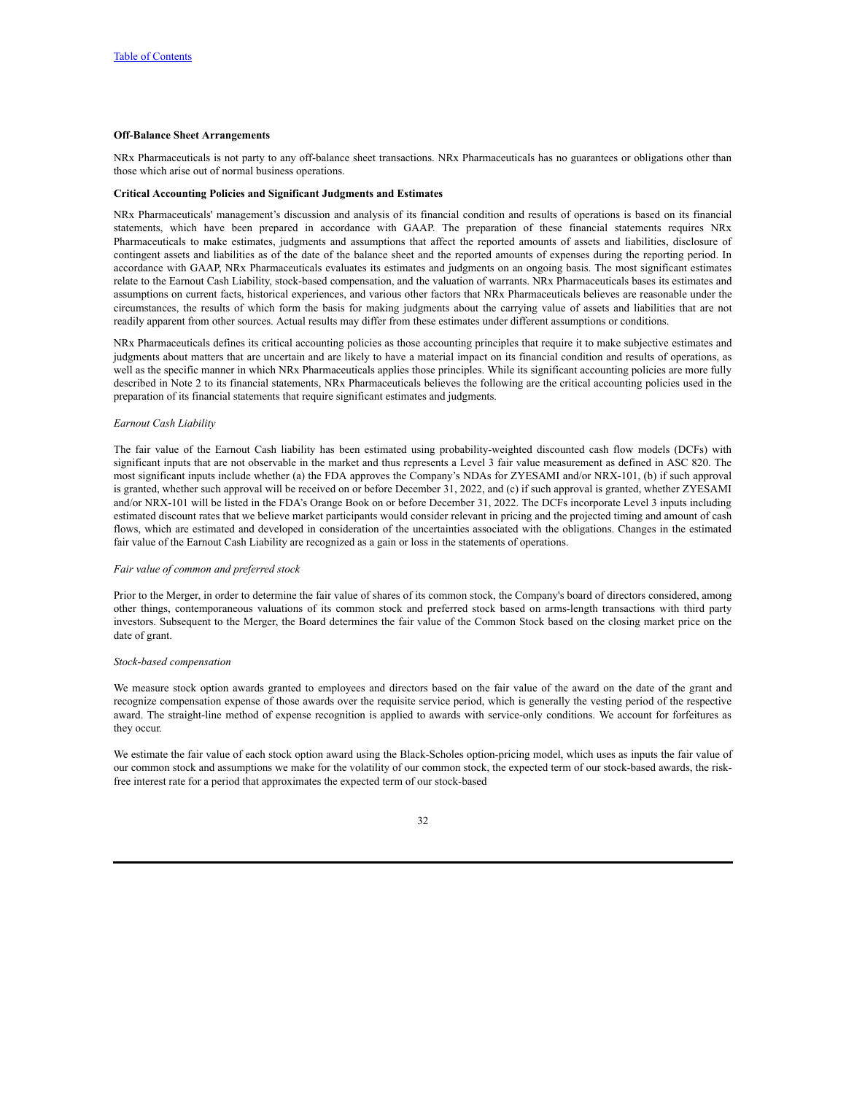# **Off-Balance Sheet Arrangements**

NRx Pharmaceuticals is not party to any off-balance sheet transactions. NRx Pharmaceuticals has no guarantees or obligations other than those which arise out of normal business operations.

#### **Critical Accounting Policies and Significant Judgments and Estimates**

NRx Pharmaceuticals' management's discussion and analysis of its financial condition and results of operations is based on its financial statements, which have been prepared in accordance with GAAP. The preparation of these financial statements requires NRx Pharmaceuticals to make estimates, judgments and assumptions that affect the reported amounts of assets and liabilities, disclosure of contingent assets and liabilities as of the date of the balance sheet and the reported amounts of expenses during the reporting period. In accordance with GAAP, NRx Pharmaceuticals evaluates its estimates and judgments on an ongoing basis. The most significant estimates relate to the Earnout Cash Liability, stock-based compensation, and the valuation of warrants. NRx Pharmaceuticals bases its estimates and assumptions on current facts, historical experiences, and various other factors that NRx Pharmaceuticals believes are reasonable under the circumstances, the results of which form the basis for making judgments about the carrying value of assets and liabilities that are not readily apparent from other sources. Actual results may differ from these estimates under different assumptions or conditions.

NRx Pharmaceuticals defines its critical accounting policies as those accounting principles that require it to make subjective estimates and judgments about matters that are uncertain and are likely to have a material impact on its financial condition and results of operations, as well as the specific manner in which NRx Pharmaceuticals applies those principles. While its significant accounting policies are more fully described in Note 2 to its financial statements, NRx Pharmaceuticals believes the following are the critical accounting policies used in the preparation of its financial statements that require significant estimates and judgments.

# *Earnout Cash Liability*

The fair value of the Earnout Cash liability has been estimated using probability-weighted discounted cash flow models (DCFs) with significant inputs that are not observable in the market and thus represents a Level 3 fair value measurement as defined in ASC 820. The most significant inputs include whether (a) the FDA approves the Company's NDAs for ZYESAMI and/or NRX-101, (b) if such approval is granted, whether such approval will be received on or before December 31, 2022, and (c) if such approval is granted, whether ZYESAMI and/or NRX-101 will be listed in the FDA's Orange Book on or before December 31, 2022. The DCFs incorporate Level 3 inputs including estimated discount rates that we believe market participants would consider relevant in pricing and the projected timing and amount of cash flows, which are estimated and developed in consideration of the uncertainties associated with the obligations. Changes in the estimated fair value of the Earnout Cash Liability are recognized as a gain or loss in the statements of operations.

#### *Fair value of common and preferred stock*

Prior to the Merger, in order to determine the fair value of shares of its common stock, the Company's board of directors considered, among other things, contemporaneous valuations of its common stock and preferred stock based on arms-length transactions with third party investors. Subsequent to the Merger, the Board determines the fair value of the Common Stock based on the closing market price on the date of grant.

#### *Stock-based compensation*

We measure stock option awards granted to employees and directors based on the fair value of the award on the date of the grant and recognize compensation expense of those awards over the requisite service period, which is generally the vesting period of the respective award. The straight-line method of expense recognition is applied to awards with service-only conditions. We account for forfeitures as they occur.

We estimate the fair value of each stock option award using the Black-Scholes option-pricing model, which uses as inputs the fair value of our common stock and assumptions we make for the volatility of our common stock, the expected term of our stock-based awards, the riskfree interest rate for a period that approximates the expected term of our stock-based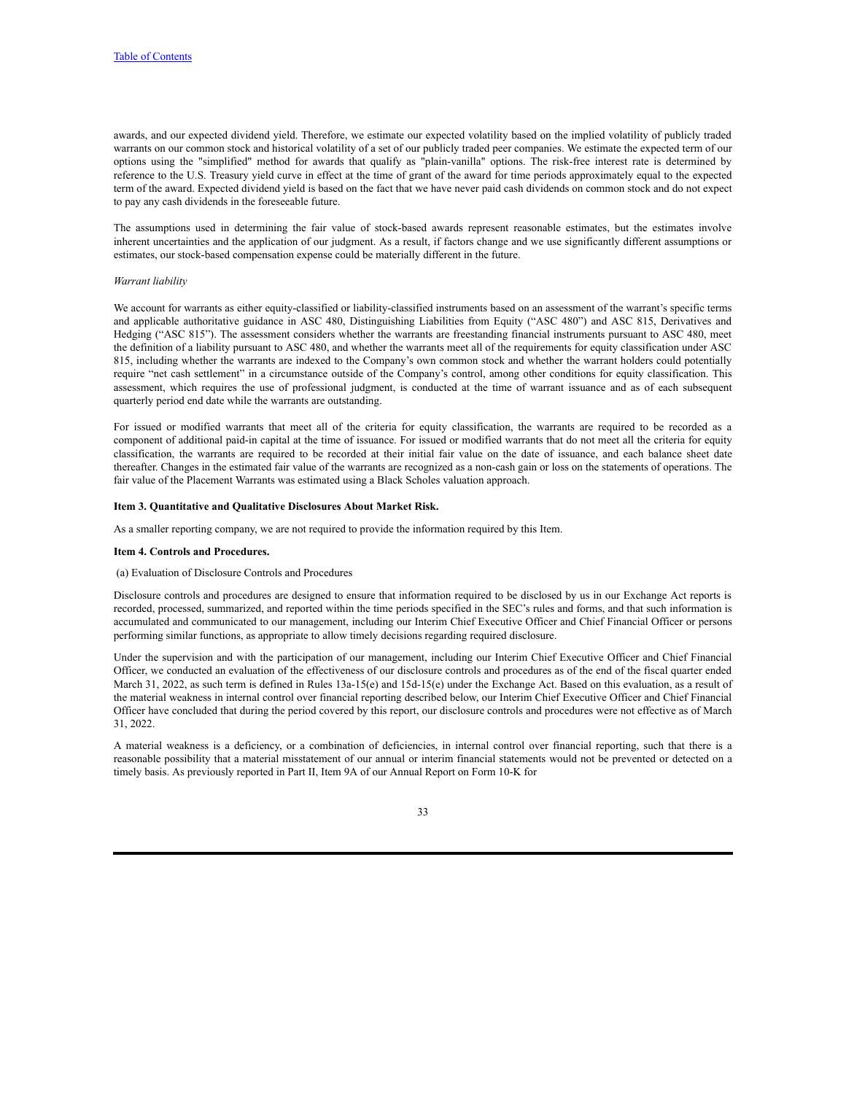awards, and our expected dividend yield. Therefore, we estimate our expected volatility based on the implied volatility of publicly traded warrants on our common stock and historical volatility of a set of our publicly traded peer companies. We estimate the expected term of our options using the "simplified" method for awards that qualify as "plain-vanilla" options. The risk-free interest rate is determined by reference to the U.S. Treasury yield curve in effect at the time of grant of the award for time periods approximately equal to the expected term of the award. Expected dividend yield is based on the fact that we have never paid cash dividends on common stock and do not expect to pay any cash dividends in the foreseeable future.

The assumptions used in determining the fair value of stock-based awards represent reasonable estimates, but the estimates involve inherent uncertainties and the application of our judgment. As a result, if factors change and we use significantly different assumptions or estimates, our stock-based compensation expense could be materially different in the future.

# *Warrant liability*

We account for warrants as either equity-classified or liability-classified instruments based on an assessment of the warrant's specific terms and applicable authoritative guidance in ASC 480, Distinguishing Liabilities from Equity ("ASC 480") and ASC 815, Derivatives and Hedging ("ASC 815"). The assessment considers whether the warrants are freestanding financial instruments pursuant to ASC 480, meet the definition of a liability pursuant to ASC 480, and whether the warrants meet all of the requirements for equity classification under ASC 815, including whether the warrants are indexed to the Company's own common stock and whether the warrant holders could potentially require "net cash settlement" in a circumstance outside of the Company's control, among other conditions for equity classification. This assessment, which requires the use of professional judgment, is conducted at the time of warrant issuance and as of each subsequent quarterly period end date while the warrants are outstanding.

For issued or modified warrants that meet all of the criteria for equity classification, the warrants are required to be recorded as a component of additional paid-in capital at the time of issuance. For issued or modified warrants that do not meet all the criteria for equity classification, the warrants are required to be recorded at their initial fair value on the date of issuance, and each balance sheet date thereafter. Changes in the estimated fair value of the warrants are recognized as a non-cash gain or loss on the statements of operations. The fair value of the Placement Warrants was estimated using a Black Scholes valuation approach.

### <span id="page-32-0"></span>**Item 3. Quantitative and Qualitative Disclosures About Market Risk.**

As a smaller reporting company, we are not required to provide the information required by this Item.

#### <span id="page-32-1"></span>**Item 4. Controls and Procedures.**

# (a) Evaluation of Disclosure Controls and Procedures

Disclosure controls and procedures are designed to ensure that information required to be disclosed by us in our Exchange Act reports is recorded, processed, summarized, and reported within the time periods specified in the SEC's rules and forms, and that such information is accumulated and communicated to our management, including our Interim Chief Executive Officer and Chief Financial Officer or persons performing similar functions, as appropriate to allow timely decisions regarding required disclosure.

Under the supervision and with the participation of our management, including our Interim Chief Executive Officer and Chief Financial Officer, we conducted an evaluation of the effectiveness of our disclosure controls and procedures as of the end of the fiscal quarter ended March 31, 2022, as such term is defined in Rules 13a-15(e) and 15d-15(e) under the Exchange Act. Based on this evaluation, as a result of the material weakness in internal control over financial reporting described below, our Interim Chief Executive Officer and Chief Financial Officer have concluded that during the period covered by this report, our disclosure controls and procedures were not effective as of March 31, 2022.

A material weakness is a deficiency, or a combination of deficiencies, in internal control over financial reporting, such that there is a reasonable possibility that a material misstatement of our annual or interim financial statements would not be prevented or detected on a timely basis. As previously reported in Part II, Item 9A of our Annual Report on Form 10-K for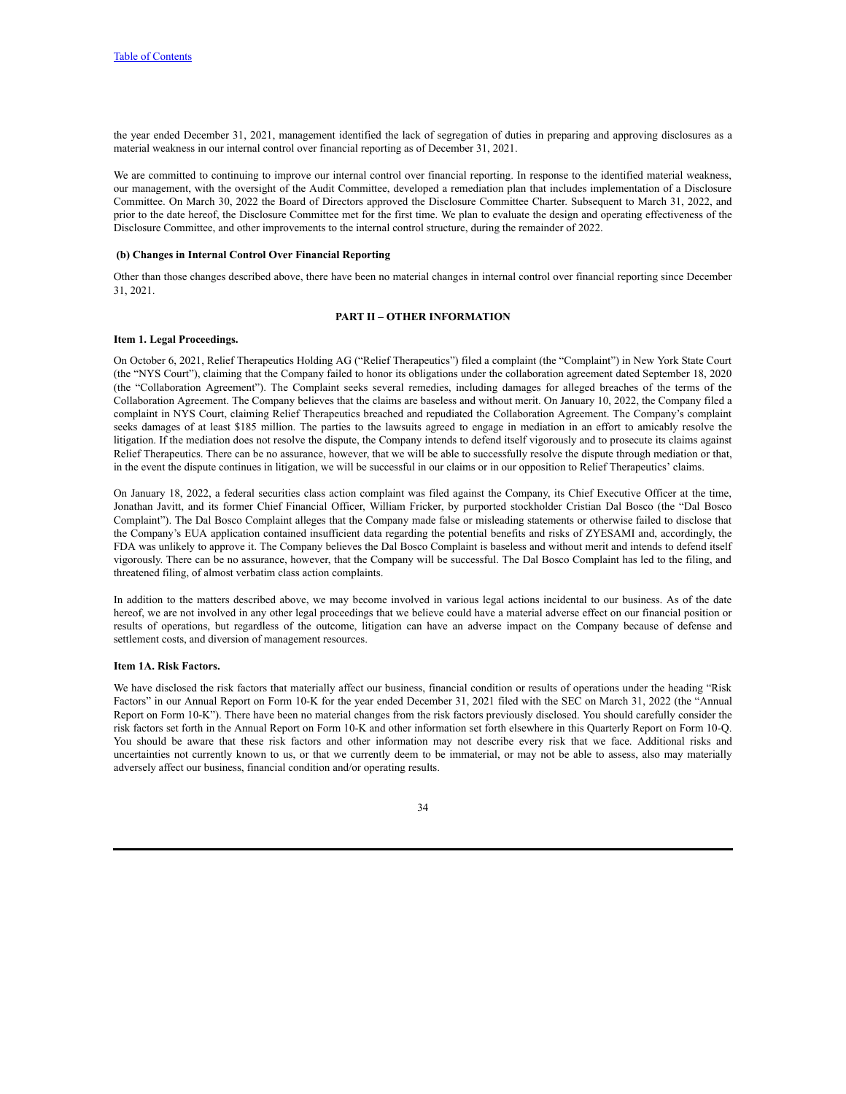the year ended December 31, 2021, management identified the lack of segregation of duties in preparing and approving disclosures as a material weakness in our internal control over financial reporting as of December 31, 2021.

We are committed to continuing to improve our internal control over financial reporting. In response to the identified material weakness, our management, with the oversight of the Audit Committee, developed a remediation plan that includes implementation of a Disclosure Committee. On March 30, 2022 the Board of Directors approved the Disclosure Committee Charter. Subsequent to March 31, 2022, and prior to the date hereof, the Disclosure Committee met for the first time. We plan to evaluate the design and operating effectiveness of the Disclosure Committee, and other improvements to the internal control structure, during the remainder of 2022.

#### **(b) Changes in Internal Control Over Financial Reporting**

Other than those changes described above, there have been no material changes in internal control over financial reporting since December 31, 2021.

# **PART II – OTHER INFORMATION**

# <span id="page-33-2"></span><span id="page-33-0"></span>**Item 1. Legal Proceedings.**

On October 6, 2021, Relief Therapeutics Holding AG ("Relief Therapeutics") filed a complaint (the "Complaint") in New York State Court (the "NYS Court"), claiming that the Company failed to honor its obligations under the collaboration agreement dated September 18, 2020 (the "Collaboration Agreement"). The Complaint seeks several remedies, including damages for alleged breaches of the terms of the Collaboration Agreement. The Company believes that the claims are baseless and without merit. On January 10, 2022, the Company filed a complaint in NYS Court, claiming Relief Therapeutics breached and repudiated the Collaboration Agreement. The Company's complaint seeks damages of at least \$185 million. The parties to the lawsuits agreed to engage in mediation in an effort to amicably resolve the litigation. If the mediation does not resolve the dispute, the Company intends to defend itself vigorously and to prosecute its claims against Relief Therapeutics. There can be no assurance, however, that we will be able to successfully resolve the dispute through mediation or that, in the event the dispute continues in litigation, we will be successful in our claims or in our opposition to Relief Therapeutics' claims.

On January 18, 2022, a federal securities class action complaint was filed against the Company, its Chief Executive Officer at the time, Jonathan Javitt, and its former Chief Financial Officer, William Fricker, by purported stockholder Cristian Dal Bosco (the "Dal Bosco Complaint"). The Dal Bosco Complaint alleges that the Company made false or misleading statements or otherwise failed to disclose that the Company's EUA application contained insufficient data regarding the potential benefits and risks of ZYESAMI and, accordingly, the FDA was unlikely to approve it. The Company believes the Dal Bosco Complaint is baseless and without merit and intends to defend itself vigorously. There can be no assurance, however, that the Company will be successful. The Dal Bosco Complaint has led to the filing, and threatened filing, of almost verbatim class action complaints.

In addition to the matters described above, we may become involved in various legal actions incidental to our business. As of the date hereof, we are not involved in any other legal proceedings that we believe could have a material adverse effect on our financial position or results of operations, but regardless of the outcome, litigation can have an adverse impact on the Company because of defense and settlement costs, and diversion of management resources.

# <span id="page-33-1"></span>**Item 1A. Risk Factors.**

We have disclosed the risk factors that materially affect our business, financial condition or results of operations under the heading "Risk Factors" in our Annual Report on Form 10-K for the year ended December 31, 2021 filed with the SEC on March 31, 2022 (the "Annual Report on Form 10-K"). There have been no material changes from the risk factors previously disclosed. You should carefully consider the risk factors set forth in the Annual Report on Form 10-K and other information set forth elsewhere in this Quarterly Report on Form 10-Q. You should be aware that these risk factors and other information may not describe every risk that we face. Additional risks and uncertainties not currently known to us, or that we currently deem to be immaterial, or may not be able to assess, also may materially adversely affect our business, financial condition and/or operating results.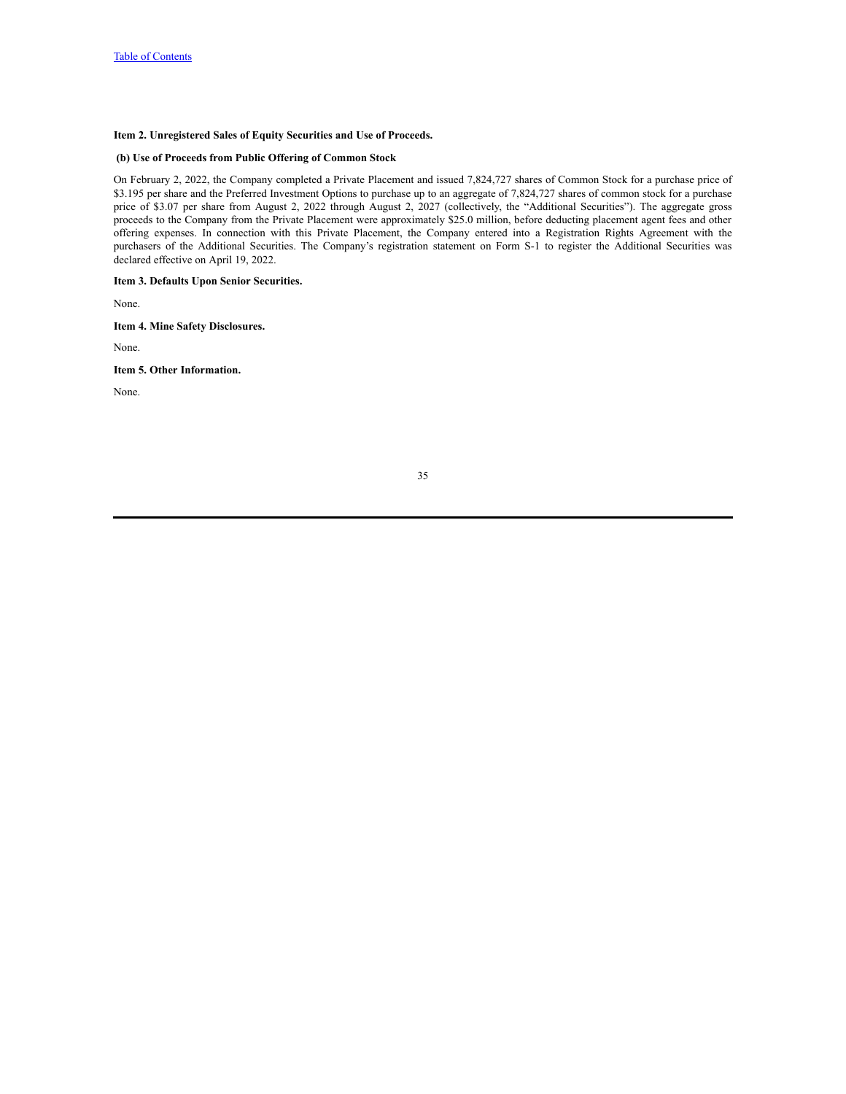# <span id="page-34-0"></span>**Item 2. Unregistered Sales of Equity Securities and Use of Proceeds.**

# **(b) Use of Proceeds from Public Offering of Common Stock**

On February 2, 2022, the Company completed a Private Placement and issued 7,824,727 shares of Common Stock for a purchase price of \$3.195 per share and the Preferred Investment Options to purchase up to an aggregate of 7,824,727 shares of common stock for a purchase price of \$3.07 per share from August 2, 2022 through August 2, 2027 (collectively, the "Additional Securities"). The aggregate gross proceeds to the Company from the Private Placement were approximately \$25.0 million, before deducting placement agent fees and other offering expenses. In connection with this Private Placement, the Company entered into a Registration Rights Agreement with the purchasers of the Additional Securities. The Company's registration statement on Form S-1 to register the Additional Securities was declared effective on April 19, 2022.

<span id="page-34-1"></span>**Item 3. Defaults Upon Senior Securities.**

None.

<span id="page-34-2"></span>**Item 4. Mine Safety Disclosures.**

None.

<span id="page-34-3"></span>**Item 5. Other Information.**

None.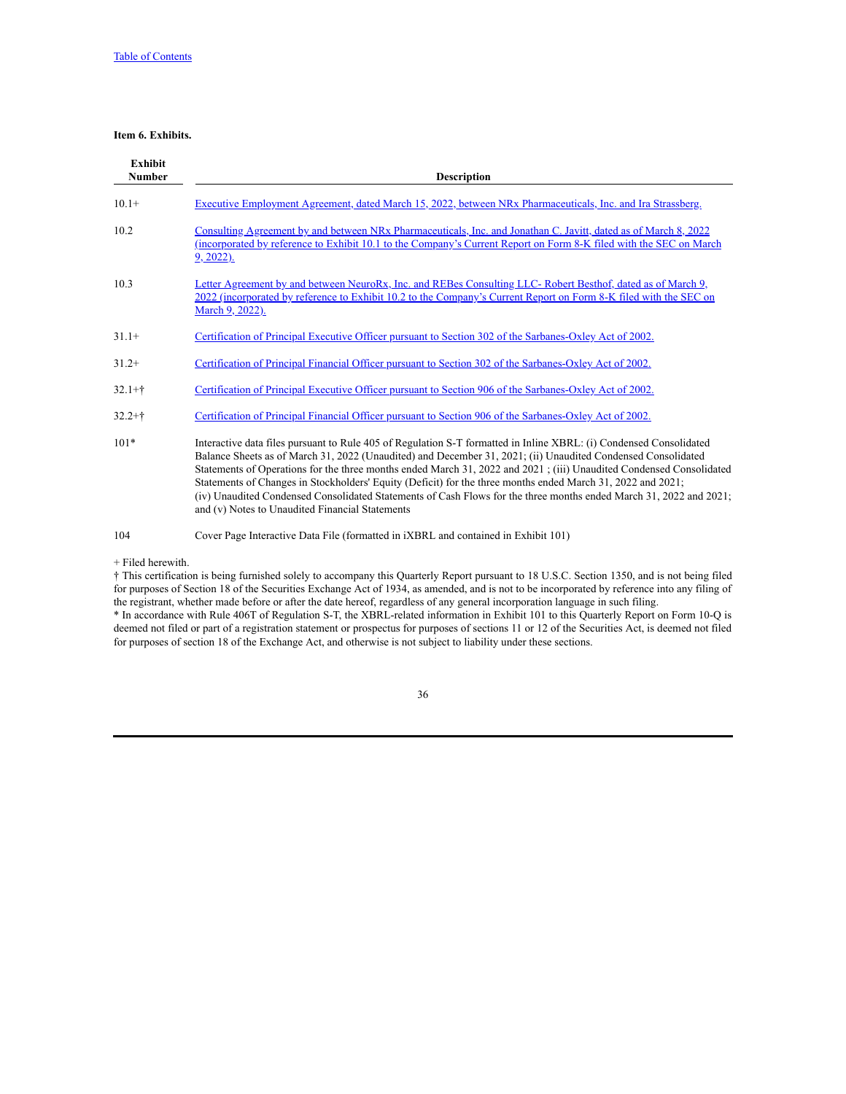# <span id="page-35-0"></span>**Item 6. Exhibits.**

| <b>Exhibit</b><br><b>Number</b> | <b>Description</b>                                                                                                                                                                                                                                                                                                                                                                                                                                                                                                                                                                                                                                |
|---------------------------------|---------------------------------------------------------------------------------------------------------------------------------------------------------------------------------------------------------------------------------------------------------------------------------------------------------------------------------------------------------------------------------------------------------------------------------------------------------------------------------------------------------------------------------------------------------------------------------------------------------------------------------------------------|
| $10.1+$                         | Executive Employment Agreement, dated March 15, 2022, between NRx Pharmaceuticals, Inc. and Ira Strassberg.                                                                                                                                                                                                                                                                                                                                                                                                                                                                                                                                       |
| 10.2                            | <u>Consulting Agreement by and between NRx Pharmaceuticals, Inc. and Jonathan C. Javitt, dated as of March 8, 2022</u><br>(incorporated by reference to Exhibit 10.1 to the Company's Current Report on Form 8-K filed with the SEC on March<br>$9, 2022$ ).                                                                                                                                                                                                                                                                                                                                                                                      |
| 10.3                            | Letter Agreement by and between NeuroRx, Inc. and REBes Consulting LLC-Robert Besthof, dated as of March 9,<br>2022 (incorporated by reference to Exhibit 10.2 to the Company's Current Report on Form 8-K filed with the SEC on<br>March 9, 2022).                                                                                                                                                                                                                                                                                                                                                                                               |
| $31.1+$                         | Certification of Principal Executive Officer pursuant to Section 302 of the Sarbanes-Oxley Act of 2002.                                                                                                                                                                                                                                                                                                                                                                                                                                                                                                                                           |
| $31.2+$                         | Certification of Principal Financial Officer pursuant to Section 302 of the Sarbanes-Oxley Act of 2002.                                                                                                                                                                                                                                                                                                                                                                                                                                                                                                                                           |
| $32.1 +$ †                      | Certification of Principal Executive Officer pursuant to Section 906 of the Sarbanes-Oxley Act of 2002.                                                                                                                                                                                                                                                                                                                                                                                                                                                                                                                                           |
| $32.2 +$ †                      | Certification of Principal Financial Officer pursuant to Section 906 of the Sarbanes-Oxley Act of 2002.                                                                                                                                                                                                                                                                                                                                                                                                                                                                                                                                           |
| $101*$                          | Interactive data files pursuant to Rule 405 of Regulation S-T formatted in Inline XBRL: (i) Condensed Consolidated<br>Balance Sheets as of March 31, 2022 (Unaudited) and December 31, 2021; (ii) Unaudited Condensed Consolidated<br>Statements of Operations for the three months ended March 31, 2022 and 2021; (iii) Unaudited Condensed Consolidated<br>Statements of Changes in Stockholders' Equity (Deficit) for the three months ended March 31, 2022 and 2021;<br>(iv) Unaudited Condensed Consolidated Statements of Cash Flows for the three months ended March 31, 2022 and 2021;<br>and (v) Notes to Unaudited Financial Statements |
| 104                             | Cover Page Interactive Data File (formatted in <i>iXBRL</i> and contained in Exhibit 101)                                                                                                                                                                                                                                                                                                                                                                                                                                                                                                                                                         |

+ Filed herewith.

† This certification is being furnished solely to accompany this Quarterly Report pursuant to 18 U.S.C. Section 1350, and is not being filed for purposes of Section 18 of the Securities Exchange Act of 1934, as amended, and is not to be incorporated by reference into any filing of the registrant, whether made before or after the date hereof, regardless of any general incorporation language in such filing. \* In accordance with Rule 406T of Regulation S-T, the XBRL-related information in Exhibit 101 to this Quarterly Report on Form 10-Q is deemed not filed or part of a registration statement or prospectus for purposes of sections 11 or 12 of the Securities Act, is deemed not filed

for purposes of section 18 of the Exchange Act, and otherwise is not subject to liability under these sections.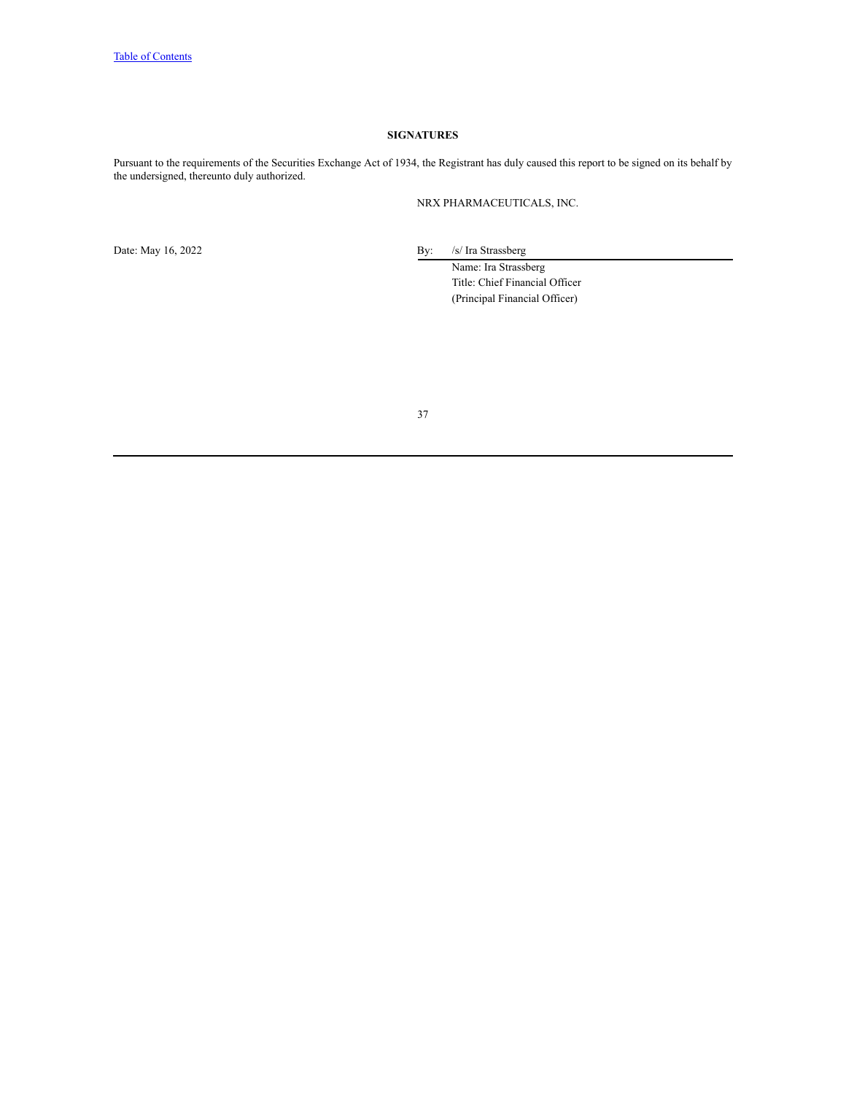# **SIGNATURES**

<span id="page-36-0"></span>Pursuant to the requirements of the Securities Exchange Act of 1934, the Registrant has duly caused this report to be signed on its behalf by the undersigned, thereunto duly authorized.

NRX PHARMACEUTICALS, INC.

Date: May 16, 2022 By: /s/ Ira Strassberg

Name: Ira Strassberg Title: Chief Financial Officer (Principal Financial Officer)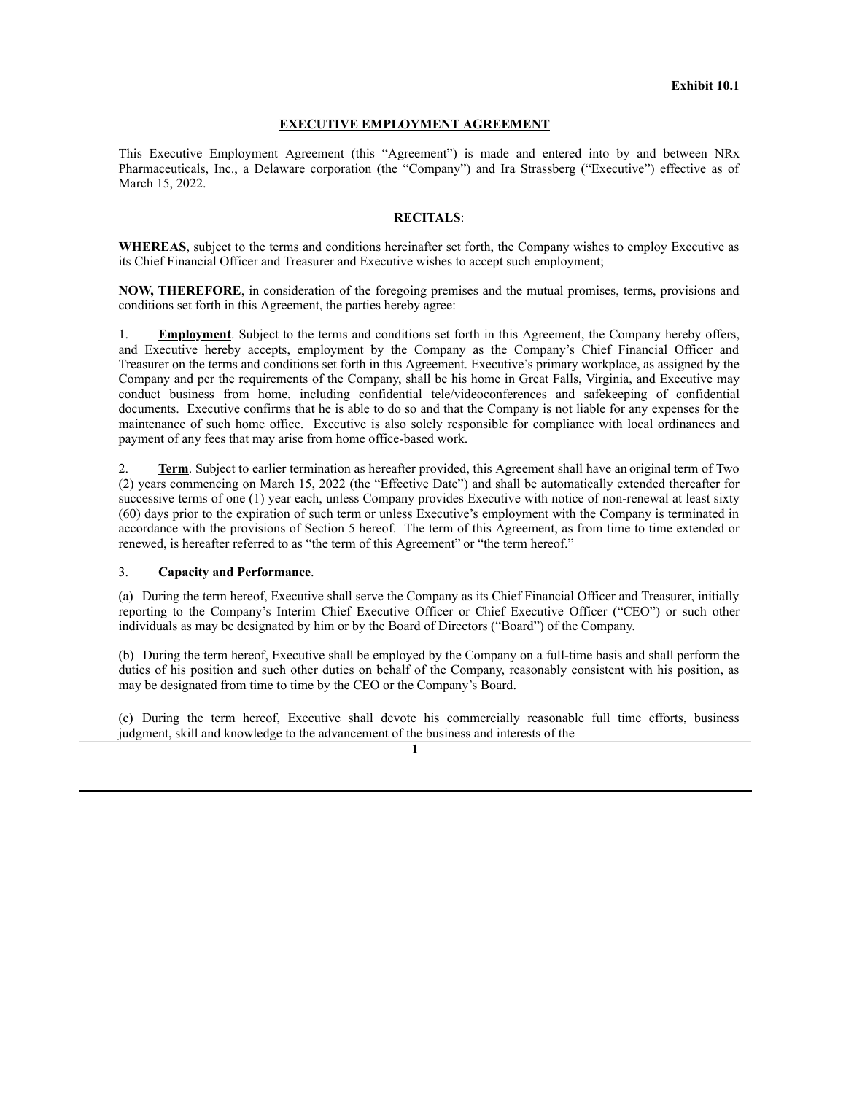# **EXECUTIVE EMPLOYMENT AGREEMENT**

This Executive Employment Agreement (this "Agreement") is made and entered into by and between NRx Pharmaceuticals, Inc., a Delaware corporation (the "Company") and Ira Strassberg ("Executive") effective as of March 15, 2022.

# **RECITALS**:

**WHEREAS**, subject to the terms and conditions hereinafter set forth, the Company wishes to employ Executive as its Chief Financial Officer and Treasurer and Executive wishes to accept such employment;

**NOW, THEREFORE**, in consideration of the foregoing premises and the mutual promises, terms, provisions and conditions set forth in this Agreement, the parties hereby agree:

1. **Employment**. Subject to the terms and conditions set forth in this Agreement, the Company hereby offers, and Executive hereby accepts, employment by the Company as the Company's Chief Financial Officer and Treasurer on the terms and conditions set forth in this Agreement. Executive's primary workplace, as assigned by the Company and per the requirements of the Company, shall be his home in Great Falls, Virginia, and Executive may conduct business from home, including confidential tele/videoconferences and safekeeping of confidential documents. Executive confirms that he is able to do so and that the Company is not liable for any expenses for the maintenance of such home office. Executive is also solely responsible for compliance with local ordinances and payment of any fees that may arise from home office-based work.

2. **Term**. Subject to earlier termination as hereafter provided, this Agreement shall have an original term of Two (2) years commencing on March 15, 2022 (the "Effective Date") and shall be automatically extended thereafter for successive terms of one (1) year each, unless Company provides Executive with notice of non-renewal at least sixty (60) days prior to the expiration of such term or unless Executive's employment with the Company is terminated in accordance with the provisions of Section 5 hereof. The term of this Agreement, as from time to time extended or renewed, is hereafter referred to as "the term of this Agreement" or "the term hereof."

# 3. **Capacity and Performance**.

(a) During the term hereof, Executive shall serve the Company as its Chief Financial Officer and Treasurer, initially reporting to the Company's Interim Chief Executive Officer or Chief Executive Officer ("CEO") or such other individuals as may be designated by him or by the Board of Directors ("Board") of the Company.

(b) During the term hereof, Executive shall be employed by the Company on a full-time basis and shall perform the duties of his position and such other duties on behalf of the Company, reasonably consistent with his position, as may be designated from time to time by the CEO or the Company's Board.

(c) During the term hereof, Executive shall devote his commercially reasonable full time efforts, business judgment, skill and knowledge to the advancement of the business and interests of the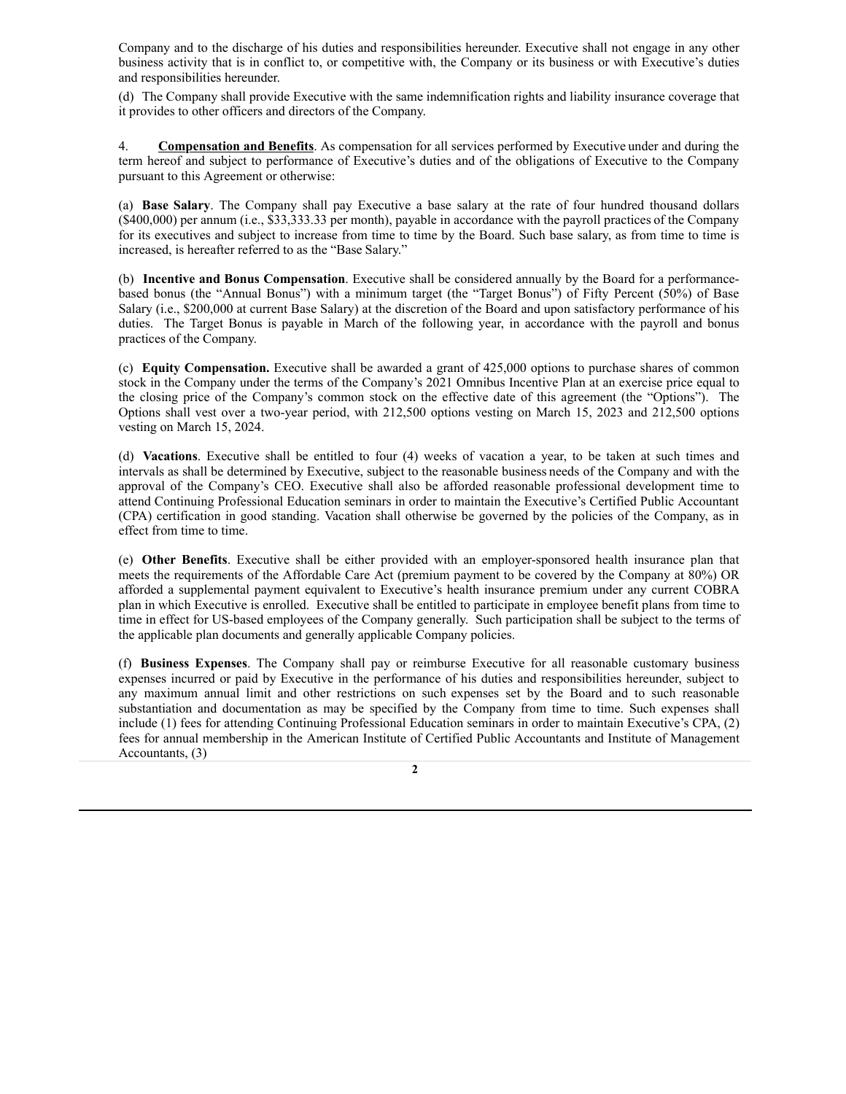Company and to the discharge of his duties and responsibilities hereunder. Executive shall not engage in any other business activity that is in conflict to, or competitive with, the Company or its business or with Executive's duties and responsibilities hereunder.

(d) The Company shall provide Executive with the same indemnification rights and liability insurance coverage that it provides to other officers and directors of the Company.

4. **Compensation and Benefits**. As compensation for all services performed by Executive under and during the term hereof and subject to performance of Executive's duties and of the obligations of Executive to the Company pursuant to this Agreement or otherwise:

(a) **Base Salary**. The Company shall pay Executive a base salary at the rate of four hundred thousand dollars (\$400,000) per annum (i.e., \$33,333.33 per month), payable in accordance with the payroll practices of the Company for its executives and subject to increase from time to time by the Board. Such base salary, as from time to time is increased, is hereafter referred to as the "Base Salary."

(b) **Incentive and Bonus Compensation**. Executive shall be considered annually by the Board for a performancebased bonus (the "Annual Bonus") with a minimum target (the "Target Bonus") of Fifty Percent (50%) of Base Salary (i.e., \$200,000 at current Base Salary) at the discretion of the Board and upon satisfactory performance of his duties. The Target Bonus is payable in March of the following year, in accordance with the payroll and bonus practices of the Company.

(c) **Equity Compensation.** Executive shall be awarded a grant of 425,000 options to purchase shares of common stock in the Company under the terms of the Company's 2021 Omnibus Incentive Plan at an exercise price equal to the closing price of the Company's common stock on the effective date of this agreement (the "Options"). The Options shall vest over a two-year period, with 212,500 options vesting on March 15, 2023 and 212,500 options vesting on March 15, 2024.

(d) **Vacations**. Executive shall be entitled to four (4) weeks of vacation a year, to be taken at such times and intervals as shall be determined by Executive, subject to the reasonable business needs of the Company and with the approval of the Company's CEO. Executive shall also be afforded reasonable professional development time to attend Continuing Professional Education seminars in order to maintain the Executive's Certified Public Accountant (CPA) certification in good standing. Vacation shall otherwise be governed by the policies of the Company, as in effect from time to time.

(e) **Other Benefits**. Executive shall be either provided with an employer-sponsored health insurance plan that meets the requirements of the Affordable Care Act (premium payment to be covered by the Company at 80%) OR afforded a supplemental payment equivalent to Executive's health insurance premium under any current COBRA plan in which Executive is enrolled. Executive shall be entitled to participate in employee benefit plans from time to time in effect for US-based employees of the Company generally. Such participation shall be subject to the terms of the applicable plan documents and generally applicable Company policies.

(f) **Business Expenses**. The Company shall pay or reimburse Executive for all reasonable customary business expenses incurred or paid by Executive in the performance of his duties and responsibilities hereunder, subject to any maximum annual limit and other restrictions on such expenses set by the Board and to such reasonable substantiation and documentation as may be specified by the Company from time to time. Such expenses shall include (1) fees for attending Continuing Professional Education seminars in order to maintain Executive's CPA, (2) fees for annual membership in the American Institute of Certified Public Accountants and Institute of Management Accountants, (3)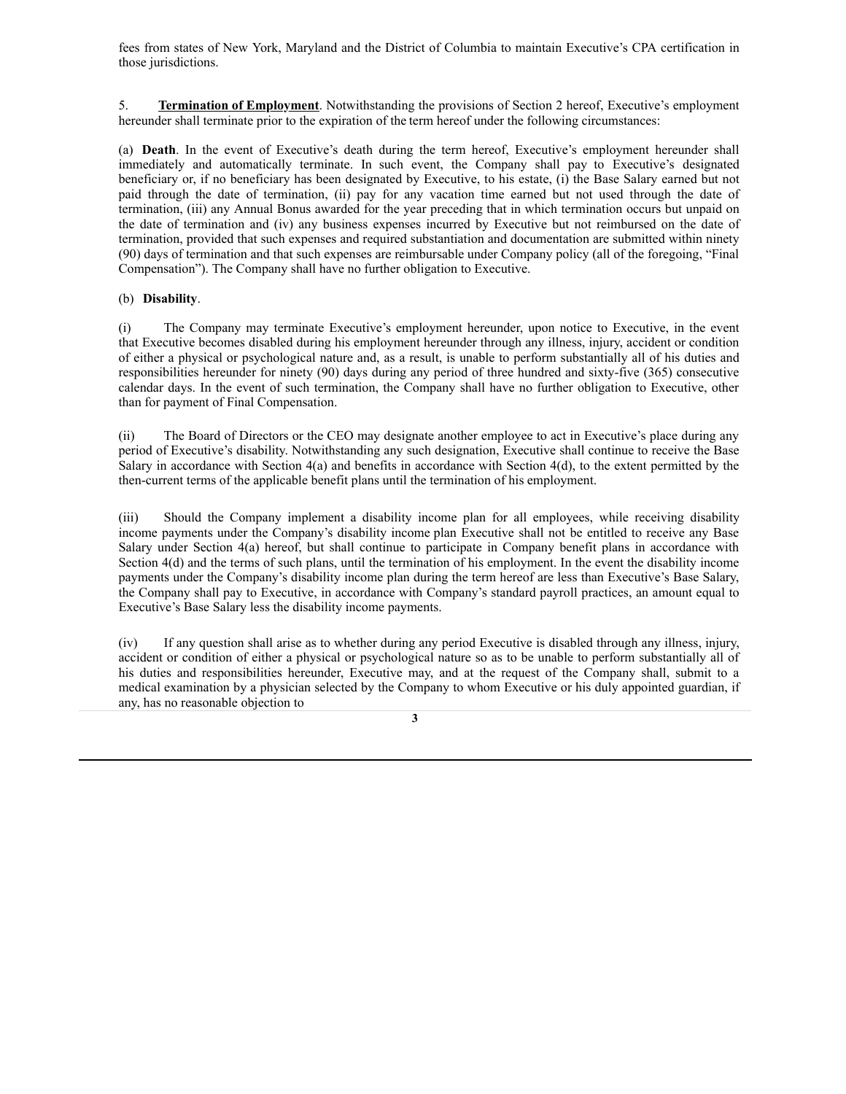fees from states of New York, Maryland and the District of Columbia to maintain Executive's CPA certification in those jurisdictions.

5. **Termination of Employment**. Notwithstanding the provisions of Section 2 hereof, Executive's employment hereunder shall terminate prior to the expiration of the term hereof under the following circumstances:

(a) **Death**. In the event of Executive's death during the term hereof, Executive's employment hereunder shall immediately and automatically terminate. In such event, the Company shall pay to Executive's designated beneficiary or, if no beneficiary has been designated by Executive, to his estate, (i) the Base Salary earned but not paid through the date of termination, (ii) pay for any vacation time earned but not used through the date of termination, (iii) any Annual Bonus awarded for the year preceding that in which termination occurs but unpaid on the date of termination and (iv) any business expenses incurred by Executive but not reimbursed on the date of termination, provided that such expenses and required substantiation and documentation are submitted within ninety (90) days of termination and that such expenses are reimbursable under Company policy (all of the foregoing, "Final Compensation"). The Company shall have no further obligation to Executive.

# (b) **Disability**.

(i) The Company may terminate Executive's employment hereunder, upon notice to Executive, in the event that Executive becomes disabled during his employment hereunder through any illness, injury, accident or condition of either a physical or psychological nature and, as a result, is unable to perform substantially all of his duties and responsibilities hereunder for ninety (90) days during any period of three hundred and sixty-five (365) consecutive calendar days. In the event of such termination, the Company shall have no further obligation to Executive, other than for payment of Final Compensation.

(ii) The Board of Directors or the CEO may designate another employee to act in Executive's place during any period of Executive's disability. Notwithstanding any such designation, Executive shall continue to receive the Base Salary in accordance with Section 4(a) and benefits in accordance with Section 4(d), to the extent permitted by the then-current terms of the applicable benefit plans until the termination of his employment.

(iii) Should the Company implement a disability income plan for all employees, while receiving disability income payments under the Company's disability income plan Executive shall not be entitled to receive any Base Salary under Section 4(a) hereof, but shall continue to participate in Company benefit plans in accordance with Section 4(d) and the terms of such plans, until the termination of his employment. In the event the disability income payments under the Company's disability income plan during the term hereof are less than Executive's Base Salary, the Company shall pay to Executive, in accordance with Company's standard payroll practices, an amount equal to Executive's Base Salary less the disability income payments.

(iv) If any question shall arise as to whether during any period Executive is disabled through any illness, injury, accident or condition of either a physical or psychological nature so as to be unable to perform substantially all of his duties and responsibilities hereunder, Executive may, and at the request of the Company shall, submit to a medical examination by a physician selected by the Company to whom Executive or his duly appointed guardian, if any, has no reasonable objection to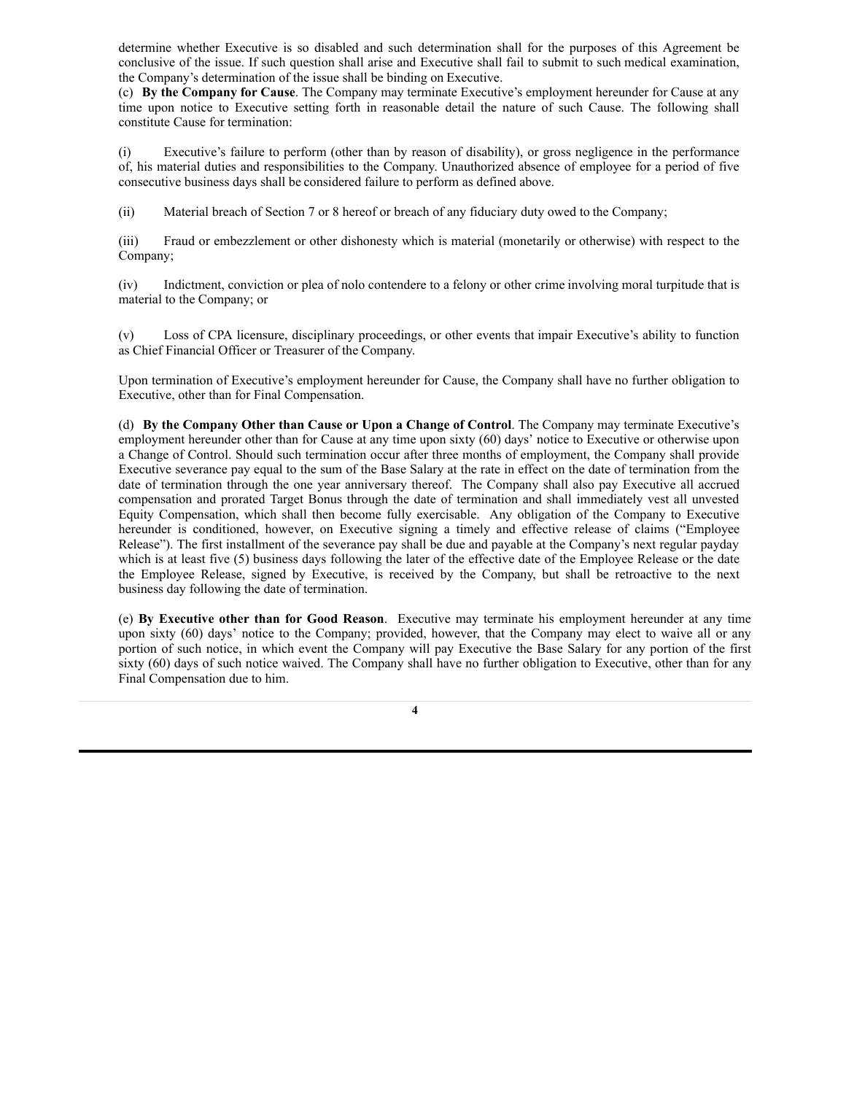determine whether Executive is so disabled and such determination shall for the purposes of this Agreement be conclusive of the issue. If such question shall arise and Executive shall fail to submit to such medical examination, the Company's determination of the issue shall be binding on Executive.

(c) **By the Company for Cause**. The Company may terminate Executive's employment hereunder for Cause at any time upon notice to Executive setting forth in reasonable detail the nature of such Cause. The following shall constitute Cause for termination:

(i) Executive's failure to perform (other than by reason of disability), or gross negligence in the performance of, his material duties and responsibilities to the Company. Unauthorized absence of employee for a period of five consecutive business days shall be considered failure to perform as defined above.

(ii) Material breach of Section 7 or 8 hereof or breach of any fiduciary duty owed to the Company;

(iii) Fraud or embezzlement or other dishonesty which is material (monetarily or otherwise) with respect to the Company;

(iv) Indictment, conviction or plea of nolo contendere to a felony or other crime involving moral turpitude that is material to the Company; or

(v) Loss of CPA licensure, disciplinary proceedings, or other events that impair Executive's ability to function as Chief Financial Officer or Treasurer of the Company.

Upon termination of Executive's employment hereunder for Cause, the Company shall have no further obligation to Executive, other than for Final Compensation.

(d) **By the Company Other than Cause or Upon a Change of Control**. The Company may terminate Executive's employment hereunder other than for Cause at any time upon sixty (60) days' notice to Executive or otherwise upon a Change of Control. Should such termination occur after three months of employment, the Company shall provide Executive severance pay equal to the sum of the Base Salary at the rate in effect on the date of termination from the date of termination through the one year anniversary thereof. The Company shall also pay Executive all accrued compensation and prorated Target Bonus through the date of termination and shall immediately vest all unvested Equity Compensation, which shall then become fully exercisable. Any obligation of the Company to Executive hereunder is conditioned, however, on Executive signing a timely and effective release of claims ("Employee Release"). The first installment of the severance pay shall be due and payable at the Company's next regular payday which is at least five (5) business days following the later of the effective date of the Employee Release or the date the Employee Release, signed by Executive, is received by the Company, but shall be retroactive to the next business day following the date of termination.

(e) **By Executive other than for Good Reason**. Executive may terminate his employment hereunder at any time upon sixty (60) days' notice to the Company; provided, however, that the Company may elect to waive all or any portion of such notice, in which event the Company will pay Executive the Base Salary for any portion of the first sixty (60) days of such notice waived. The Company shall have no further obligation to Executive, other than for any Final Compensation due to him.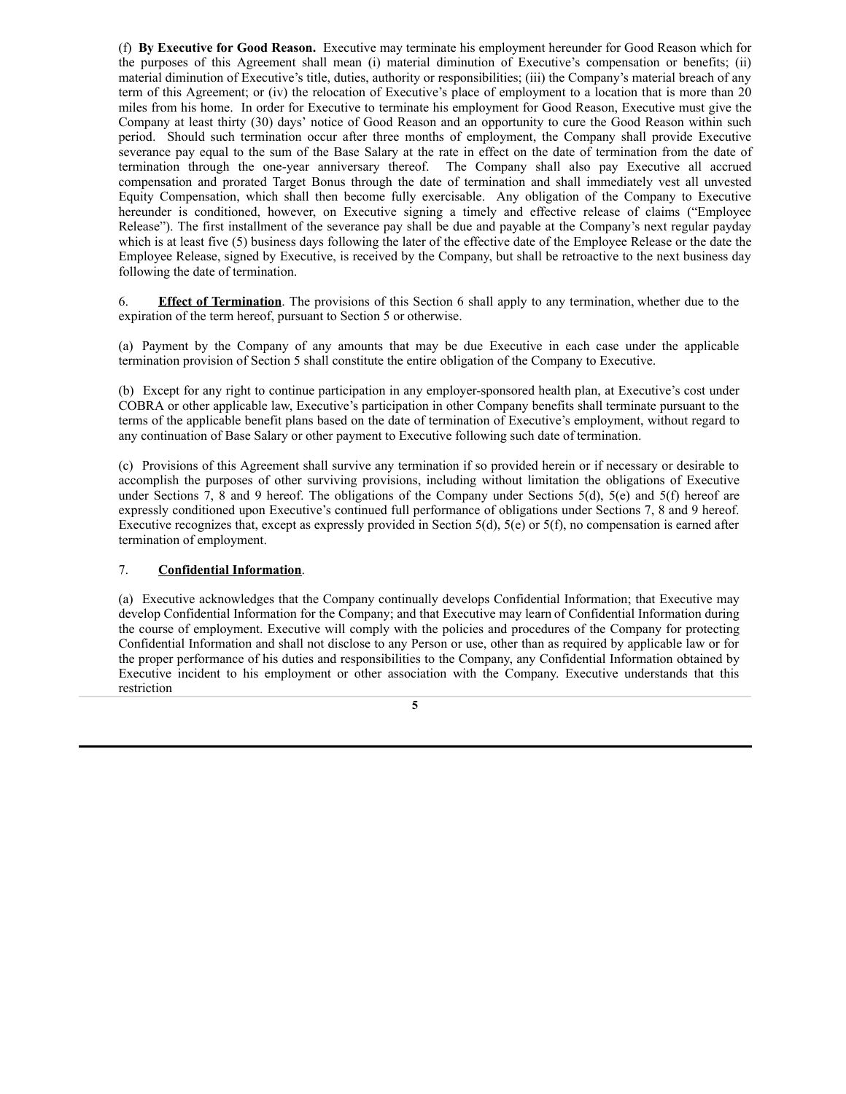(f) **By Executive for Good Reason.** Executive may terminate his employment hereunder for Good Reason which for the purposes of this Agreement shall mean (i) material diminution of Executive's compensation or benefits; (ii) material diminution of Executive's title, duties, authority or responsibilities; (iii) the Company's material breach of any term of this Agreement; or (iv) the relocation of Executive's place of employment to a location that is more than 20 miles from his home. In order for Executive to terminate his employment for Good Reason, Executive must give the Company at least thirty (30) days' notice of Good Reason and an opportunity to cure the Good Reason within such period. Should such termination occur after three months of employment, the Company shall provide Executive severance pay equal to the sum of the Base Salary at the rate in effect on the date of termination from the date of termination through the one-year anniversary thereof. The Company shall also pay Executive all accrued compensation and prorated Target Bonus through the date of termination and shall immediately vest all unvested Equity Compensation, which shall then become fully exercisable. Any obligation of the Company to Executive hereunder is conditioned, however, on Executive signing a timely and effective release of claims ("Employee Release"). The first installment of the severance pay shall be due and payable at the Company's next regular payday which is at least five (5) business days following the later of the effective date of the Employee Release or the date the Employee Release, signed by Executive, is received by the Company, but shall be retroactive to the next business day following the date of termination.

6. **Effect of Termination**. The provisions of this Section 6 shall apply to any termination, whether due to the expiration of the term hereof, pursuant to Section 5 or otherwise.

(a) Payment by the Company of any amounts that may be due Executive in each case under the applicable termination provision of Section 5 shall constitute the entire obligation of the Company to Executive.

(b) Except for any right to continue participation in any employer-sponsored health plan, at Executive's cost under COBRA or other applicable law, Executive's participation in other Company benefits shall terminate pursuant to the terms of the applicable benefit plans based on the date of termination of Executive's employment, without regard to any continuation of Base Salary or other payment to Executive following such date of termination.

(c) Provisions of this Agreement shall survive any termination if so provided herein or if necessary or desirable to accomplish the purposes of other surviving provisions, including without limitation the obligations of Executive under Sections 7, 8 and 9 hereof. The obligations of the Company under Sections 5(d), 5(e) and 5(f) hereof are expressly conditioned upon Executive's continued full performance of obligations under Sections 7, 8 and 9 hereof. Executive recognizes that, except as expressly provided in Section 5(d), 5(e) or 5(f), no compensation is earned after termination of employment.

# 7. **Confidential Information**.

(a) Executive acknowledges that the Company continually develops Confidential Information; that Executive may develop Confidential Information for the Company; and that Executive may learn of Confidential Information during the course of employment. Executive will comply with the policies and procedures of the Company for protecting Confidential Information and shall not disclose to any Person or use, other than as required by applicable law or for the proper performance of his duties and responsibilities to the Company, any Confidential Information obtained by Executive incident to his employment or other association with the Company. Executive understands that this restriction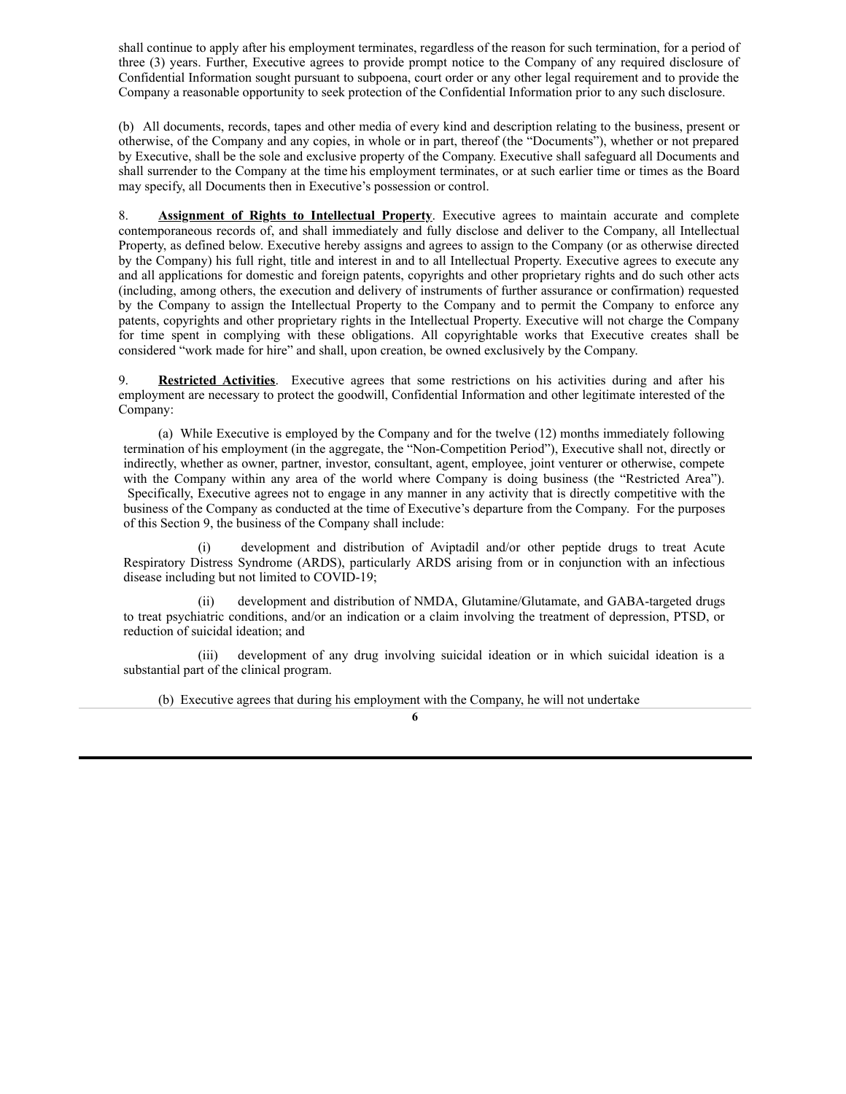shall continue to apply after his employment terminates, regardless of the reason for such termination, for a period of three (3) years. Further, Executive agrees to provide prompt notice to the Company of any required disclosure of Confidential Information sought pursuant to subpoena, court order or any other legal requirement and to provide the Company a reasonable opportunity to seek protection of the Confidential Information prior to any such disclosure.

(b) All documents, records, tapes and other media of every kind and description relating to the business, present or otherwise, of the Company and any copies, in whole or in part, thereof (the "Documents"), whether or not prepared by Executive, shall be the sole and exclusive property of the Company. Executive shall safeguard all Documents and shall surrender to the Company at the time his employment terminates, or at such earlier time or times as the Board may specify, all Documents then in Executive's possession or control.

8. **Assignment of Rights to Intellectual Property**. Executive agrees to maintain accurate and complete contemporaneous records of, and shall immediately and fully disclose and deliver to the Company, all Intellectual Property, as defined below. Executive hereby assigns and agrees to assign to the Company (or as otherwise directed by the Company) his full right, title and interest in and to all Intellectual Property. Executive agrees to execute any and all applications for domestic and foreign patents, copyrights and other proprietary rights and do such other acts (including, among others, the execution and delivery of instruments of further assurance or confirmation) requested by the Company to assign the Intellectual Property to the Company and to permit the Company to enforce any patents, copyrights and other proprietary rights in the Intellectual Property. Executive will not charge the Company for time spent in complying with these obligations. All copyrightable works that Executive creates shall be considered "work made for hire" and shall, upon creation, be owned exclusively by the Company.

9. **Restricted Activities**. Executive agrees that some restrictions on his activities during and after his employment are necessary to protect the goodwill, Confidential Information and other legitimate interested of the Company:

(a) While Executive is employed by the Company and for the twelve (12) months immediately following termination of his employment (in the aggregate, the "Non-Competition Period"), Executive shall not, directly or indirectly, whether as owner, partner, investor, consultant, agent, employee, joint venturer or otherwise, compete with the Company within any area of the world where Company is doing business (the "Restricted Area"). Specifically, Executive agrees not to engage in any manner in any activity that is directly competitive with the business of the Company as conducted at the time of Executive's departure from the Company. For the purposes of this Section 9, the business of the Company shall include:

development and distribution of Aviptadil and/or other peptide drugs to treat Acute Respiratory Distress Syndrome (ARDS), particularly ARDS arising from or in conjunction with an infectious disease including but not limited to COVID-19;

development and distribution of NMDA, Glutamine/Glutamate, and GABA-targeted drugs to treat psychiatric conditions, and/or an indication or a claim involving the treatment of depression, PTSD, or reduction of suicidal ideation; and

(iii) development of any drug involving suicidal ideation or in which suicidal ideation is a substantial part of the clinical program.

(b) Executive agrees that during his employment with the Company, he will not undertake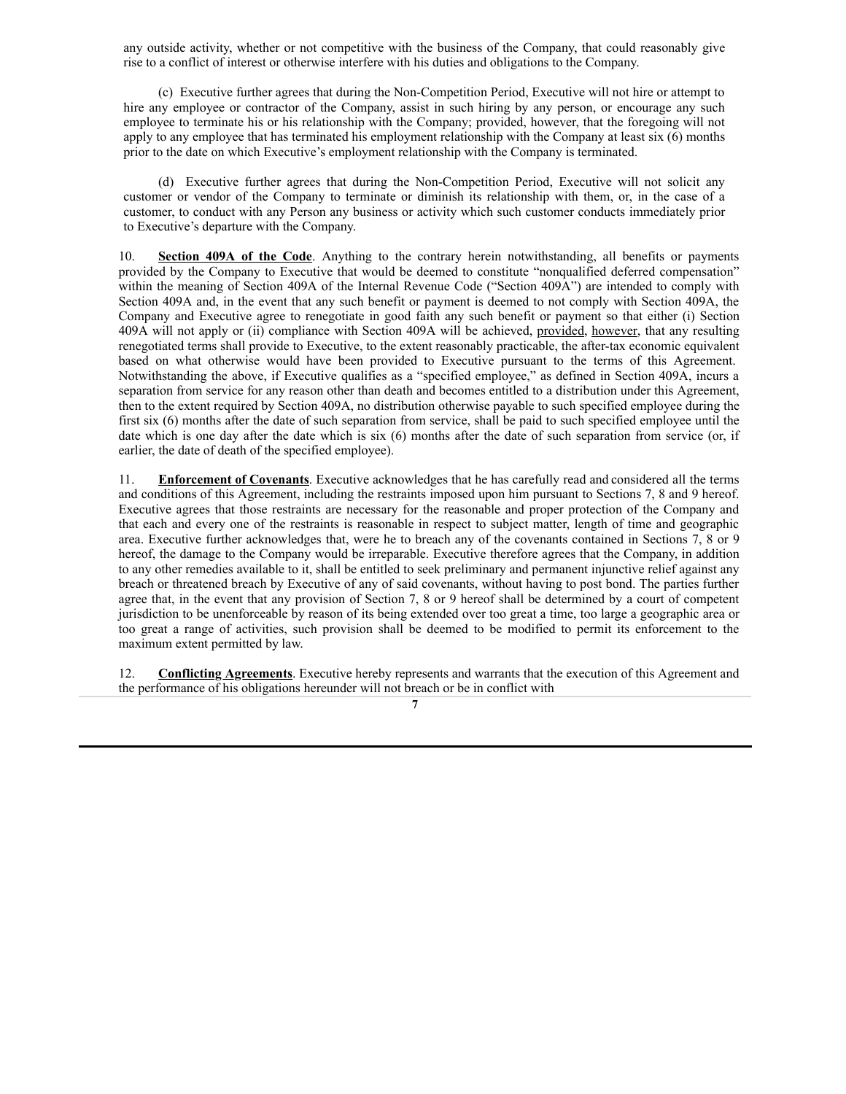any outside activity, whether or not competitive with the business of the Company, that could reasonably give rise to a conflict of interest or otherwise interfere with his duties and obligations to the Company.

(c) Executive further agrees that during the Non-Competition Period, Executive will not hire or attempt to hire any employee or contractor of the Company, assist in such hiring by any person, or encourage any such employee to terminate his or his relationship with the Company; provided, however, that the foregoing will not apply to any employee that has terminated his employment relationship with the Company at least six (6) months prior to the date on which Executive's employment relationship with the Company is terminated.

(d) Executive further agrees that during the Non-Competition Period, Executive will not solicit any customer or vendor of the Company to terminate or diminish its relationship with them, or, in the case of a customer, to conduct with any Person any business or activity which such customer conducts immediately prior to Executive's departure with the Company.

10. **Section 409A of the Code**. Anything to the contrary herein notwithstanding, all benefits or payments provided by the Company to Executive that would be deemed to constitute "nonqualified deferred compensation" within the meaning of Section 409A of the Internal Revenue Code ("Section 409A") are intended to comply with Section 409A and, in the event that any such benefit or payment is deemed to not comply with Section 409A, the Company and Executive agree to renegotiate in good faith any such benefit or payment so that either (i) Section 409A will not apply or (ii) compliance with Section 409A will be achieved, provided, however, that any resulting renegotiated terms shall provide to Executive, to the extent reasonably practicable, the after-tax economic equivalent based on what otherwise would have been provided to Executive pursuant to the terms of this Agreement. Notwithstanding the above, if Executive qualifies as a "specified employee," as defined in Section 409A, incurs a separation from service for any reason other than death and becomes entitled to a distribution under this Agreement, then to the extent required by Section 409A, no distribution otherwise payable to such specified employee during the first six (6) months after the date of such separation from service, shall be paid to such specified employee until the date which is one day after the date which is six (6) months after the date of such separation from service (or, if earlier, the date of death of the specified employee).

11. **Enforcement of Covenants**. Executive acknowledges that he has carefully read and considered all the terms and conditions of this Agreement, including the restraints imposed upon him pursuant to Sections 7, 8 and 9 hereof. Executive agrees that those restraints are necessary for the reasonable and proper protection of the Company and that each and every one of the restraints is reasonable in respect to subject matter, length of time and geographic area. Executive further acknowledges that, were he to breach any of the covenants contained in Sections 7, 8 or 9 hereof, the damage to the Company would be irreparable. Executive therefore agrees that the Company, in addition to any other remedies available to it, shall be entitled to seek preliminary and permanent injunctive relief against any breach or threatened breach by Executive of any of said covenants, without having to post bond. The parties further agree that, in the event that any provision of Section 7, 8 or 9 hereof shall be determined by a court of competent jurisdiction to be unenforceable by reason of its being extended over too great a time, too large a geographic area or too great a range of activities, such provision shall be deemed to be modified to permit its enforcement to the maximum extent permitted by law.

12. **Conflicting Agreements**. Executive hereby represents and warrants that the execution of this Agreement and the performance of his obligations hereunder will not breach or be in conflict with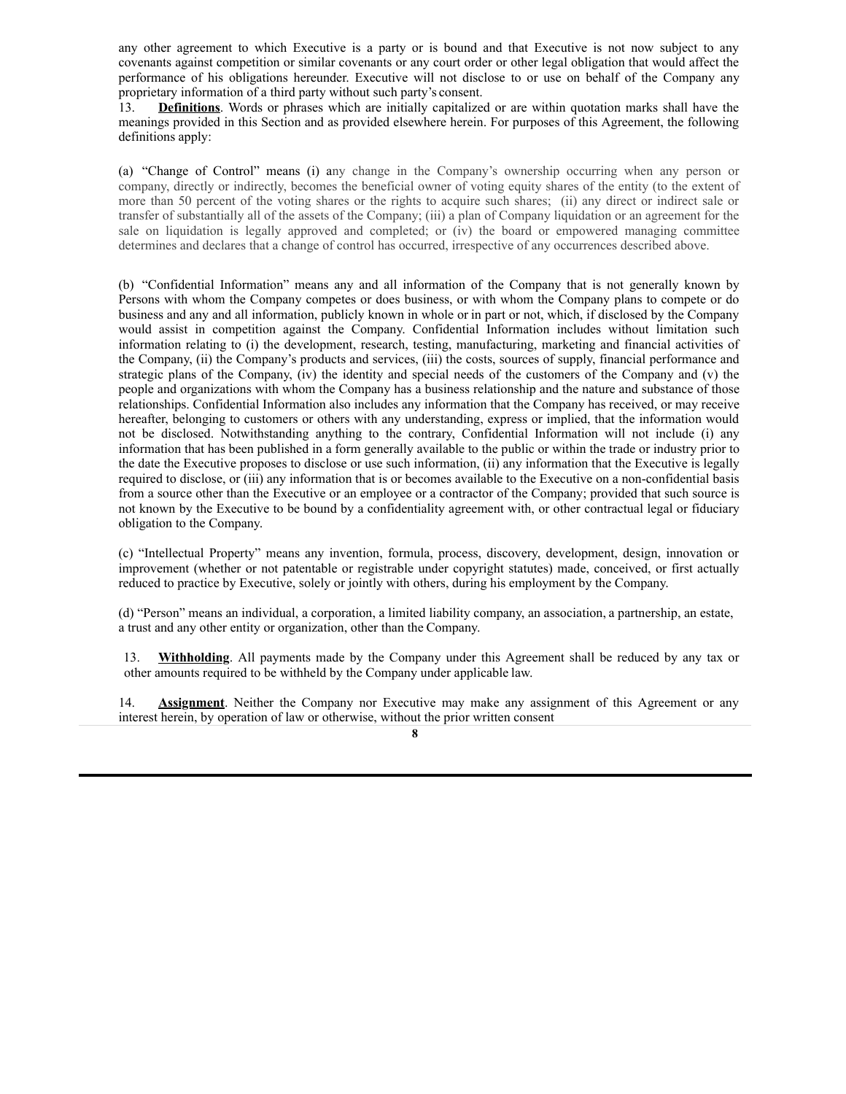any other agreement to which Executive is a party or is bound and that Executive is not now subject to any covenants against competition or similar covenants or any court order or other legal obligation that would affect the performance of his obligations hereunder. Executive will not disclose to or use on behalf of the Company any proprietary information of a third party without such party's consent.

13. **Definitions**. Words or phrases which are initially capitalized or are within quotation marks shall have the meanings provided in this Section and as provided elsewhere herein. For purposes of this Agreement, the following definitions apply:

(a) "Change of Control" means (i) any change in the Company's ownership occurring when any person or company, directly or indirectly, becomes the beneficial owner of voting equity shares of the entity (to the extent of more than 50 percent of the voting shares or the rights to acquire such shares; (ii) any direct or indirect sale or transfer of substantially all of the assets of the Company; (iii) a plan of Company liquidation or an agreement for the sale on liquidation is legally approved and completed; or (iv) the board or empowered managing committee determines and declares that a change of control has occurred, irrespective of any occurrences described above.

(b) "Confidential Information" means any and all information of the Company that is not generally known by Persons with whom the Company competes or does business, or with whom the Company plans to compete or do business and any and all information, publicly known in whole or in part or not, which, if disclosed by the Company would assist in competition against the Company. Confidential Information includes without limitation such information relating to (i) the development, research, testing, manufacturing, marketing and financial activities of the Company, (ii) the Company's products and services, (iii) the costs, sources of supply, financial performance and strategic plans of the Company, (iv) the identity and special needs of the customers of the Company and (v) the people and organizations with whom the Company has a business relationship and the nature and substance of those relationships. Confidential Information also includes any information that the Company has received, or may receive hereafter, belonging to customers or others with any understanding, express or implied, that the information would not be disclosed. Notwithstanding anything to the contrary, Confidential Information will not include (i) any information that has been published in a form generally available to the public or within the trade or industry prior to the date the Executive proposes to disclose or use such information, (ii) any information that the Executive is legally required to disclose, or (iii) any information that is or becomes available to the Executive on a non-confidential basis from a source other than the Executive or an employee or a contractor of the Company; provided that such source is not known by the Executive to be bound by a confidentiality agreement with, or other contractual legal or fiduciary obligation to the Company.

(c) "Intellectual Property" means any invention, formula, process, discovery, development, design, innovation or improvement (whether or not patentable or registrable under copyright statutes) made, conceived, or first actually reduced to practice by Executive, solely or jointly with others, during his employment by the Company.

(d) "Person" means an individual, a corporation, a limited liability company, an association, a partnership, an estate, a trust and any other entity or organization, other than the Company.

13. **Withholding**. All payments made by the Company under this Agreement shall be reduced by any tax or other amounts required to be withheld by the Company under applicable law.

14. **Assignment**. Neither the Company nor Executive may make any assignment of this Agreement or any interest herein, by operation of law or otherwise, without the prior written consent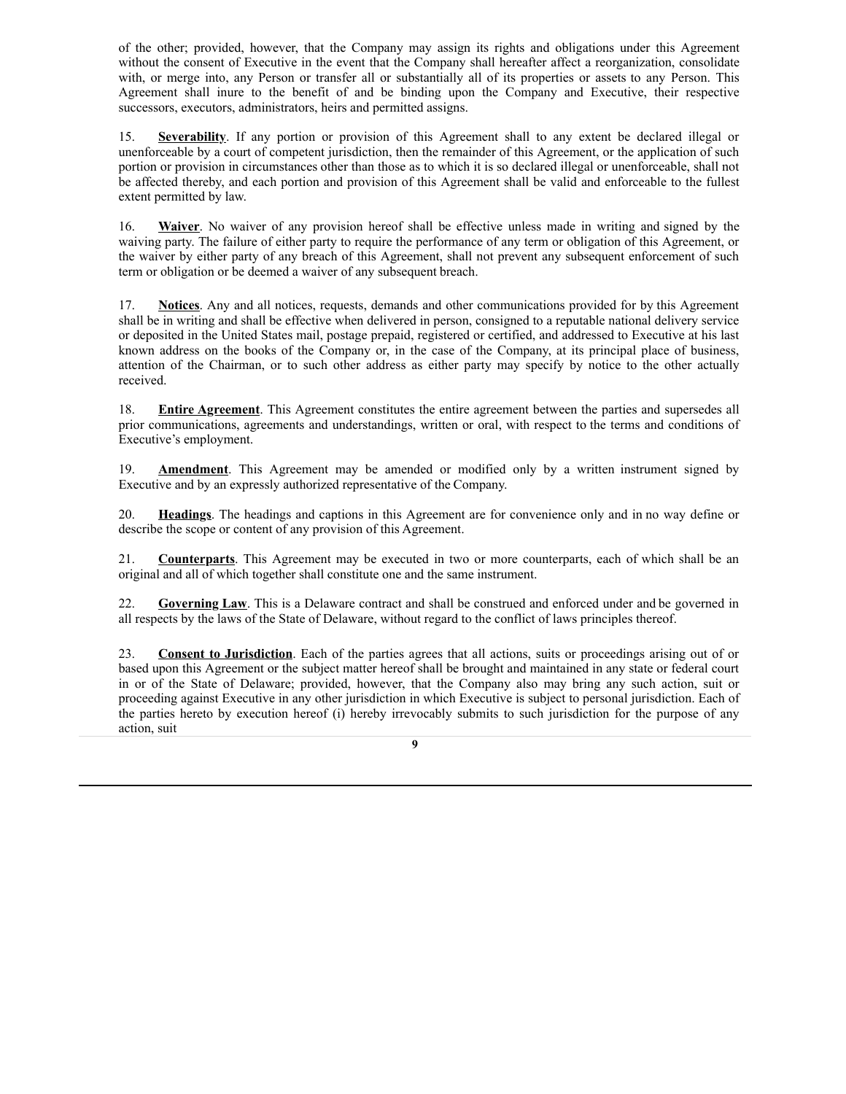of the other; provided, however, that the Company may assign its rights and obligations under this Agreement without the consent of Executive in the event that the Company shall hereafter affect a reorganization, consolidate with, or merge into, any Person or transfer all or substantially all of its properties or assets to any Person. This Agreement shall inure to the benefit of and be binding upon the Company and Executive, their respective successors, executors, administrators, heirs and permitted assigns.

15. **Severability**. If any portion or provision of this Agreement shall to any extent be declared illegal or unenforceable by a court of competent jurisdiction, then the remainder of this Agreement, or the application of such portion or provision in circumstances other than those as to which it is so declared illegal or unenforceable, shall not be affected thereby, and each portion and provision of this Agreement shall be valid and enforceable to the fullest extent permitted by law.

16. **Waiver**. No waiver of any provision hereof shall be effective unless made in writing and signed by the waiving party. The failure of either party to require the performance of any term or obligation of this Agreement, or the waiver by either party of any breach of this Agreement, shall not prevent any subsequent enforcement of such term or obligation or be deemed a waiver of any subsequent breach.

17. **Notices**. Any and all notices, requests, demands and other communications provided for by this Agreement shall be in writing and shall be effective when delivered in person, consigned to a reputable national delivery service or deposited in the United States mail, postage prepaid, registered or certified, and addressed to Executive at his last known address on the books of the Company or, in the case of the Company, at its principal place of business, attention of the Chairman, or to such other address as either party may specify by notice to the other actually received.

18. **Entire Agreement**. This Agreement constitutes the entire agreement between the parties and supersedes all prior communications, agreements and understandings, written or oral, with respect to the terms and conditions of Executive's employment.

19. **Amendment**. This Agreement may be amended or modified only by a written instrument signed by Executive and by an expressly authorized representative of the Company.

20. **Headings**. The headings and captions in this Agreement are for convenience only and in no way define or describe the scope or content of any provision of this Agreement.

21. **Counterparts**. This Agreement may be executed in two or more counterparts, each of which shall be an original and all of which together shall constitute one and the same instrument.

22. **Governing Law**. This is a Delaware contract and shall be construed and enforced under and be governed in all respects by the laws of the State of Delaware, without regard to the conflict of laws principles thereof.

23. **Consent to Jurisdiction**. Each of the parties agrees that all actions, suits or proceedings arising out of or based upon this Agreement or the subject matter hereof shall be brought and maintained in any state or federal court in or of the State of Delaware; provided, however, that the Company also may bring any such action, suit or proceeding against Executive in any other jurisdiction in which Executive is subject to personal jurisdiction. Each of the parties hereto by execution hereof (i) hereby irrevocably submits to such jurisdiction for the purpose of any action, suit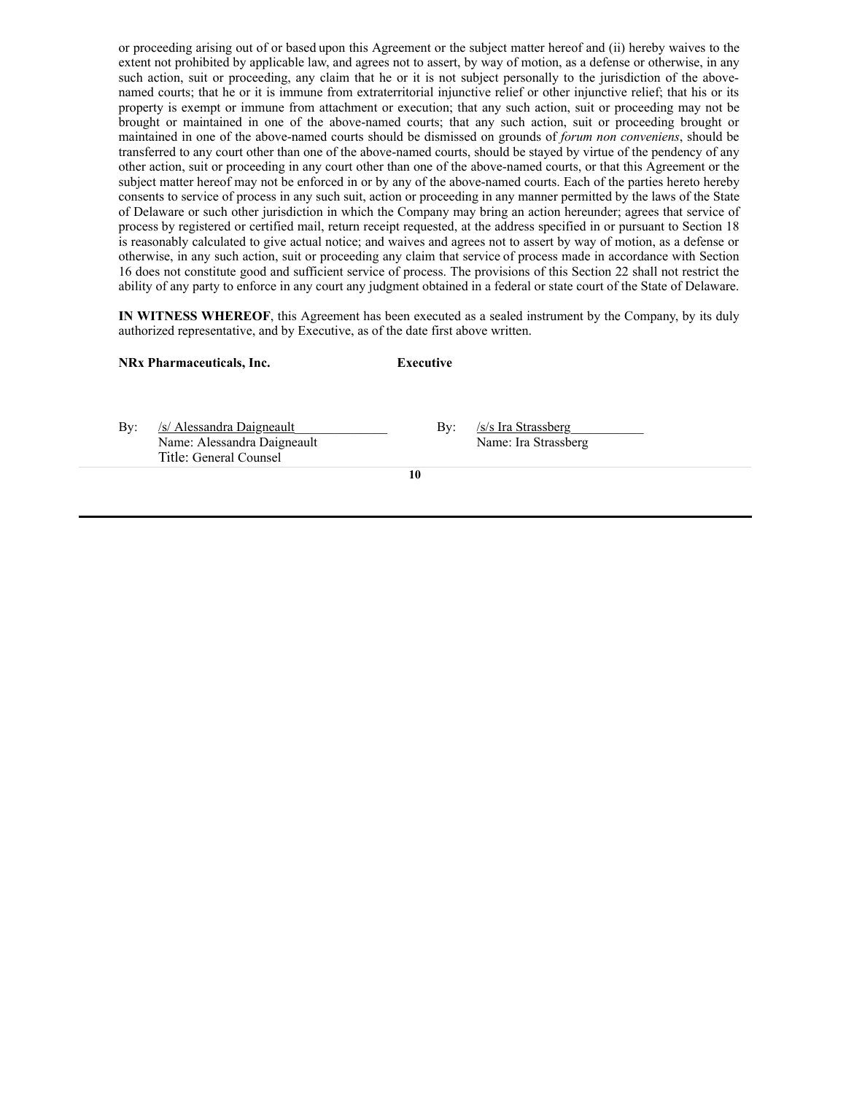or proceeding arising out of or based upon this Agreement or the subject matter hereof and (ii) hereby waives to the extent not prohibited by applicable law, and agrees not to assert, by way of motion, as a defense or otherwise, in any such action, suit or proceeding, any claim that he or it is not subject personally to the jurisdiction of the abovenamed courts; that he or it is immune from extraterritorial injunctive relief or other injunctive relief; that his or its property is exempt or immune from attachment or execution; that any such action, suit or proceeding may not be brought or maintained in one of the above-named courts; that any such action, suit or proceeding brought or maintained in one of the above-named courts should be dismissed on grounds of *forum non conveniens*, should be transferred to any court other than one of the above-named courts, should be stayed by virtue of the pendency of any other action, suit or proceeding in any court other than one of the above-named courts, or that this Agreement or the subject matter hereof may not be enforced in or by any of the above-named courts. Each of the parties hereto hereby consents to service of process in any such suit, action or proceeding in any manner permitted by the laws of the State of Delaware or such other jurisdiction in which the Company may bring an action hereunder; agrees that service of process by registered or certified mail, return receipt requested, at the address specified in or pursuant to Section 18 is reasonably calculated to give actual notice; and waives and agrees not to assert by way of motion, as a defense or otherwise, in any such action, suit or proceeding any claim that service of process made in accordance with Section 16 does not constitute good and sufficient service of process. The provisions of this Section 22 shall not restrict the ability of any party to enforce in any court any judgment obtained in a federal or state court of the State of Delaware.

**IN WITNESS WHEREOF**, this Agreement has been executed as a sealed instrument by the Company, by its duly authorized representative, and by Executive, as of the date first above written.

|  |  | <b>NRx Pharmaceuticals, Inc.</b> |  |
|--|--|----------------------------------|--|
|--|--|----------------------------------|--|

**Executive** 

By: /s/ Alessandra Daigneault By: /s/s Ira Strassberg Name: Alessandra Daigneault Name: Ira Strassberg Title: General Counsel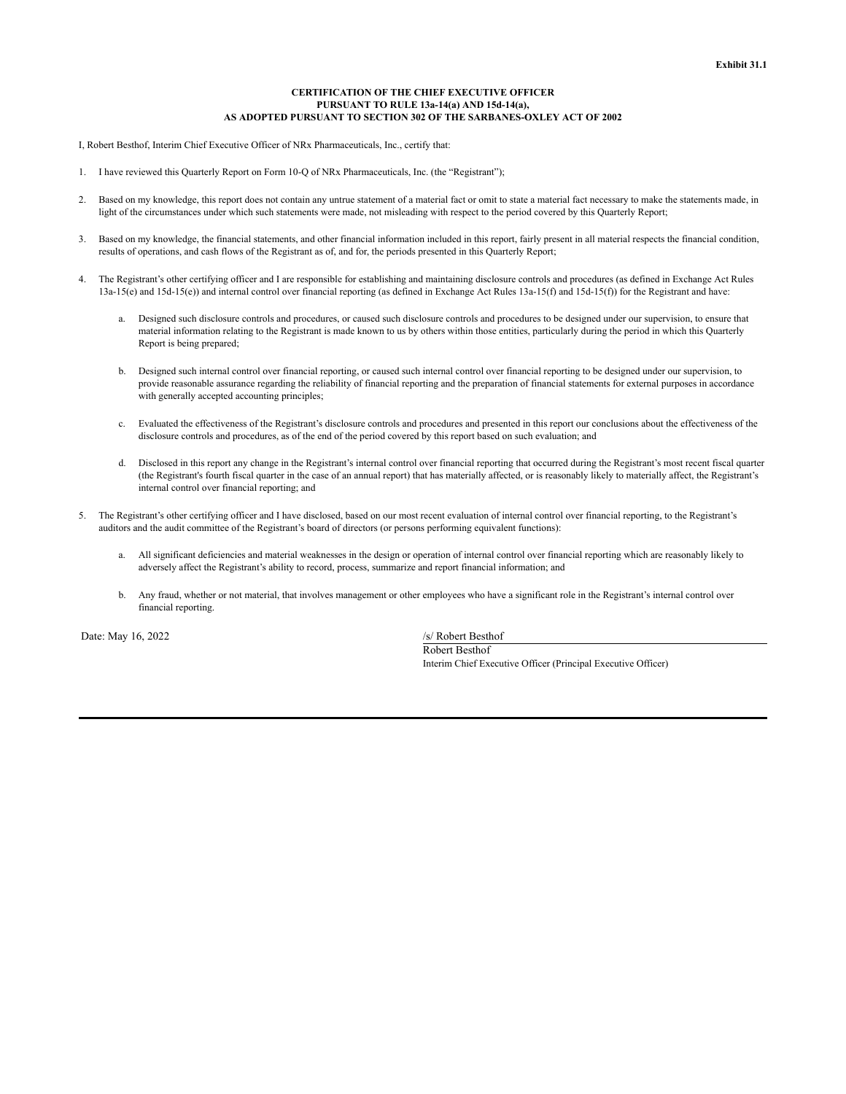# **CERTIFICATION OF THE CHIEF EXECUTIVE OFFICER PURSUANT TO RULE 13a-14(a) AND 15d-14(a), AS ADOPTED PURSUANT TO SECTION 302 OF THE SARBANES-OXLEY ACT OF 2002**

I, Robert Besthof, Interim Chief Executive Officer of NRx Pharmaceuticals, Inc., certify that:

- 1. I have reviewed this Quarterly Report on Form 10-Q of NRx Pharmaceuticals, Inc. (the "Registrant");
- 2. Based on my knowledge, this report does not contain any untrue statement of a material fact or omit to state a material fact necessary to make the statements made, in light of the circumstances under which such statements were made, not misleading with respect to the period covered by this Quarterly Report;
- 3. Based on my knowledge, the financial statements, and other financial information included in this report, fairly present in all material respects the financial condition, results of operations, and cash flows of the Registrant as of, and for, the periods presented in this Quarterly Report;
- 4. The Registrant's other certifying officer and I are responsible for establishing and maintaining disclosure controls and procedures (as defined in Exchange Act Rules  $13a-15(e)$  and  $15d-15(e)$  and internal control over financial reporting (as defined in Exchange Act Rules  $13a-15(f)$  and  $15d-15(f)$ ) for the Registrant and have:
	- a. Designed such disclosure controls and procedures, or caused such disclosure controls and procedures to be designed under our supervision, to ensure that material information relating to the Registrant is made known to us by others within those entities, particularly during the period in which this Quarterly Report is being prepared;
	- b. Designed such internal control over financial reporting, or caused such internal control over financial reporting to be designed under our supervision, to provide reasonable assurance regarding the reliability of financial reporting and the preparation of financial statements for external purposes in accordance with generally accepted accounting principles;
	- c. Evaluated the effectiveness of the Registrant's disclosure controls and procedures and presented in this report our conclusions about the effectiveness of the disclosure controls and procedures, as of the end of the period covered by this report based on such evaluation; and
	- d. Disclosed in this report any change in the Registrant's internal control over financial reporting that occurred during the Registrant's most recent fiscal quarter (the Registrant's fourth fiscal quarter in the case of an annual report) that has materially affected, or is reasonably likely to materially affect, the Registrant's internal control over financial reporting; and
- 5. The Registrant's other certifying officer and I have disclosed, based on our most recent evaluation of internal control over financial reporting, to the Registrant's auditors and the audit committee of the Registrant's board of directors (or persons performing equivalent functions):
	- a. All significant deficiencies and material weaknesses in the design or operation of internal control over financial reporting which are reasonably likely to adversely affect the Registrant's ability to record, process, summarize and report financial information; and
	- b. Any fraud, whether or not material, that involves management or other employees who have a significant role in the Registrant's internal control over financial reporting.

Date: May 16, 2022 /s/ Robert Besthof

Robert Besthof Interim Chief Executive Officer (Principal Executive Officer)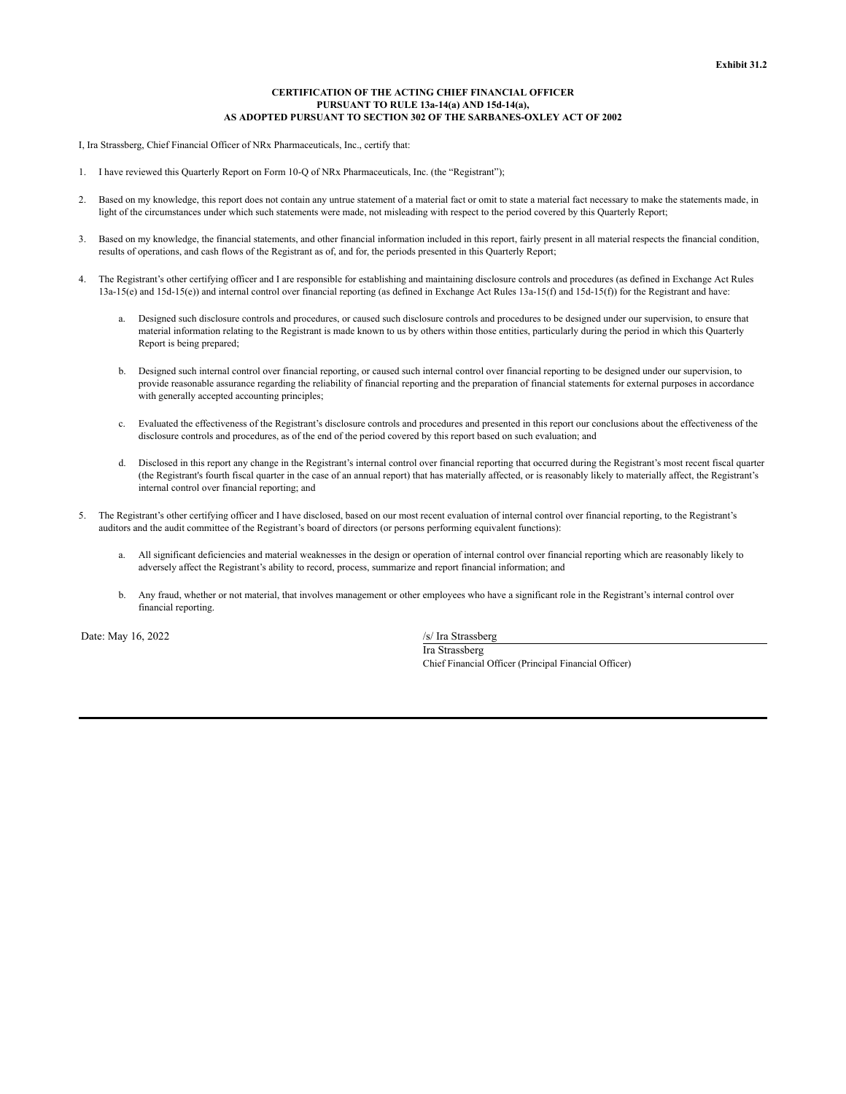# **CERTIFICATION OF THE ACTING CHIEF FINANCIAL OFFICER PURSUANT TO RULE 13a-14(a) AND 15d-14(a), AS ADOPTED PURSUANT TO SECTION 302 OF THE SARBANES-OXLEY ACT OF 2002**

I, Ira Strassberg, Chief Financial Officer of NRx Pharmaceuticals, Inc., certify that:

- 1. I have reviewed this Quarterly Report on Form 10-Q of NRx Pharmaceuticals, Inc. (the "Registrant");
- 2. Based on my knowledge, this report does not contain any untrue statement of a material fact or omit to state a material fact necessary to make the statements made, in light of the circumstances under which such statements were made, not misleading with respect to the period covered by this Quarterly Report;
- 3. Based on my knowledge, the financial statements, and other financial information included in this report, fairly present in all material respects the financial condition, results of operations, and cash flows of the Registrant as of, and for, the periods presented in this Quarterly Report;
- 4. The Registrant's other certifying officer and I are responsible for establishing and maintaining disclosure controls and procedures (as defined in Exchange Act Rules  $13a-15(e)$  and  $15d-15(e)$  and internal control over financial reporting (as defined in Exchange Act Rules  $13a-15(f)$  and  $15d-15(f)$ ) for the Registrant and have:
	- a. Designed such disclosure controls and procedures, or caused such disclosure controls and procedures to be designed under our supervision, to ensure that material information relating to the Registrant is made known to us by others within those entities, particularly during the period in which this Quarterly Report is being prepared;
	- b. Designed such internal control over financial reporting, or caused such internal control over financial reporting to be designed under our supervision, to provide reasonable assurance regarding the reliability of financial reporting and the preparation of financial statements for external purposes in accordance with generally accepted accounting principles;
	- c. Evaluated the effectiveness of the Registrant's disclosure controls and procedures and presented in this report our conclusions about the effectiveness of the disclosure controls and procedures, as of the end of the period covered by this report based on such evaluation; and
	- d. Disclosed in this report any change in the Registrant's internal control over financial reporting that occurred during the Registrant's most recent fiscal quarter (the Registrant's fourth fiscal quarter in the case of an annual report) that has materially affected, or is reasonably likely to materially affect, the Registrant's internal control over financial reporting; and
- 5. The Registrant's other certifying officer and I have disclosed, based on our most recent evaluation of internal control over financial reporting, to the Registrant's auditors and the audit committee of the Registrant's board of directors (or persons performing equivalent functions):
	- a. All significant deficiencies and material weaknesses in the design or operation of internal control over financial reporting which are reasonably likely to adversely affect the Registrant's ability to record, process, summarize and report financial information; and
	- b. Any fraud, whether or not material, that involves management or other employees who have a significant role in the Registrant's internal control over financial reporting.

Date: May 16, 2022 /s/ Ira Strassberg

Ira Strassberg Chief Financial Officer (Principal Financial Officer)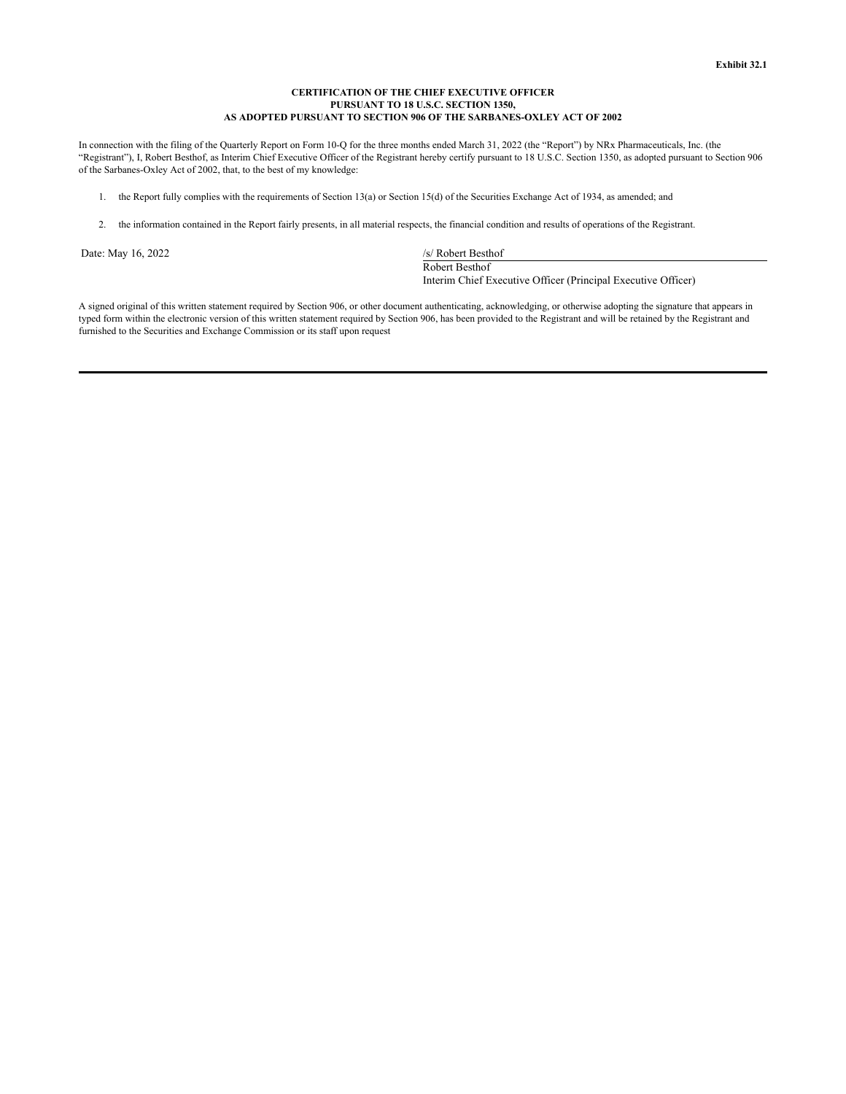# **CERTIFICATION OF THE CHIEF EXECUTIVE OFFICER PURSUANT TO 18 U.S.C. SECTION 1350, AS ADOPTED PURSUANT TO SECTION 906 OF THE SARBANES-OXLEY ACT OF 2002**

In connection with the filing of the Quarterly Report on Form 10-Q for the three months ended March 31, 2022 (the "Report") by NRx Pharmaceuticals, Inc. (the "Registrant"), I, Robert Besthof, as Interim Chief Executive Officer of the Registrant hereby certify pursuant to 18 U.S.C. Section 1350, as adopted pursuant to Section 906 of the Sarbanes-Oxley Act of 2002, that, to the best of my knowledge:

- 1. the Report fully complies with the requirements of Section 13(a) or Section 15(d) of the Securities Exchange Act of 1934, as amended; and
- 2. the information contained in the Report fairly presents, in all material respects, the financial condition and results of operations of the Registrant.

Date: May 16, 2022 /s/ Robert Besthof

Robert Besthof Interim Chief Executive Officer (Principal Executive Officer)

A signed original of this written statement required by Section 906, or other document authenticating, acknowledging, or otherwise adopting the signature that appears in typed form within the electronic version of this written statement required by Section 906, has been provided to the Registrant and will be retained by the Registrant and furnished to the Securities and Exchange Commission or its staff upon request